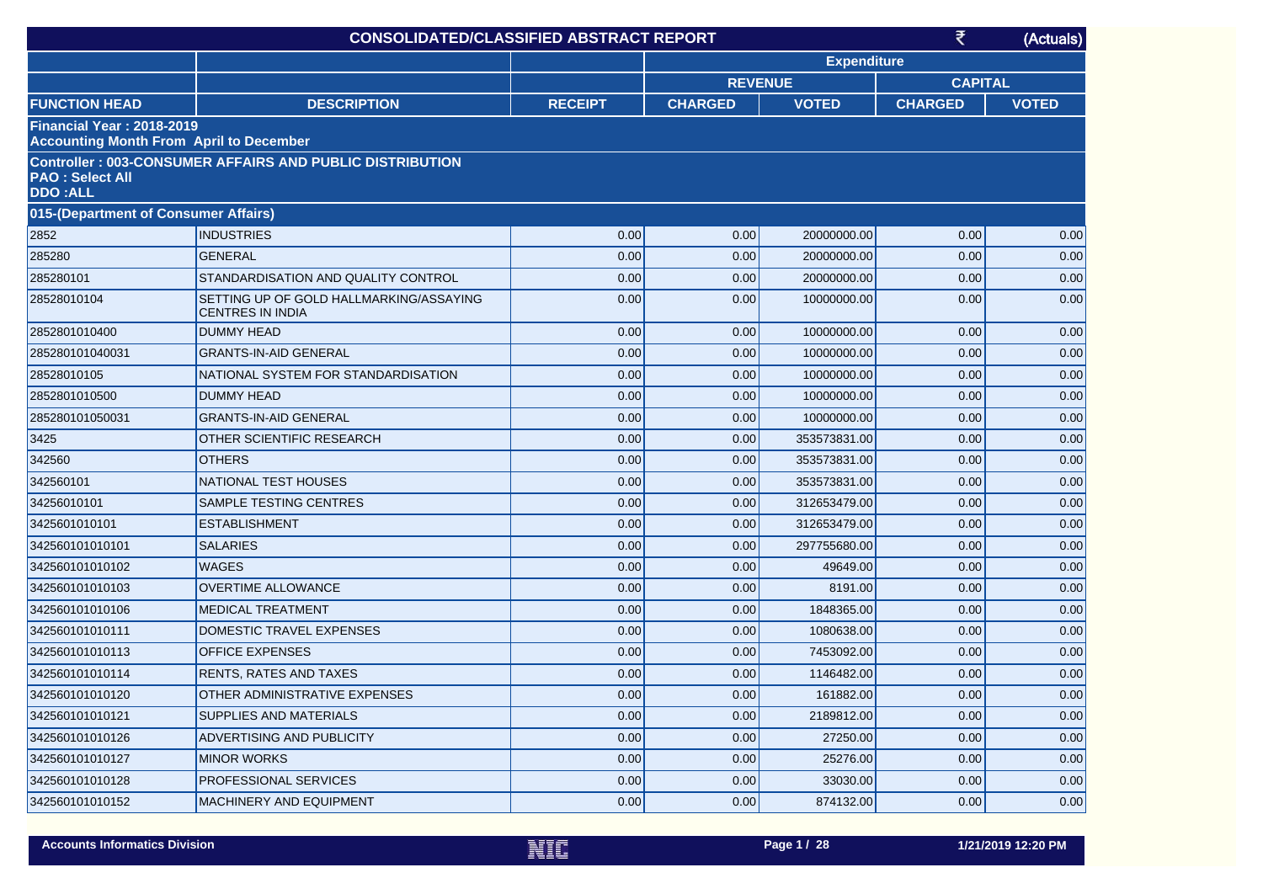|                                                                                    | <b>CONSOLIDATED/CLASSIFIED ABSTRACT REPORT</b>                     |                |                |                    | ₹              | (Actuals)    |
|------------------------------------------------------------------------------------|--------------------------------------------------------------------|----------------|----------------|--------------------|----------------|--------------|
|                                                                                    |                                                                    |                |                | <b>Expenditure</b> |                |              |
|                                                                                    |                                                                    |                | <b>REVENUE</b> |                    | <b>CAPITAL</b> |              |
| <b>FUNCTION HEAD</b>                                                               | <b>DESCRIPTION</b>                                                 | <b>RECEIPT</b> | <b>CHARGED</b> | <b>VOTED</b>       | <b>CHARGED</b> | <b>VOTED</b> |
| <b>Financial Year: 2018-2019</b><br><b>Accounting Month From April to December</b> |                                                                    |                |                |                    |                |              |
| <b>PAO: Select All</b><br><b>DDO:ALL</b>                                           | <b>Controller: 003-CONSUMER AFFAIRS AND PUBLIC DISTRIBUTION</b>    |                |                |                    |                |              |
| 015-(Department of Consumer Affairs)                                               |                                                                    |                |                |                    |                |              |
| 2852                                                                               | <b>INDUSTRIES</b>                                                  | 0.00           | 0.00           | 20000000.00        | 0.00           | 0.00         |
| 285280                                                                             | <b>GENERAL</b>                                                     | 0.00           | 0.00           | 20000000.00        | 0.00           | 0.00         |
| 285280101                                                                          | STANDARDISATION AND QUALITY CONTROL                                | 0.00           | 0.00           | 20000000.00        | 0.00           | 0.00         |
| 28528010104                                                                        | SETTING UP OF GOLD HALLMARKING/ASSAYING<br><b>CENTRES IN INDIA</b> | 0.00           | 0.00           | 10000000.00        | 0.00           | 0.00         |
| 2852801010400                                                                      | <b>DUMMY HEAD</b>                                                  | 0.00           | 0.00           | 10000000.00        | 0.00           | 0.00         |
| 285280101040031                                                                    | <b>GRANTS-IN-AID GENERAL</b>                                       | 0.00           | 0.00           | 10000000.00        | 0.00           | 0.00         |
| 28528010105                                                                        | NATIONAL SYSTEM FOR STANDARDISATION                                | 0.00           | 0.00           | 10000000.00        | 0.00           | 0.00         |
| 2852801010500                                                                      | <b>DUMMY HEAD</b>                                                  | 0.00           | 0.00           | 10000000.00        | 0.00           | 0.00         |
| 285280101050031                                                                    | <b>GRANTS-IN-AID GENERAL</b>                                       | 0.00           | 0.00           | 10000000.00        | 0.00           | 0.00         |
| 3425                                                                               | OTHER SCIENTIFIC RESEARCH                                          | 0.00           | 0.00           | 353573831.00       | 0.00           | 0.00         |
| 342560                                                                             | <b>OTHERS</b>                                                      | 0.00           | 0.00           | 353573831.00       | 0.00           | 0.00         |
| 342560101                                                                          | NATIONAL TEST HOUSES                                               | 0.00           | 0.00           | 353573831.00       | 0.00           | 0.00         |
| 34256010101                                                                        | SAMPLE TESTING CENTRES                                             | 0.00           | 0.00           | 312653479.00       | 0.00           | 0.00         |
| 3425601010101                                                                      | <b>ESTABLISHMENT</b>                                               | 0.00           | 0.00           | 312653479.00       | 0.00           | 0.00         |
| 342560101010101                                                                    | <b>SALARIES</b>                                                    | 0.00           | 0.00           | 297755680.00       | 0.00           | 0.00         |
| 342560101010102                                                                    | <b>WAGES</b>                                                       | 0.00           | 0.00           | 49649.00           | 0.00           | 0.00         |
| 342560101010103                                                                    | <b>OVERTIME ALLOWANCE</b>                                          | 0.00           | 0.00           | 8191.00            | 0.00           | 0.00         |
| 342560101010106                                                                    | <b>MEDICAL TREATMENT</b>                                           | 0.00           | 0.00           | 1848365.00         | 0.00           | 0.00         |
| 342560101010111                                                                    | DOMESTIC TRAVEL EXPENSES                                           | 0.00           | 0.00           | 1080638.00         | 0.00           | 0.00         |
| 342560101010113                                                                    | <b>OFFICE EXPENSES</b>                                             | 0.00           | 0.00           | 7453092.00         | 0.00           | 0.00         |
| 342560101010114                                                                    | RENTS, RATES AND TAXES                                             | 0.00           | 0.00           | 1146482.00         | 0.00           | 0.00         |
| 342560101010120                                                                    | OTHER ADMINISTRATIVE EXPENSES                                      | 0.00           | 0.00           | 161882.00          | 0.00           | $0.00\,$     |
| 342560101010121                                                                    | SUPPLIES AND MATERIALS                                             | 0.00           | 0.00           | 2189812.00         | 0.00           | 0.00         |
| 342560101010126                                                                    | ADVERTISING AND PUBLICITY                                          | 0.00           | 0.00           | 27250.00           | 0.00           | 0.00         |
| 342560101010127                                                                    | <b>MINOR WORKS</b>                                                 | 0.00           | 0.00           | 25276.00           | 0.00           | 0.00         |
| 342560101010128                                                                    | <b>PROFESSIONAL SERVICES</b>                                       | 0.00           | 0.00           | 33030.00           | 0.00           | 0.00         |
| 342560101010152                                                                    | <b>MACHINERY AND EQUIPMENT</b>                                     | 0.00           | 0.00           | 874132.00          | 0.00           | 0.00         |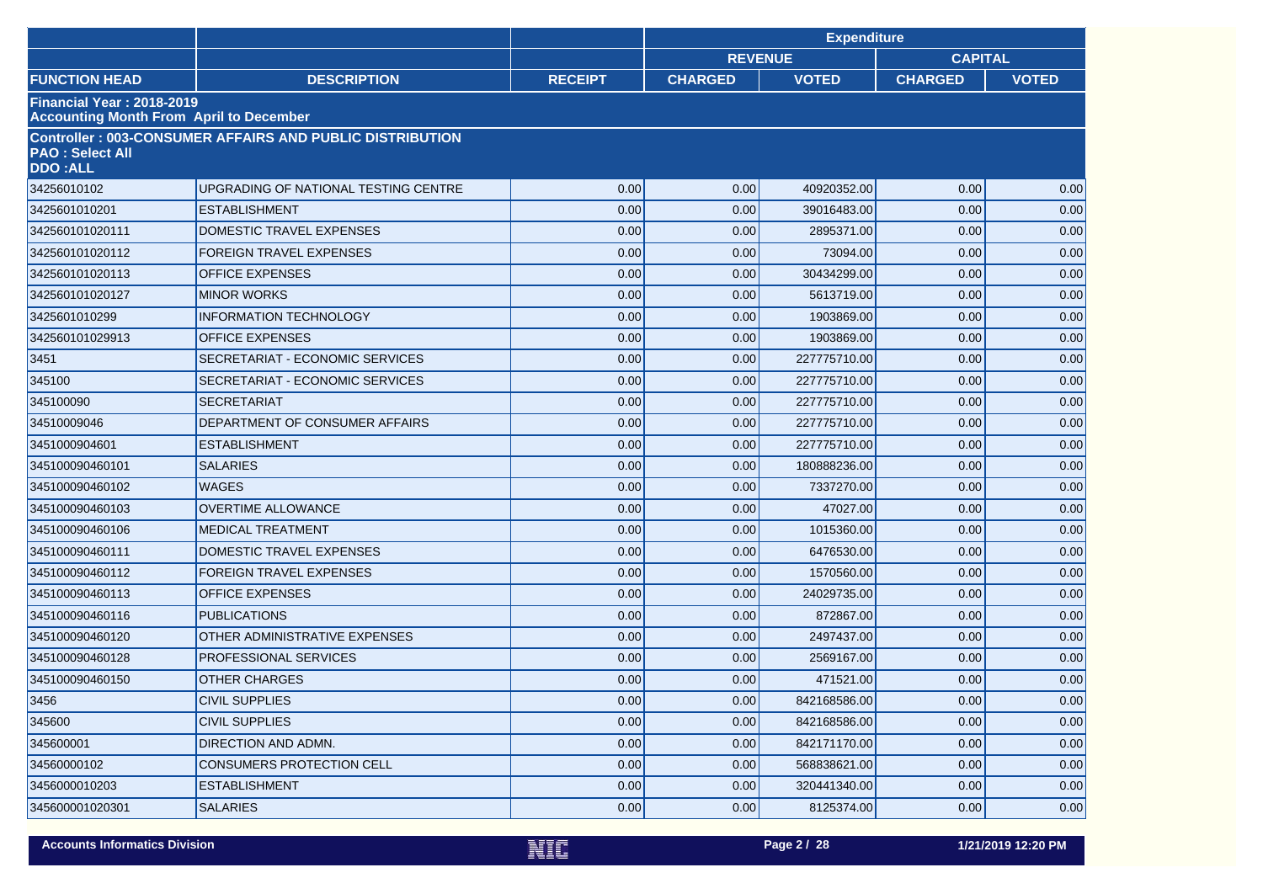|                                                                             |                                                                 |                | <b>Expenditure</b> |              |                |              |  |
|-----------------------------------------------------------------------------|-----------------------------------------------------------------|----------------|--------------------|--------------|----------------|--------------|--|
|                                                                             |                                                                 |                | <b>REVENUE</b>     |              | <b>CAPITAL</b> |              |  |
| <b>FUNCTION HEAD</b>                                                        | <b>DESCRIPTION</b>                                              | <b>RECEIPT</b> | <b>CHARGED</b>     | <b>VOTED</b> | <b>CHARGED</b> | <b>VOTED</b> |  |
| Financial Year: 2018-2019<br><b>Accounting Month From April to December</b> |                                                                 |                |                    |              |                |              |  |
| <b>PAO: Select All</b><br><b>DDO:ALL</b>                                    | <b>Controller: 003-CONSUMER AFFAIRS AND PUBLIC DISTRIBUTION</b> |                |                    |              |                |              |  |
| 34256010102                                                                 | UPGRADING OF NATIONAL TESTING CENTRE                            | 0.00           | 0.00               | 40920352.00  | 0.00           | 0.00         |  |
| 3425601010201                                                               | <b>ESTABLISHMENT</b>                                            | 0.00           | 0.00               | 39016483.00  | 0.00           | 0.00         |  |
| 342560101020111                                                             | DOMESTIC TRAVEL EXPENSES                                        | 0.00           | 0.00               | 2895371.00   | 0.00           | 0.00         |  |
| 342560101020112                                                             | <b>FOREIGN TRAVEL EXPENSES</b>                                  | 0.00           | 0.00               | 73094.00     | 0.00           | 0.00         |  |
| 342560101020113                                                             | <b>OFFICE EXPENSES</b>                                          | 0.00           | 0.00               | 30434299.00  | 0.00           | 0.00         |  |
| 342560101020127                                                             | <b>MINOR WORKS</b>                                              | 0.00           | 0.00               | 5613719.00   | 0.00           | 0.00         |  |
| 3425601010299                                                               | <b>INFORMATION TECHNOLOGY</b>                                   | 0.00           | 0.00               | 1903869.00   | 0.00           | 0.00         |  |
| 342560101029913                                                             | <b>OFFICE EXPENSES</b>                                          | 0.00           | 0.00               | 1903869.00   | 0.00           | 0.00         |  |
| 3451                                                                        | SECRETARIAT - ECONOMIC SERVICES                                 | 0.00           | 0.00               | 227775710.00 | 0.00           | 0.00         |  |
| 345100                                                                      | SECRETARIAT - ECONOMIC SERVICES                                 | 0.00           | 0.00               | 227775710.00 | 0.00           | 0.00         |  |
| 345100090                                                                   | <b>SECRETARIAT</b>                                              | 0.00           | 0.00               | 227775710.00 | 0.00           | 0.00         |  |
| 34510009046                                                                 | DEPARTMENT OF CONSUMER AFFAIRS                                  | 0.00           | 0.00               | 227775710.00 | 0.00           | 0.00         |  |
| 3451000904601                                                               | <b>ESTABLISHMENT</b>                                            | 0.00           | 0.00               | 227775710.00 | 0.00           | 0.00         |  |
| 345100090460101                                                             | <b>SALARIES</b>                                                 | 0.00           | 0.00               | 180888236.00 | 0.00           | 0.00         |  |
| 345100090460102                                                             | <b>WAGES</b>                                                    | 0.00           | 0.00               | 7337270.00   | 0.00           | 0.00         |  |
| 345100090460103                                                             | <b>OVERTIME ALLOWANCE</b>                                       | 0.00           | 0.00               | 47027.00     | 0.00           | 0.00         |  |
| 345100090460106                                                             | <b>MEDICAL TREATMENT</b>                                        | 0.00           | 0.00               | 1015360.00   | 0.00           | 0.00         |  |
| 345100090460111                                                             | DOMESTIC TRAVEL EXPENSES                                        | 0.00           | 0.00               | 6476530.00   | 0.00           | 0.00         |  |
| 345100090460112                                                             | <b>FOREIGN TRAVEL EXPENSES</b>                                  | 0.00           | 0.00               | 1570560.00   | 0.00           | 0.00         |  |
| 345100090460113                                                             | <b>OFFICE EXPENSES</b>                                          | 0.00           | 0.00               | 24029735.00  | 0.00           | 0.00         |  |
| 345100090460116                                                             | <b>PUBLICATIONS</b>                                             | 0.00           | 0.00               | 872867.00    | 0.00           | 0.00         |  |
| 345100090460120                                                             | OTHER ADMINISTRATIVE EXPENSES                                   | 0.00           | 0.00               | 2497437.00   | 0.00           | 0.00         |  |
| 345100090460128                                                             | PROFESSIONAL SERVICES                                           | 0.00           | 0.00               | 2569167.00   | 0.00           | 0.00         |  |
| 345100090460150                                                             | <b>OTHER CHARGES</b>                                            | 0.00           | 0.00               | 471521.00    | 0.00           | 0.00         |  |
| 3456                                                                        | <b>CIVIL SUPPLIES</b>                                           | 0.00           | 0.00               | 842168586.00 | 0.00           | $0.00\,$     |  |
| 345600                                                                      | <b>CIVIL SUPPLIES</b>                                           | 0.00           | 0.00               | 842168586.00 | 0.00           | 0.00         |  |
| 345600001                                                                   | DIRECTION AND ADMN.                                             | 0.00           | 0.00               | 842171170.00 | 0.00           | 0.00         |  |
| 34560000102                                                                 | <b>CONSUMERS PROTECTION CELL</b>                                | 0.00           | 0.00               | 568838621.00 | 0.00           | 0.00         |  |
| 3456000010203                                                               | ESTABLISHMENT                                                   | 0.00           | 0.00               | 320441340.00 | 0.00           | 0.00         |  |
| 345600001020301                                                             | <b>SALARIES</b>                                                 | 0.00           | 0.00               | 8125374.00   | 0.00           | 0.00         |  |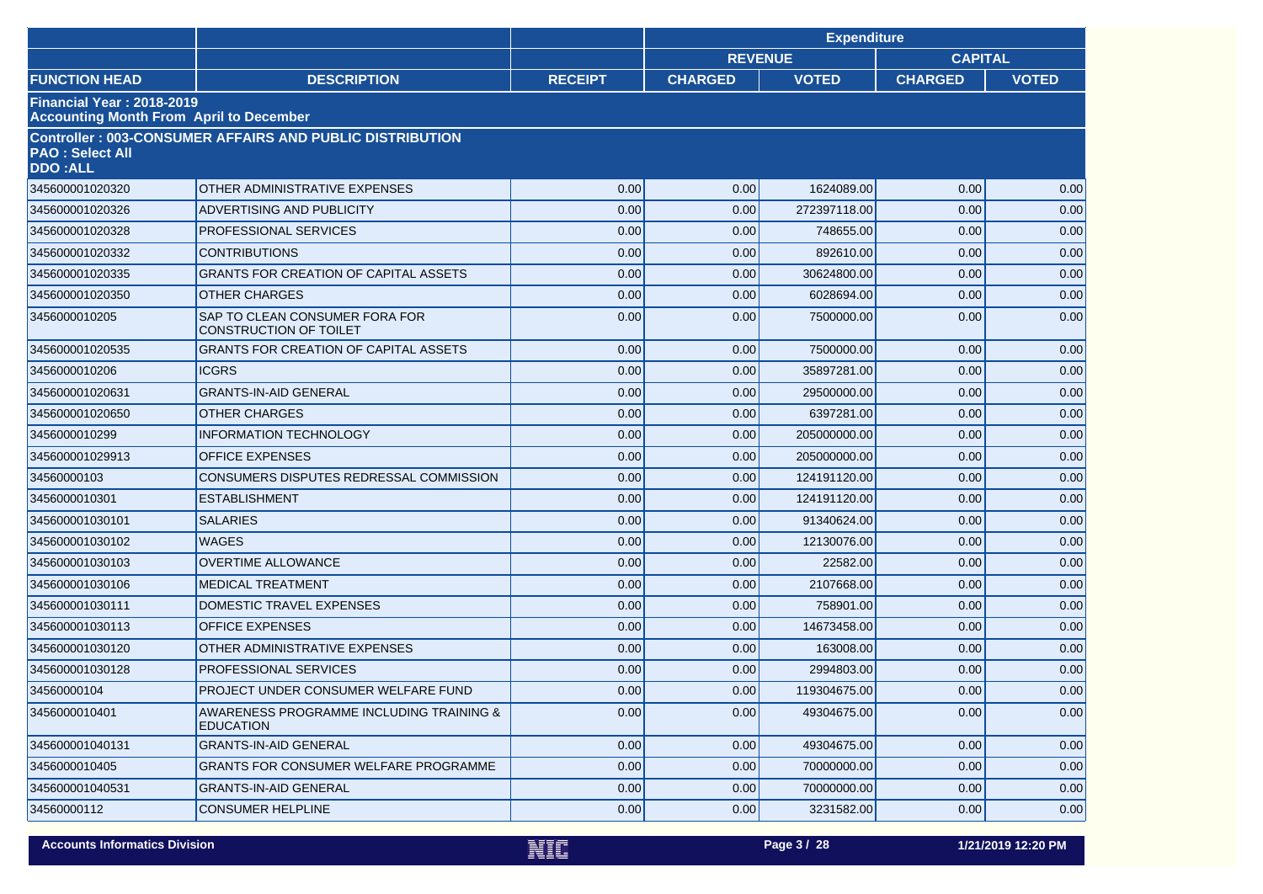|                                                                             |                                                                 |                | <b>Expenditure</b> |                |                |              |
|-----------------------------------------------------------------------------|-----------------------------------------------------------------|----------------|--------------------|----------------|----------------|--------------|
|                                                                             |                                                                 |                |                    | <b>REVENUE</b> | <b>CAPITAL</b> |              |
| <b>FUNCTION HEAD</b>                                                        | <b>DESCRIPTION</b>                                              | <b>RECEIPT</b> | <b>CHARGED</b>     | <b>VOTED</b>   | <b>CHARGED</b> | <b>VOTED</b> |
| Financial Year: 2018-2019<br><b>Accounting Month From April to December</b> |                                                                 |                |                    |                |                |              |
| <b>PAO: Select All</b><br><b>DDO:ALL</b>                                    | <b>Controller: 003-CONSUMER AFFAIRS AND PUBLIC DISTRIBUTION</b> |                |                    |                |                |              |
| 345600001020320                                                             | OTHER ADMINISTRATIVE EXPENSES                                   | 0.00           | 0.00               | 1624089.00     | 0.00           | 0.00         |
| 345600001020326                                                             | ADVERTISING AND PUBLICITY                                       | 0.00           | 0.00               | 272397118.00   | 0.00           | 0.00         |
| 345600001020328                                                             | PROFESSIONAL SERVICES                                           | 0.00           | 0.00               | 748655.00      | 0.00           | 0.00         |
| 345600001020332                                                             | <b>CONTRIBUTIONS</b>                                            | 0.00           | 0.00               | 892610.00      | 0.00           | 0.00         |
| 345600001020335                                                             | GRANTS FOR CREATION OF CAPITAL ASSETS                           | 0.00           | 0.00               | 30624800.00    | 0.00           | 0.00         |
| 345600001020350                                                             | <b>OTHER CHARGES</b>                                            | 0.00           | 0.00               | 6028694.00     | 0.00           | 0.00         |
| 3456000010205                                                               | SAP TO CLEAN CONSUMER FORA FOR<br><b>CONSTRUCTION OF TOILET</b> | 0.00           | 0.00               | 7500000.00     | 0.00           | 0.00         |
| 345600001020535                                                             | GRANTS FOR CREATION OF CAPITAL ASSETS                           | 0.00           | 0.00               | 7500000.00     | 0.00           | 0.00         |
| 3456000010206                                                               | <b>ICGRS</b>                                                    | 0.00           | 0.00               | 35897281.00    | 0.00           | 0.00         |
| 345600001020631                                                             | <b>GRANTS-IN-AID GENERAL</b>                                    | 0.00           | 0.00               | 29500000.00    | 0.00           | 0.00         |
| 345600001020650                                                             | <b>OTHER CHARGES</b>                                            | 0.00           | 0.00               | 6397281.00     | 0.00           | 0.00         |
| 3456000010299                                                               | <b>INFORMATION TECHNOLOGY</b>                                   | 0.00           | 0.00               | 205000000.00   | 0.00           | 0.00         |
| 345600001029913                                                             | OFFICE EXPENSES                                                 | 0.00           | 0.00               | 205000000.00   | 0.00           | 0.00         |
| 34560000103                                                                 | CONSUMERS DISPUTES REDRESSAL COMMISSION                         | 0.00           | 0.00               | 124191120.00   | 0.00           | 0.00         |
| 3456000010301                                                               | <b>ESTABLISHMENT</b>                                            | 0.00           | 0.00               | 124191120.00   | 0.00           | 0.00         |
| 345600001030101                                                             | <b>SALARIES</b>                                                 | 0.00           | 0.00               | 91340624.00    | 0.00           | 0.00         |
| 345600001030102                                                             | <b>WAGES</b>                                                    | 0.00           | 0.00               | 12130076.00    | 0.00           | 0.00         |
| 345600001030103                                                             | <b>OVERTIME ALLOWANCE</b>                                       | 0.00           | 0.00               | 22582.00       | 0.00           | 0.00         |
| 345600001030106                                                             | <b>MEDICAL TREATMENT</b>                                        | 0.00           | 0.00               | 2107668.00     | 0.00           | 0.00         |
| 345600001030111                                                             | DOMESTIC TRAVEL EXPENSES                                        | 0.00           | 0.00               | 758901.00      | 0.00           | 0.00         |
| 345600001030113                                                             | <b>OFFICE EXPENSES</b>                                          | 0.00           | 0.00               | 14673458.00    | 0.00           | 0.00         |
| 345600001030120                                                             | OTHER ADMINISTRATIVE EXPENSES                                   | 0.00           | 0.00               | 163008.00      | 0.00           | 0.00         |
| 345600001030128                                                             | <b>PROFESSIONAL SERVICES</b>                                    | 0.00           | 0.00               | 2994803.00     | 0.00           | 0.00         |
| 34560000104                                                                 | PROJECT UNDER CONSUMER WELFARE FUND                             | 0.00           | 0.00               | 119304675.00   | 0.00           | 0.00         |
| 3456000010401                                                               | AWARENESS PROGRAMME INCLUDING TRAINING &<br><b>EDUCATION</b>    | 0.00           | 0.00               | 49304675.00    | 0.00           | 0.00         |
| 345600001040131                                                             | <b>GRANTS-IN-AID GENERAL</b>                                    | 0.00           | 0.00               | 49304675.00    | 0.00           | 0.00         |
| 3456000010405                                                               | <b>GRANTS FOR CONSUMER WELFARE PROGRAMME</b>                    | 0.00           | 0.00               | 70000000.00    | 0.00           | 0.00         |
| 345600001040531                                                             | <b>GRANTS-IN-AID GENERAL</b>                                    | 0.00           | 0.00               | 70000000.00    | 0.00           | 0.00         |
| 34560000112                                                                 | <b>CONSUMER HELPLINE</b>                                        | 0.00           | 0.00               | 3231582.00     | 0.00           | 0.00         |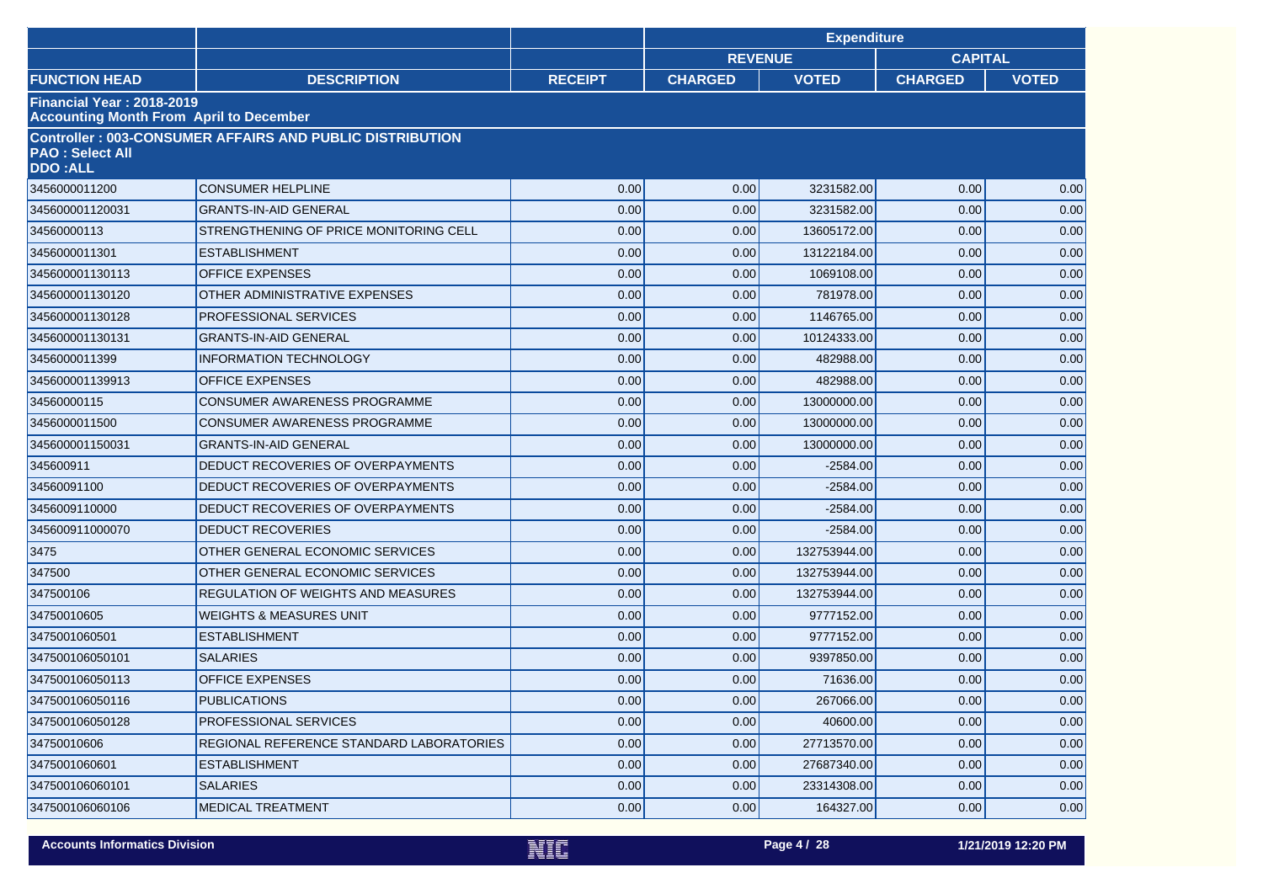|                                                                                    |                                                                 |                | <b>Expenditure</b> |              |                |              |  |
|------------------------------------------------------------------------------------|-----------------------------------------------------------------|----------------|--------------------|--------------|----------------|--------------|--|
|                                                                                    |                                                                 |                | <b>REVENUE</b>     |              | <b>CAPITAL</b> |              |  |
| <b>FUNCTION HEAD</b>                                                               | <b>DESCRIPTION</b>                                              | <b>RECEIPT</b> | <b>CHARGED</b>     | <b>VOTED</b> | <b>CHARGED</b> | <b>VOTED</b> |  |
| <b>Financial Year: 2018-2019</b><br><b>Accounting Month From April to December</b> |                                                                 |                |                    |              |                |              |  |
| <b>PAO: Select All</b><br><b>DDO:ALL</b>                                           | <b>Controller: 003-CONSUMER AFFAIRS AND PUBLIC DISTRIBUTION</b> |                |                    |              |                |              |  |
| 3456000011200                                                                      | <b>CONSUMER HELPLINE</b>                                        | 0.00           | 0.00               | 3231582.00   | 0.00           | 0.00         |  |
| 345600001120031                                                                    | <b>GRANTS-IN-AID GENERAL</b>                                    | 0.00           | 0.00               | 3231582.00   | 0.00           | 0.00         |  |
| 34560000113                                                                        | STRENGTHENING OF PRICE MONITORING CELL                          | 0.00           | 0.00               | 13605172.00  | 0.00           | 0.00         |  |
| 3456000011301                                                                      | <b>ESTABLISHMENT</b>                                            | 0.00           | 0.00               | 13122184.00  | 0.00           | 0.00         |  |
| 345600001130113                                                                    | <b>OFFICE EXPENSES</b>                                          | 0.00           | 0.00               | 1069108.00   | 0.00           | 0.00         |  |
| 345600001130120                                                                    | OTHER ADMINISTRATIVE EXPENSES                                   | 0.00           | 0.00               | 781978.00    | 0.00           | 0.00         |  |
| 345600001130128                                                                    | <b>PROFESSIONAL SERVICES</b>                                    | 0.00           | 0.00               | 1146765.00   | 0.00           | 0.00         |  |
| 345600001130131                                                                    | <b>GRANTS-IN-AID GENERAL</b>                                    | 0.00           | 0.00               | 10124333.00  | 0.00           | 0.00         |  |
| 3456000011399                                                                      | <b>INFORMATION TECHNOLOGY</b>                                   | 0.00           | 0.00               | 482988.00    | 0.00           | 0.00         |  |
| 345600001139913                                                                    | <b>OFFICE EXPENSES</b>                                          | 0.00           | 0.00               | 482988.00    | 0.00           | 0.00         |  |
| 34560000115                                                                        | CONSUMER AWARENESS PROGRAMME                                    | 0.00           | 0.00               | 13000000.00  | 0.00           | 0.00         |  |
| 3456000011500                                                                      | CONSUMER AWARENESS PROGRAMME                                    | 0.00           | 0.00               | 13000000.00  | 0.00           | 0.00         |  |
| 345600001150031                                                                    | <b>GRANTS-IN-AID GENERAL</b>                                    | 0.00           | 0.00               | 13000000.00  | 0.00           | 0.00         |  |
| 345600911                                                                          | DEDUCT RECOVERIES OF OVERPAYMENTS                               | 0.00           | 0.00               | $-2584.00$   | 0.00           | 0.00         |  |
| 34560091100                                                                        | DEDUCT RECOVERIES OF OVERPAYMENTS                               | 0.00           | 0.00               | $-2584.00$   | 0.00           | 0.00         |  |
| 3456009110000                                                                      | DEDUCT RECOVERIES OF OVERPAYMENTS                               | 0.00           | 0.00               | $-2584.00$   | 0.00           | 0.00         |  |
| 345600911000070                                                                    | <b>DEDUCT RECOVERIES</b>                                        | 0.00           | 0.00               | $-2584.00$   | 0.00           | 0.00         |  |
| 3475                                                                               | OTHER GENERAL ECONOMIC SERVICES                                 | 0.00           | 0.00               | 132753944.00 | 0.00           | 0.00         |  |
| 347500                                                                             | OTHER GENERAL ECONOMIC SERVICES                                 | 0.00           | 0.00               | 132753944.00 | 0.00           | 0.00         |  |
| 347500106                                                                          | <b>REGULATION OF WEIGHTS AND MEASURES</b>                       | 0.00           | 0.00               | 132753944.00 | 0.00           | 0.00         |  |
| 34750010605                                                                        | <b>WEIGHTS &amp; MEASURES UNIT</b>                              | 0.00           | 0.00               | 9777152.00   | 0.00           | 0.00         |  |
| 3475001060501                                                                      | <b>ESTABLISHMENT</b>                                            | 0.00           | 0.00               | 9777152.00   | 0.00           | 0.00         |  |
| 347500106050101                                                                    | <b>SALARIES</b>                                                 | 0.00           | 0.00               | 9397850.00   | 0.00           | 0.00         |  |
| 347500106050113                                                                    | <b>OFFICE EXPENSES</b>                                          | 0.00           | 0.00               | 71636.00     | 0.00           | 0.00         |  |
| 347500106050116                                                                    | <b>PUBLICATIONS</b>                                             | 0.00           | 0.00               | 267066.00    | 0.00           | $0.00\,$     |  |
| 347500106050128                                                                    | PROFESSIONAL SERVICES                                           | 0.00           | 0.00               | 40600.00     | 0.00           | 0.00         |  |
| 34750010606                                                                        | REGIONAL REFERENCE STANDARD LABORATORIES                        | 0.00           | 0.00               | 27713570.00  | 0.00           | 0.00         |  |
| 3475001060601                                                                      | <b>ESTABLISHMENT</b>                                            | 0.00           | 0.00               | 27687340.00  | 0.00           | 0.00         |  |
| 347500106060101                                                                    | <b>SALARIES</b>                                                 | 0.00           | 0.00               | 23314308.00  | 0.00           | 0.00         |  |
| 347500106060106                                                                    | <b>MEDICAL TREATMENT</b>                                        | 0.00           | 0.00               | 164327.00    | 0.00           | 0.00         |  |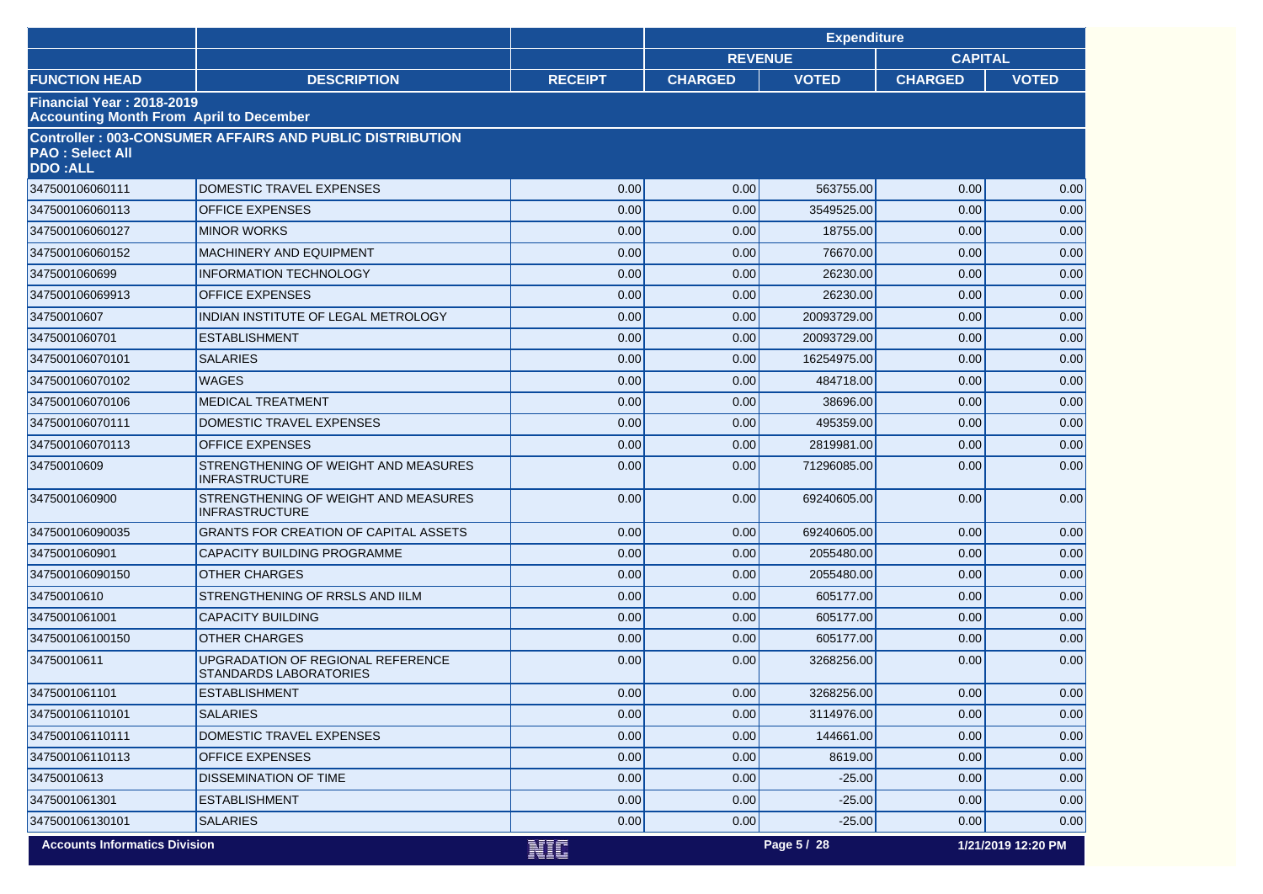|                                          |                                                                    |                | <b>Expenditure</b> |              |                |                    |
|------------------------------------------|--------------------------------------------------------------------|----------------|--------------------|--------------|----------------|--------------------|
|                                          |                                                                    |                | <b>REVENUE</b>     |              | <b>CAPITAL</b> |                    |
| <b>FUNCTION HEAD</b>                     | <b>DESCRIPTION</b>                                                 | <b>RECEIPT</b> | <b>CHARGED</b>     | <b>VOTED</b> | <b>CHARGED</b> | <b>VOTED</b>       |
| <b>Financial Year: 2018-2019</b>         | <b>Accounting Month From April to December</b>                     |                |                    |              |                |                    |
| <b>PAO: Select All</b><br><b>DDO:ALL</b> | <b>Controller: 003-CONSUMER AFFAIRS AND PUBLIC DISTRIBUTION</b>    |                |                    |              |                |                    |
| 347500106060111                          | DOMESTIC TRAVEL EXPENSES                                           | 0.00           | 0.00               | 563755.00    | 0.00           | 0.00               |
| 347500106060113                          | <b>OFFICE EXPENSES</b>                                             | 0.00           | 0.00               | 3549525.00   | 0.00           | 0.00               |
| 347500106060127                          | <b>MINOR WORKS</b>                                                 | 0.00           | 0.00               | 18755.00     | 0.00           | 0.00               |
| 347500106060152                          | <b>MACHINERY AND EQUIPMENT</b>                                     | 0.00           | 0.00               | 76670.00     | 0.00           | 0.00               |
| 3475001060699                            | <b>INFORMATION TECHNOLOGY</b>                                      | 0.00           | 0.00               | 26230.00     | 0.00           | 0.00               |
| 347500106069913                          | <b>OFFICE EXPENSES</b>                                             | 0.00           | 0.00               | 26230.00     | 0.00           | 0.00               |
| 34750010607                              | INDIAN INSTITUTE OF LEGAL METROLOGY                                | 0.00           | 0.00               | 20093729.00  | 0.00           | 0.00               |
| 3475001060701                            | <b>ESTABLISHMENT</b>                                               | 0.00           | 0.00               | 20093729.00  | 0.00           | 0.00               |
| 347500106070101                          | <b>SALARIES</b>                                                    | 0.00           | 0.00               | 16254975.00  | 0.00           | 0.00               |
| 347500106070102                          | <b>WAGES</b>                                                       | 0.00           | 0.00               | 484718.00    | 0.00           | 0.00               |
| 347500106070106                          | <b>MEDICAL TREATMENT</b>                                           | 0.00           | 0.00               | 38696.00     | 0.00           | 0.00               |
| 347500106070111                          | DOMESTIC TRAVEL EXPENSES                                           | 0.00           | 0.00               | 495359.00    | 0.00           | 0.00               |
| 347500106070113                          | <b>OFFICE EXPENSES</b>                                             | 0.00           | 0.00               | 2819981.00   | 0.00           | 0.00               |
| 34750010609                              | STRENGTHENING OF WEIGHT AND MEASURES<br><b>INFRASTRUCTURE</b>      | 0.00           | 0.00               | 71296085.00  | 0.00           | 0.00               |
| 3475001060900                            | STRENGTHENING OF WEIGHT AND MEASURES<br><b>INFRASTRUCTURE</b>      | 0.00           | 0.00               | 69240605.00  | 0.00           | 0.00               |
| 347500106090035                          | <b>GRANTS FOR CREATION OF CAPITAL ASSETS</b>                       | 0.00           | 0.00               | 69240605.00  | 0.00           | 0.00               |
| 3475001060901                            | CAPACITY BUILDING PROGRAMME                                        | 0.00           | 0.00               | 2055480.00   | 0.00           | 0.00               |
| 347500106090150                          | <b>OTHER CHARGES</b>                                               | 0.00           | 0.00               | 2055480.00   | 0.00           | 0.00               |
| 34750010610                              | STRENGTHENING OF RRSLS AND IILM                                    | 0.00           | 0.00               | 605177.00    | 0.00           | 0.00               |
| 3475001061001                            | <b>CAPACITY BUILDING</b>                                           | 0.00           | 0.00               | 605177.00    | 0.00           | 0.00               |
| 347500106100150                          | <b>OTHER CHARGES</b>                                               | 0.00           | 0.00               | 605177.00    | 0.00           | 0.00               |
| 34750010611                              | UPGRADATION OF REGIONAL REFERENCE<br><b>STANDARDS LABORATORIES</b> | 0.00           | 0.00               | 3268256.00   | 0.00           | 0.00               |
| 3475001061101                            | <b>ESTABLISHMENT</b>                                               | 0.00           | 0.00               | 3268256.00   | 0.00           | 0.00               |
| 347500106110101                          | <b>SALARIES</b>                                                    | 0.00           | 0.00               | 3114976.00   | 0.00           | 0.00               |
| 347500106110111                          | DOMESTIC TRAVEL EXPENSES                                           | 0.00           | 0.00               | 144661.00    | 0.00           | 0.00               |
| 347500106110113                          | <b>OFFICE EXPENSES</b>                                             | 0.00           | 0.00               | 8619.00      | 0.00           | 0.00               |
| 34750010613                              | DISSEMINATION OF TIME                                              | 0.00           | 0.00               | $-25.00$     | 0.00           | 0.00               |
| 3475001061301                            | <b>ESTABLISHMENT</b>                                               | 0.00           | 0.00               | $-25.00$     | 0.00           | 0.00               |
| 347500106130101                          | <b>SALARIES</b>                                                    | 0.00           | 0.00               | $-25.00$     | 0.00           | 0.00               |
| <b>Accounts Informatics Division</b>     |                                                                    | NIC            |                    | Page 5 / 28  |                | 1/21/2019 12:20 PM |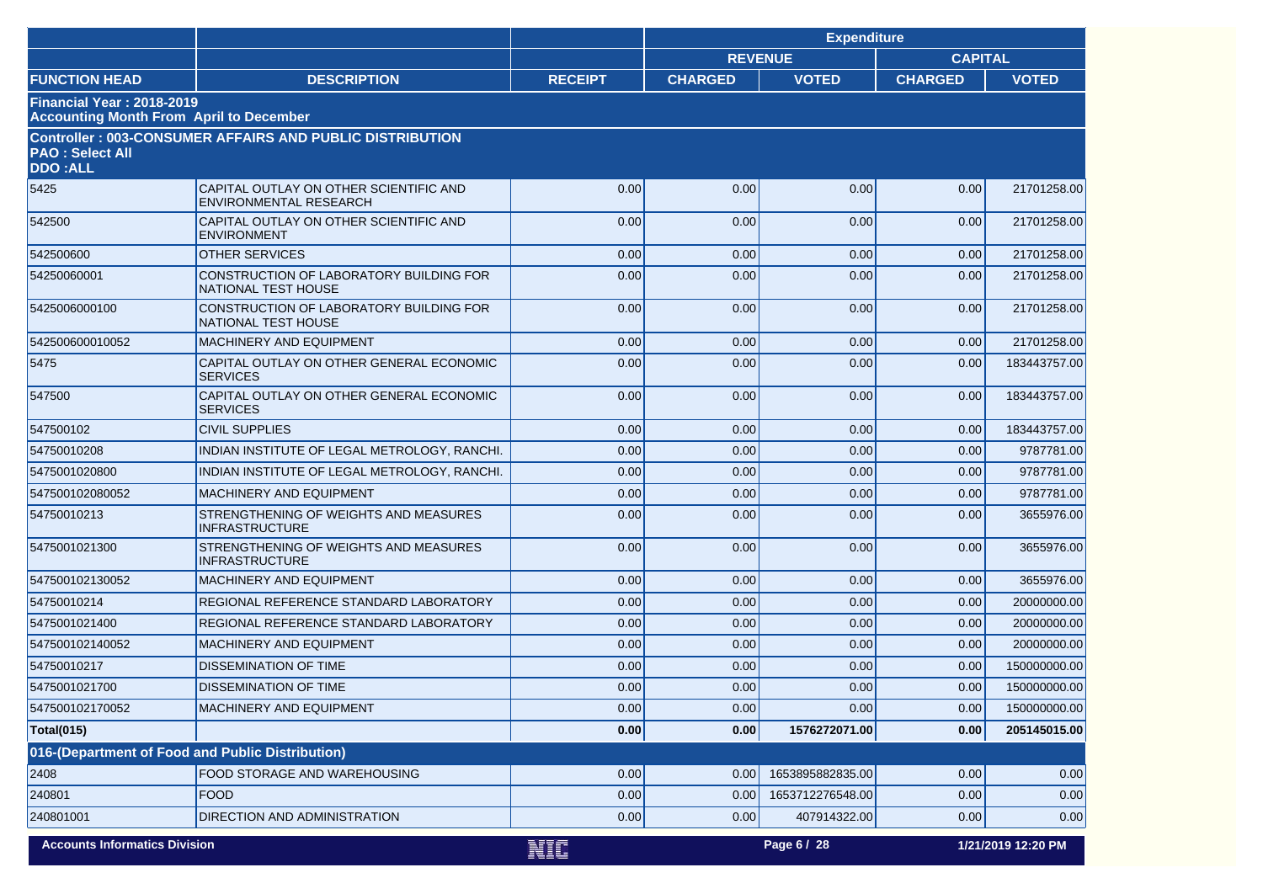|                                          |                                                                       |                | <b>Expenditure</b> |                  |                |                    |
|------------------------------------------|-----------------------------------------------------------------------|----------------|--------------------|------------------|----------------|--------------------|
|                                          |                                                                       |                | <b>REVENUE</b>     |                  | <b>CAPITAL</b> |                    |
| <b>FUNCTION HEAD</b>                     | <b>DESCRIPTION</b>                                                    | <b>RECEIPT</b> | <b>CHARGED</b>     | <b>VOTED</b>     | <b>CHARGED</b> | <b>VOTED</b>       |
| <b>Financial Year: 2018-2019</b>         | <b>Accounting Month From April to December</b>                        |                |                    |                  |                |                    |
| <b>PAO: Select All</b><br><b>DDO:ALL</b> | <b>Controller: 003-CONSUMER AFFAIRS AND PUBLIC DISTRIBUTION</b>       |                |                    |                  |                |                    |
| 5425                                     | CAPITAL OUTLAY ON OTHER SCIENTIFIC AND                                | 0.00           | 0.00               | 0.00             | 0.00           | 21701258.00        |
|                                          | ENVIRONMENTAL RESEARCH                                                |                |                    |                  |                |                    |
| 542500                                   | CAPITAL OUTLAY ON OTHER SCIENTIFIC AND<br><b>ENVIRONMENT</b>          | 0.00           | 0.00               | 0.00             | 0.00           | 21701258.00        |
| 542500600                                | <b>OTHER SERVICES</b>                                                 | 0.00           | 0.00               | 0.00             | 0.00           | 21701258.00        |
| 54250060001                              | CONSTRUCTION OF LABORATORY BUILDING FOR<br><b>NATIONAL TEST HOUSE</b> | 0.00           | 0.00               | 0.00             | 0.00           | 21701258.00        |
| 5425006000100                            | CONSTRUCTION OF LABORATORY BUILDING FOR<br>NATIONAL TEST HOUSE        | 0.00           | 0.00               | 0.00             | 0.00           | 21701258.00        |
| 542500600010052                          | <b>MACHINERY AND EQUIPMENT</b>                                        | 0.00           | 0.00               | 0.00             | 0.00           | 21701258.00        |
| 5475                                     | CAPITAL OUTLAY ON OTHER GENERAL ECONOMIC<br><b>SERVICES</b>           | 0.00           | 0.00               | 0.00             | 0.00           | 183443757.00       |
| 547500                                   | CAPITAL OUTLAY ON OTHER GENERAL ECONOMIC<br><b>SERVICES</b>           | 0.00           | 0.00               | 0.00             | 0.00           | 183443757.00       |
| 547500102                                | <b>CIVIL SUPPLIES</b>                                                 | 0.00           | 0.00               | 0.00             | 0.00           | 183443757.00       |
| 54750010208                              | INDIAN INSTITUTE OF LEGAL METROLOGY, RANCHI.                          | 0.00           | 0.00               | 0.00             | 0.00           | 9787781.00         |
| 5475001020800                            | INDIAN INSTITUTE OF LEGAL METROLOGY, RANCHI.                          | 0.00           | 0.00               | 0.00             | 0.00           | 9787781.00         |
| 547500102080052                          | <b>MACHINERY AND EQUIPMENT</b>                                        | 0.00           | 0.00               | 0.00             | 0.00           | 9787781.00         |
| 54750010213                              | STRENGTHENING OF WEIGHTS AND MEASURES<br><b>INFRASTRUCTURE</b>        | 0.00           | 0.00               | 0.00             | 0.00           | 3655976.00         |
| 5475001021300                            | STRENGTHENING OF WEIGHTS AND MEASURES<br><b>INFRASTRUCTURE</b>        | 0.00           | 0.00               | 0.00             | 0.00           | 3655976.00         |
| 547500102130052                          | <b>MACHINERY AND EQUIPMENT</b>                                        | 0.00           | 0.00               | 0.00             | 0.00           | 3655976.00         |
| 54750010214                              | REGIONAL REFERENCE STANDARD LABORATORY                                | 0.00           | 0.00               | 0.00             | 0.00           | 20000000.00        |
| 5475001021400                            | REGIONAL REFERENCE STANDARD LABORATORY                                | 0.00           | 0.00               | 0.00             | 0.00           | 20000000.00        |
| 547500102140052                          | MACHINERY AND EQUIPMENT                                               | 0.00           | 0.00               | 0.00             | 0.00           | 20000000.00        |
| 54750010217                              | <b>DISSEMINATION OF TIME</b>                                          | 0.00           | 0.00               | 0.00             | 0.00           | 150000000.00       |
| 5475001021700                            | <b>DISSEMINATION OF TIME</b>                                          | 0.00           | 0.00               | 0.00             | 0.00           | 150000000.00       |
| 547500102170052                          | <b>MACHINERY AND EQUIPMENT</b>                                        | 0.00           | 0.00               | 0.00             | 0.00           | 150000000.00       |
| <b>Total(015)</b>                        |                                                                       | 0.00           | 0.00               | 1576272071.00    | 0.00           | 205145015.00       |
|                                          | 016-(Department of Food and Public Distribution)                      |                |                    |                  |                |                    |
| 2408                                     | FOOD STORAGE AND WAREHOUSING                                          | 0.00           | 0.00               | 1653895882835.00 | 0.00           | 0.00               |
| 240801                                   | <b>FOOD</b>                                                           | 0.00           | 0.00               | 1653712276548.00 | 0.00           | 0.00               |
| 240801001                                | DIRECTION AND ADMINISTRATION                                          | 0.00           | 0.00               | 407914322.00     | 0.00           | 0.00               |
| <b>Accounts Informatics Division</b>     |                                                                       | NTC            |                    | Page 6 / 28      |                | 1/21/2019 12:20 PM |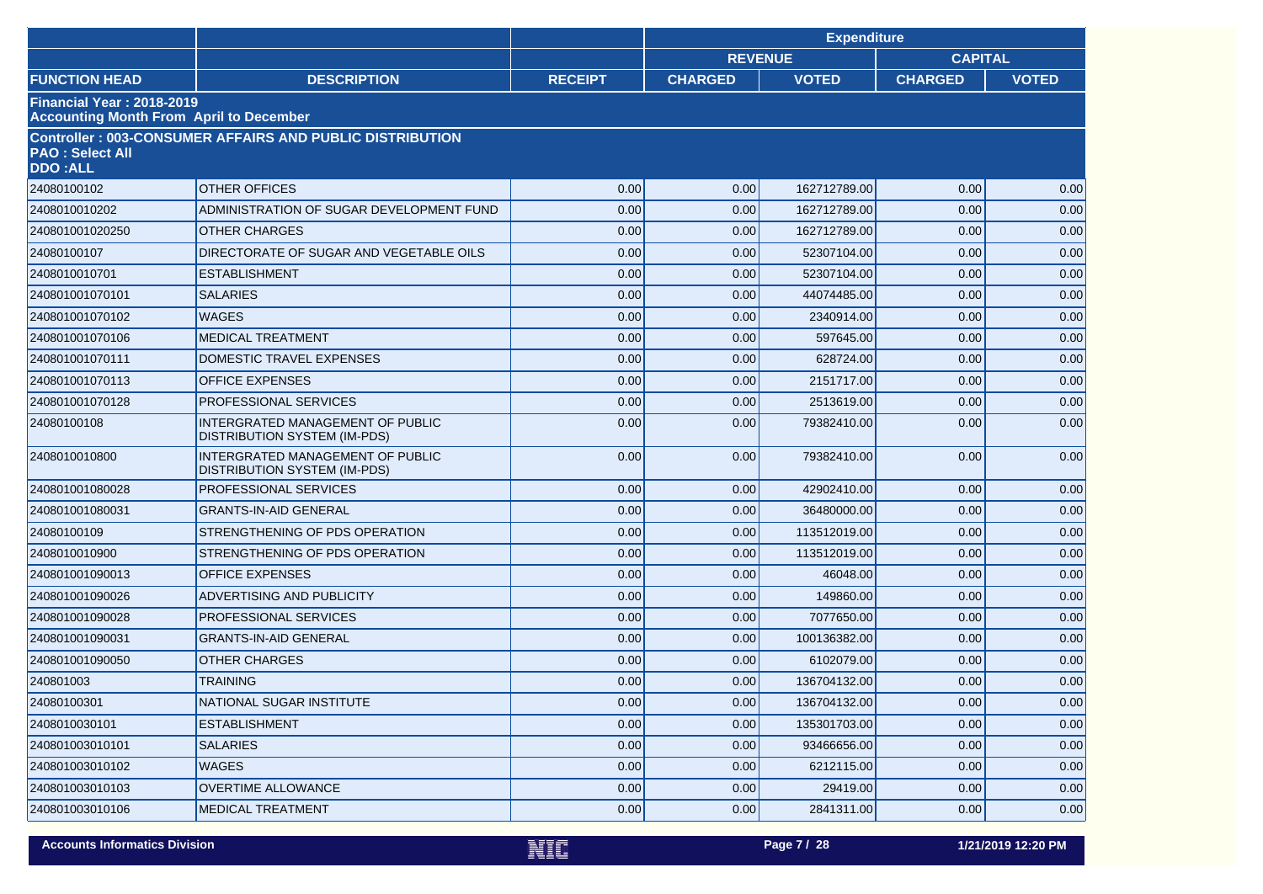|                                                                                    |                                                                         |                | <b>Expenditure</b>               |              |                |              |  |
|------------------------------------------------------------------------------------|-------------------------------------------------------------------------|----------------|----------------------------------|--------------|----------------|--------------|--|
|                                                                                    |                                                                         |                | <b>REVENUE</b><br><b>CAPITAL</b> |              |                |              |  |
| <b>FUNCTION HEAD</b>                                                               | <b>DESCRIPTION</b>                                                      | <b>RECEIPT</b> | <b>CHARGED</b>                   | <b>VOTED</b> | <b>CHARGED</b> | <b>VOTED</b> |  |
| <b>Financial Year: 2018-2019</b><br><b>Accounting Month From April to December</b> |                                                                         |                |                                  |              |                |              |  |
| <b>PAO: Select All</b><br><b>DDO:ALL</b>                                           | <b>Controller: 003-CONSUMER AFFAIRS AND PUBLIC DISTRIBUTION</b>         |                |                                  |              |                |              |  |
| 24080100102                                                                        | <b>OTHER OFFICES</b>                                                    | 0.00           | 0.00                             | 162712789.00 | 0.00           | 0.00         |  |
| 2408010010202                                                                      | ADMINISTRATION OF SUGAR DEVELOPMENT FUND                                | 0.00           | 0.00                             | 162712789.00 | 0.00           | 0.00         |  |
| 240801001020250                                                                    | <b>OTHER CHARGES</b>                                                    | 0.00           | 0.00                             | 162712789.00 | 0.00           | 0.00         |  |
| 24080100107                                                                        | DIRECTORATE OF SUGAR AND VEGETABLE OILS                                 | 0.00           | 0.00                             | 52307104.00  | 0.00           | 0.00         |  |
| 2408010010701                                                                      | <b>ESTABLISHMENT</b>                                                    | 0.00           | 0.00                             | 52307104.00  | 0.00           | 0.00         |  |
| 240801001070101                                                                    | <b>SALARIES</b>                                                         | 0.00           | 0.00                             | 44074485.00  | 0.00           | 0.00         |  |
| 240801001070102                                                                    | <b>WAGES</b>                                                            | 0.00           | 0.00                             | 2340914.00   | 0.00           | 0.00         |  |
| 240801001070106                                                                    | <b>MEDICAL TREATMENT</b>                                                | 0.00           | 0.00                             | 597645.00    | 0.00           | 0.00         |  |
| 240801001070111                                                                    | DOMESTIC TRAVEL EXPENSES                                                | 0.00           | 0.00                             | 628724.00    | 0.00           | 0.00         |  |
| 240801001070113                                                                    | <b>OFFICE EXPENSES</b>                                                  | 0.00           | 0.00                             | 2151717.00   | 0.00           | 0.00         |  |
| 240801001070128                                                                    | PROFESSIONAL SERVICES                                                   | 0.00           | 0.00                             | 2513619.00   | 0.00           | 0.00         |  |
| 24080100108                                                                        | INTERGRATED MANAGEMENT OF PUBLIC<br><b>DISTRIBUTION SYSTEM (IM-PDS)</b> | 0.00           | 0.00                             | 79382410.00  | 0.00           | 0.00         |  |
| 2408010010800                                                                      | INTERGRATED MANAGEMENT OF PUBLIC<br><b>DISTRIBUTION SYSTEM (IM-PDS)</b> | 0.00           | 0.00                             | 79382410.00  | 0.00           | 0.00         |  |
| 240801001080028                                                                    | PROFESSIONAL SERVICES                                                   | 0.00           | 0.00                             | 42902410.00  | 0.00           | 0.00         |  |
| 240801001080031                                                                    | <b>GRANTS-IN-AID GENERAL</b>                                            | 0.00           | 0.00                             | 36480000.00  | 0.00           | 0.00         |  |
| 24080100109                                                                        | STRENGTHENING OF PDS OPERATION                                          | 0.00           | 0.00                             | 113512019.00 | 0.00           | 0.00         |  |
| 2408010010900                                                                      | STRENGTHENING OF PDS OPERATION                                          | 0.00           | 0.00                             | 113512019.00 | 0.00           | 0.00         |  |
| 240801001090013                                                                    | <b>OFFICE EXPENSES</b>                                                  | 0.00           | 0.00                             | 46048.00     | 0.00           | 0.00         |  |
| 240801001090026                                                                    | ADVERTISING AND PUBLICITY                                               | 0.00           | 0.00                             | 149860.00    | 0.00           | 0.00         |  |
| 240801001090028                                                                    | PROFESSIONAL SERVICES                                                   | 0.00           | 0.00                             | 7077650.00   | 0.00           | 0.00         |  |
| 240801001090031                                                                    | <b>GRANTS-IN-AID GENERAL</b>                                            | 0.00           | 0.00                             | 100136382.00 | 0.00           | 0.00         |  |
| 240801001090050                                                                    | <b>OTHER CHARGES</b>                                                    | 0.00           | 0.00                             | 6102079.00   | 0.00           | 0.00         |  |
| 240801003                                                                          | <b>TRAINING</b>                                                         | 0.00           | 0.00                             | 136704132.00 | 0.00           | 0.00         |  |
| 24080100301                                                                        | NATIONAL SUGAR INSTITUTE                                                | 0.00           | 0.00                             | 136704132.00 | 0.00           | 0.00         |  |
| 2408010030101                                                                      | <b>ESTABLISHMENT</b>                                                    | 0.00           | 0.00                             | 135301703.00 | 0.00           | 0.00         |  |
| 240801003010101                                                                    | <b>SALARIES</b>                                                         | 0.00           | 0.00                             | 93466656.00  | 0.00           | 0.00         |  |
| 240801003010102                                                                    | <b>WAGES</b>                                                            | 0.00           | 0.00                             | 6212115.00   | 0.00           | 0.00         |  |
| 240801003010103                                                                    | OVERTIME ALLOWANCE                                                      | 0.00           | 0.00                             | 29419.00     | 0.00           | 0.00         |  |
| 240801003010106                                                                    | <b>MEDICAL TREATMENT</b>                                                | 0.00           | 0.00                             | 2841311.00   | 0.00           | 0.00         |  |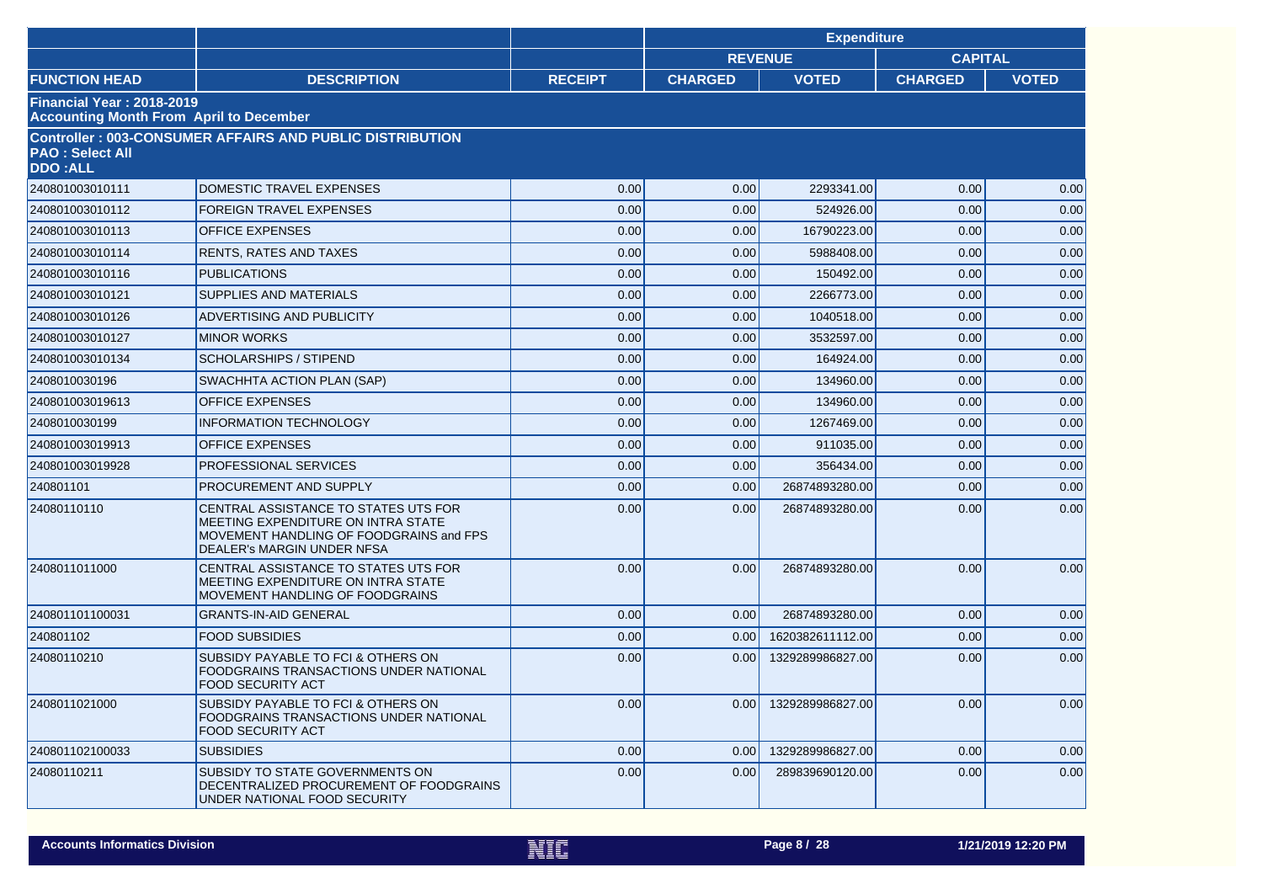|                                                                                    |                                                                                                                                                            |                | <b>Expenditure</b> |                  |                |              |  |
|------------------------------------------------------------------------------------|------------------------------------------------------------------------------------------------------------------------------------------------------------|----------------|--------------------|------------------|----------------|--------------|--|
|                                                                                    |                                                                                                                                                            |                |                    | <b>REVENUE</b>   | <b>CAPITAL</b> |              |  |
| <b>FUNCTION HEAD</b>                                                               | <b>DESCRIPTION</b>                                                                                                                                         | <b>RECEIPT</b> | <b>CHARGED</b>     | <b>VOTED</b>     | <b>CHARGED</b> | <b>VOTED</b> |  |
| <b>Financial Year: 2018-2019</b><br><b>Accounting Month From April to December</b> |                                                                                                                                                            |                |                    |                  |                |              |  |
| <b>PAO: Select All</b><br><b>DDO:ALL</b>                                           | Controller: 003-CONSUMER AFFAIRS AND PUBLIC DISTRIBUTION                                                                                                   |                |                    |                  |                |              |  |
| 240801003010111                                                                    | DOMESTIC TRAVEL EXPENSES                                                                                                                                   | 0.00           | 0.00               | 2293341.00       | 0.00           | 0.00         |  |
| 240801003010112                                                                    | <b>FOREIGN TRAVEL EXPENSES</b>                                                                                                                             | 0.00           | 0.00               | 524926.00        | 0.00           | 0.00         |  |
| 240801003010113                                                                    | <b>OFFICE EXPENSES</b>                                                                                                                                     | 0.00           | 0.00               | 16790223.00      | 0.00           | 0.00         |  |
| 240801003010114                                                                    | <b>RENTS, RATES AND TAXES</b>                                                                                                                              | 0.00           | 0.00               | 5988408.00       | 0.00           | 0.00         |  |
| 240801003010116                                                                    | <b>PUBLICATIONS</b>                                                                                                                                        | 0.00           | 0.00               | 150492.00        | 0.00           | 0.00         |  |
| 240801003010121                                                                    | <b>SUPPLIES AND MATERIALS</b>                                                                                                                              | 0.00           | 0.00               | 2266773.00       | 0.00           | 0.00         |  |
| 240801003010126                                                                    | ADVERTISING AND PUBLICITY                                                                                                                                  | 0.00           | 0.00               | 1040518.00       | 0.00           | 0.00         |  |
| 240801003010127                                                                    | <b>MINOR WORKS</b>                                                                                                                                         | 0.00           | 0.00               | 3532597.00       | 0.00           | 0.00         |  |
| 240801003010134                                                                    | <b>SCHOLARSHIPS / STIPEND</b>                                                                                                                              | 0.00           | 0.00               | 164924.00        | 0.00           | 0.00         |  |
| 2408010030196                                                                      | SWACHHTA ACTION PLAN (SAP)                                                                                                                                 | 0.00           | 0.00               | 134960.00        | 0.00           | 0.00         |  |
| 240801003019613                                                                    | <b>OFFICE EXPENSES</b>                                                                                                                                     | 0.00           | 0.00               | 134960.00        | 0.00           | 0.00         |  |
| 2408010030199                                                                      | <b>INFORMATION TECHNOLOGY</b>                                                                                                                              | 0.00           | 0.00               | 1267469.00       | 0.00           | 0.00         |  |
| 240801003019913                                                                    | <b>OFFICE EXPENSES</b>                                                                                                                                     | 0.00           | 0.00               | 911035.00        | 0.00           | 0.00         |  |
| 240801003019928                                                                    | <b>PROFESSIONAL SERVICES</b>                                                                                                                               | 0.00           | 0.00               | 356434.00        | 0.00           | 0.00         |  |
| 240801101                                                                          | PROCUREMENT AND SUPPLY                                                                                                                                     | 0.00           | 0.00               | 26874893280.00   | 0.00           | 0.00         |  |
| 24080110110                                                                        | CENTRAL ASSISTANCE TO STATES UTS FOR<br>MEETING EXPENDITURE ON INTRA STATE<br>MOVEMENT HANDLING OF FOODGRAINS and FPS<br><b>DEALER's MARGIN UNDER NFSA</b> | 0.00           | 0.00               | 26874893280.00   | 0.00           | 0.00         |  |
| 2408011011000                                                                      | CENTRAL ASSISTANCE TO STATES UTS FOR<br>MEETING EXPENDITURE ON INTRA STATE<br>MOVEMENT HANDLING OF FOODGRAINS                                              | 0.00           | 0.00               | 26874893280.00   | 0.00           | 0.00         |  |
| 240801101100031                                                                    | <b>GRANTS-IN-AID GENERAL</b>                                                                                                                               | 0.00           | 0.00               | 26874893280.00   | 0.00           | 0.00         |  |
| 240801102                                                                          | <b>FOOD SUBSIDIES</b>                                                                                                                                      | 0.00           | 0.00               | 1620382611112.00 | 0.00           | 0.00         |  |
| 24080110210                                                                        | SUBSIDY PAYABLE TO FCI & OTHERS ON<br>FOODGRAINS TRANSACTIONS UNDER NATIONAL<br><b>FOOD SECURITY ACT</b>                                                   | 0.00           | 0.00               | 1329289986827.00 | 0.00           | 0.00         |  |
| 2408011021000                                                                      | SUBSIDY PAYABLE TO FCI & OTHERS ON<br>FOODGRAINS TRANSACTIONS UNDER NATIONAL<br><b>FOOD SECURITY ACT</b>                                                   | 0.00           | 0.00               | 1329289986827.00 | 0.00           | 0.00         |  |
| 240801102100033                                                                    | <b>SUBSIDIES</b>                                                                                                                                           | 0.00           | 0.00               | 1329289986827.00 | 0.00           | 0.00         |  |
| 24080110211                                                                        | SUBSIDY TO STATE GOVERNMENTS ON<br>DECENTRALIZED PROCUREMENT OF FOODGRAINS<br>UNDER NATIONAL FOOD SECURITY                                                 | 0.00           | 0.00               | 289839690120.00  | 0.00           | 0.00         |  |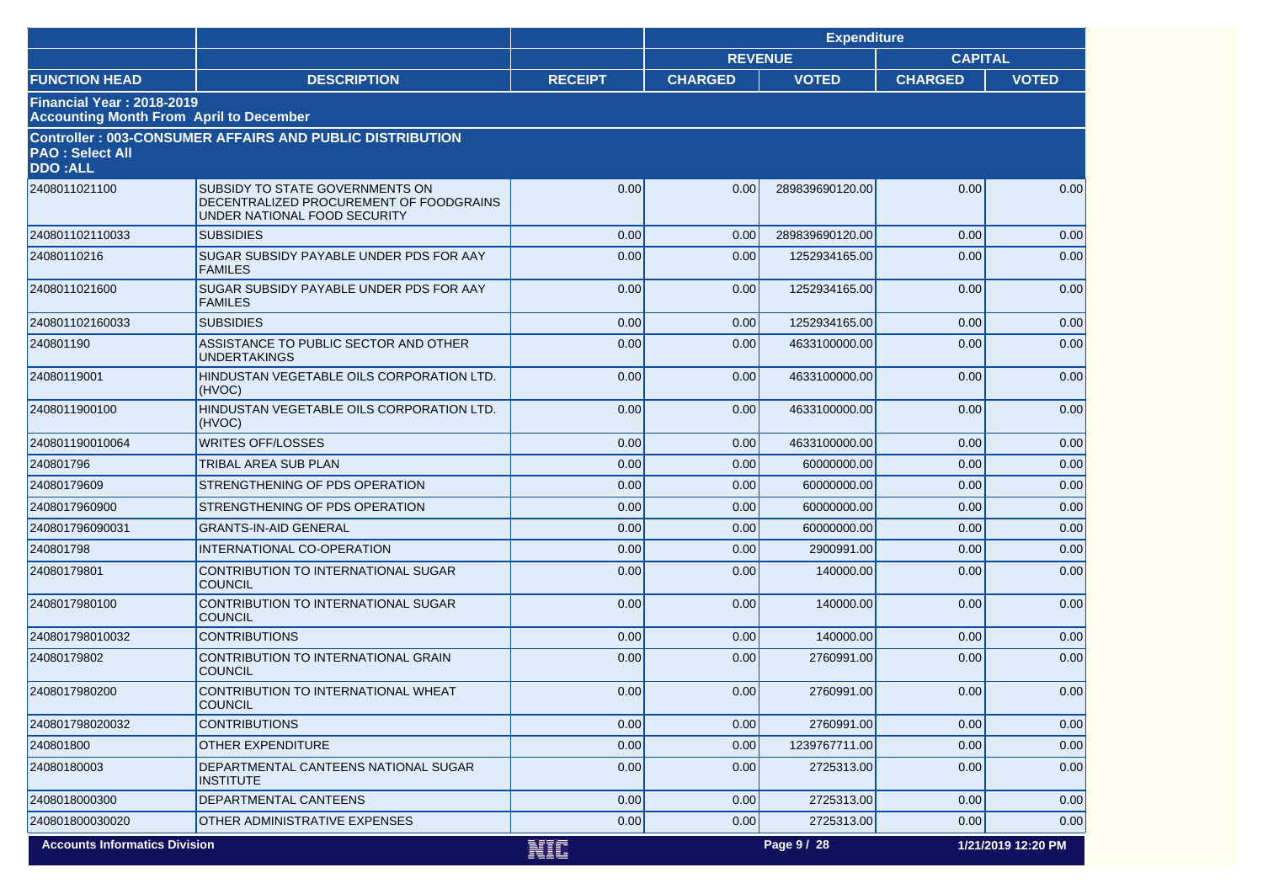|                                                                                    |                                                                                                            |                | <b>Expenditure</b> |                 |                |                    |
|------------------------------------------------------------------------------------|------------------------------------------------------------------------------------------------------------|----------------|--------------------|-----------------|----------------|--------------------|
|                                                                                    |                                                                                                            |                | <b>REVENUE</b>     |                 | <b>CAPITAL</b> |                    |
| <b>FUNCTION HEAD</b>                                                               | <b>DESCRIPTION</b>                                                                                         | <b>RECEIPT</b> | <b>CHARGED</b>     | <b>VOTED</b>    | <b>CHARGED</b> | <b>VOTED</b>       |
| <b>Financial Year: 2018-2019</b><br><b>Accounting Month From April to December</b> |                                                                                                            |                |                    |                 |                |                    |
| <b>PAO: Select All</b><br><b>DDO:ALL</b>                                           | <b>Controller: 003-CONSUMER AFFAIRS AND PUBLIC DISTRIBUTION</b>                                            |                |                    |                 |                |                    |
| 2408011021100                                                                      | SUBSIDY TO STATE GOVERNMENTS ON<br>DECENTRALIZED PROCUREMENT OF FOODGRAINS<br>UNDER NATIONAL FOOD SECURITY | 0.00           | 0.00               | 289839690120.00 | 0.00           | 0.00               |
| 240801102110033                                                                    | <b>SUBSIDIES</b>                                                                                           | 0.00           | 0.00               | 289839690120.00 | 0.00           | 0.00               |
| 24080110216                                                                        | SUGAR SUBSIDY PAYABLE UNDER PDS FOR AAY<br><b>FAMILES</b>                                                  | 0.00           | 0.00               | 1252934165.00   | 0.00           | 0.00               |
| 2408011021600                                                                      | SUGAR SUBSIDY PAYABLE UNDER PDS FOR AAY<br><b>FAMILES</b>                                                  | 0.00           | 0.00               | 1252934165.00   | 0.00           | 0.00               |
| 240801102160033                                                                    | <b>SUBSIDIES</b>                                                                                           | 0.00           | 0.00               | 1252934165.00   | 0.00           | 0.00               |
| 240801190                                                                          | ASSISTANCE TO PUBLIC SECTOR AND OTHER<br><b>UNDERTAKINGS</b>                                               | 0.00           | 0.00               | 4633100000.00   | 0.00           | 0.00               |
| 24080119001                                                                        | HINDUSTAN VEGETABLE OILS CORPORATION LTD.<br>(HVOC)                                                        | 0.00           | 0.00               | 4633100000.00   | 0.00           | 0.00               |
| 2408011900100                                                                      | HINDUSTAN VEGETABLE OILS CORPORATION LTD.<br>(HVOC)                                                        | 0.00           | 0.00               | 4633100000.00   | 0.00           | 0.00               |
| 240801190010064                                                                    | <b>WRITES OFF/LOSSES</b>                                                                                   | 0.00           | 0.00               | 4633100000.00   | 0.00           | 0.00               |
| 240801796                                                                          | TRIBAL AREA SUB PLAN                                                                                       | 0.00           | 0.00               | 60000000.00     | 0.00           | 0.00               |
| 24080179609                                                                        | STRENGTHENING OF PDS OPERATION                                                                             | 0.00           | 0.00               | 60000000.00     | 0.00           | 0.00               |
| 2408017960900                                                                      | STRENGTHENING OF PDS OPERATION                                                                             | 0.00           | 0.00               | 60000000.00     | 0.00           | 0.00               |
| 240801796090031                                                                    | <b>GRANTS-IN-AID GENERAL</b>                                                                               | 0.00           | 0.00               | 60000000.00     | 0.00           | 0.00               |
| 240801798                                                                          | INTERNATIONAL CO-OPERATION                                                                                 | 0.00           | 0.00               | 2900991.00      | 0.00           | 0.00               |
| 24080179801                                                                        | CONTRIBUTION TO INTERNATIONAL SUGAR<br><b>COUNCIL</b>                                                      | 0.00           | 0.00               | 140000.00       | 0.00           | 0.00               |
| 2408017980100                                                                      | CONTRIBUTION TO INTERNATIONAL SUGAR<br><b>COUNCIL</b>                                                      | 0.00           | 0.00               | 140000.00       | 0.00           | 0.00               |
| 240801798010032                                                                    | <b>CONTRIBUTIONS</b>                                                                                       | 0.00           | 0.00               | 140000.00       | 0.00           | 0.00               |
| 24080179802                                                                        | CONTRIBUTION TO INTERNATIONAL GRAIN<br><b>COUNCIL</b>                                                      | 0.00           | 0.00               | 2760991.00      | 0.00           | 0.00               |
| 2408017980200                                                                      | CONTRIBUTION TO INTERNATIONAL WHEAT<br>COUNCIL                                                             | 0.00           | 0.00               | 2760991.00      | 0.00           | 0.00               |
| 240801798020032                                                                    | <b>CONTRIBUTIONS</b>                                                                                       | 0.00           | 0.00               | 2760991.00      | 0.00           | 0.00               |
| 240801800                                                                          | <b>OTHER EXPENDITURE</b>                                                                                   | 0.00           | 0.00               | 1239767711.00   | 0.00           | 0.00               |
| 24080180003                                                                        | DEPARTMENTAL CANTEENS NATIONAL SUGAR<br><b>INSTITUTE</b>                                                   | 0.00           | 0.00               | 2725313.00      | 0.00           | 0.00               |
| 2408018000300                                                                      | DEPARTMENTAL CANTEENS                                                                                      | 0.00           | 0.00               | 2725313.00      | 0.00           | 0.00               |
| 240801800030020                                                                    | OTHER ADMINISTRATIVE EXPENSES                                                                              | 0.00           | 0.00               | 2725313.00      | 0.00           | 0.00               |
| <b>Accounts Informatics Division</b>                                               |                                                                                                            | <b>NIC</b>     |                    | Page 9 / 28     |                | 1/21/2019 12:20 PM |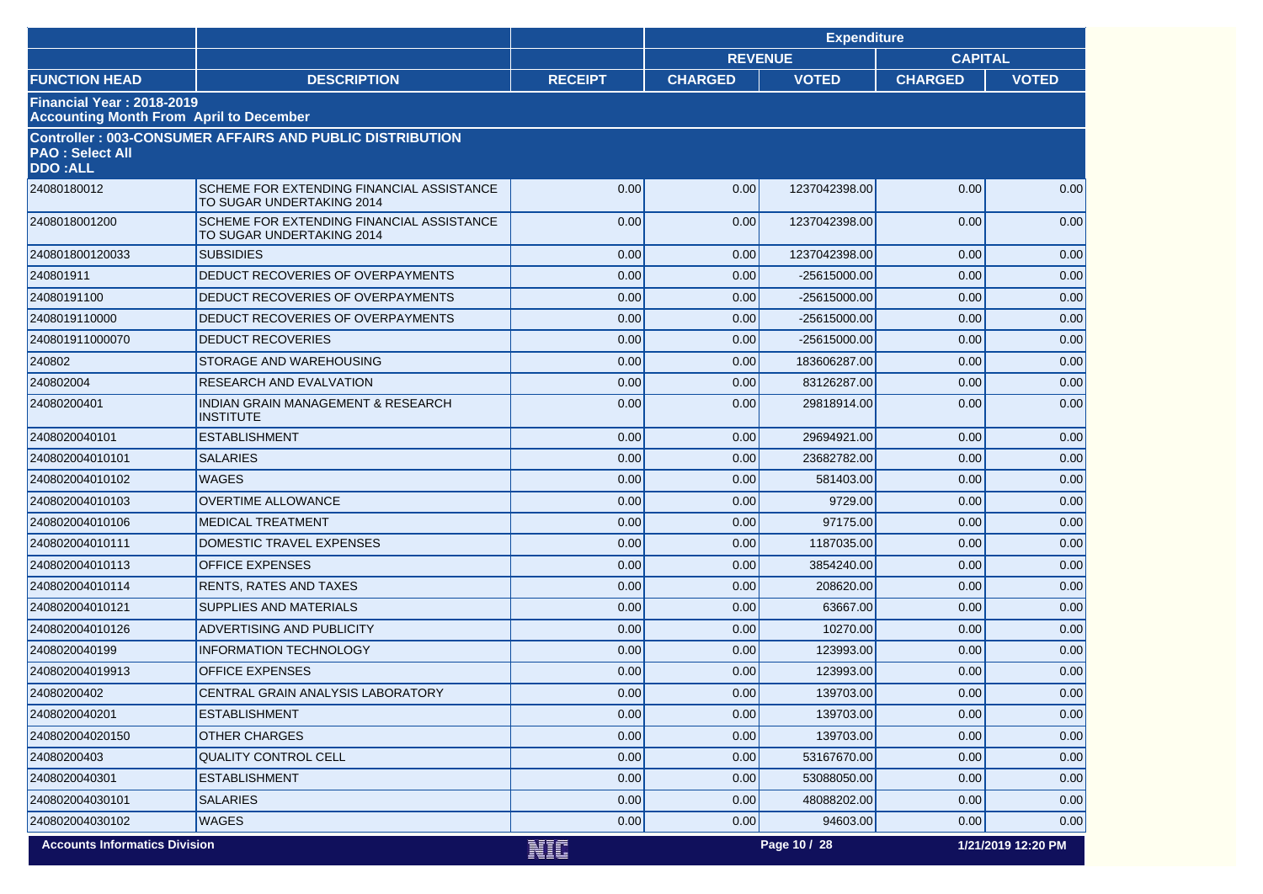|                                          |                                                                        |                | <b>Expenditure</b> |               |                |                    |
|------------------------------------------|------------------------------------------------------------------------|----------------|--------------------|---------------|----------------|--------------------|
|                                          |                                                                        |                | <b>REVENUE</b>     |               | <b>CAPITAL</b> |                    |
| <b>FUNCTION HEAD</b>                     | <b>DESCRIPTION</b>                                                     | <b>RECEIPT</b> | <b>CHARGED</b>     | <b>VOTED</b>  | <b>CHARGED</b> | <b>VOTED</b>       |
| Financial Year: 2018-2019                | <b>Accounting Month From April to December</b>                         |                |                    |               |                |                    |
| <b>PAO: Select All</b><br><b>DDO:ALL</b> | <b>Controller: 003-CONSUMER AFFAIRS AND PUBLIC DISTRIBUTION</b>        |                |                    |               |                |                    |
| 24080180012                              | SCHEME FOR EXTENDING FINANCIAL ASSISTANCE<br>TO SUGAR UNDERTAKING 2014 | 0.00           | 0.00               | 1237042398.00 | 0.00           | 0.00               |
| 2408018001200                            | SCHEME FOR EXTENDING FINANCIAL ASSISTANCE<br>TO SUGAR UNDERTAKING 2014 | 0.00           | 0.00               | 1237042398.00 | 0.00           | 0.00               |
| 240801800120033                          | <b>SUBSIDIES</b>                                                       | 0.00           | 0.00               | 1237042398.00 | 0.00           | 0.00               |
| 240801911                                | DEDUCT RECOVERIES OF OVERPAYMENTS                                      | 0.00           | 0.00               | -25615000.00  | 0.00           | 0.00               |
| 24080191100                              | DEDUCT RECOVERIES OF OVERPAYMENTS                                      | 0.00           | 0.00               | -25615000.00  | 0.00           | 0.00               |
| 2408019110000                            | DEDUCT RECOVERIES OF OVERPAYMENTS                                      | 0.00           | 0.00               | -25615000.00  | 0.00           | 0.00               |
| 240801911000070                          | <b>DEDUCT RECOVERIES</b>                                               | 0.00           | 0.00               | -25615000.00  | 0.00           | 0.00               |
| 240802                                   | STORAGE AND WAREHOUSING                                                | 0.00           | 0.00               | 183606287.00  | 0.00           | 0.00               |
| 240802004                                | <b>RESEARCH AND EVALVATION</b>                                         | 0.00           | 0.00               | 83126287.00   | 0.00           | 0.00               |
| 24080200401                              | <b>INDIAN GRAIN MANAGEMENT &amp; RESEARCH</b><br><b>INSTITUTE</b>      | 0.00           | 0.00               | 29818914.00   | 0.00           | 0.00               |
| 2408020040101                            | <b>ESTABLISHMENT</b>                                                   | 0.00           | 0.00               | 29694921.00   | 0.00           | 0.00               |
| 240802004010101                          | <b>SALARIES</b>                                                        | 0.00           | 0.00               | 23682782.00   | 0.00           | 0.00               |
| 240802004010102                          | <b>WAGES</b>                                                           | 0.00           | 0.00               | 581403.00     | 0.00           | 0.00               |
| 240802004010103                          | <b>OVERTIME ALLOWANCE</b>                                              | 0.00           | 0.00               | 9729.00       | 0.00           | 0.00               |
| 240802004010106                          | <b>MEDICAL TREATMENT</b>                                               | 0.00           | 0.00               | 97175.00      | 0.00           | 0.00               |
| 240802004010111                          | DOMESTIC TRAVEL EXPENSES                                               | 0.00           | 0.00               | 1187035.00    | 0.00           | 0.00               |
| 240802004010113                          | <b>OFFICE EXPENSES</b>                                                 | 0.00           | 0.00               | 3854240.00    | 0.00           | 0.00               |
| 240802004010114                          | <b>RENTS, RATES AND TAXES</b>                                          | 0.00           | 0.00               | 208620.00     | 0.00           | 0.00               |
| 240802004010121                          | SUPPLIES AND MATERIALS                                                 | 0.00           | 0.00               | 63667.00      | 0.00           | 0.00               |
| 240802004010126                          | <b>ADVERTISING AND PUBLICITY</b>                                       | 0.00           | 0.00               | 10270.00      | 0.00           | 0.00               |
| 2408020040199                            | <b>INFORMATION TECHNOLOGY</b>                                          | 0.00           | 0.00               | 123993.00     | 0.00           | 0.00               |
| 240802004019913                          | <b>OFFICE EXPENSES</b>                                                 | 0.00           | 0.00               | 123993.00     | 0.00           | 0.00               |
| 24080200402                              | <b>CENTRAL GRAIN ANALYSIS LABORATORY</b>                               | 0.00           | 0.00               | 139703.00     | 0.00           | 0.00               |
| 2408020040201                            | <b>ESTABLISHMENT</b>                                                   | 0.00           | 0.00               | 139703.00     | 0.00           | 0.00               |
| 240802004020150                          | <b>OTHER CHARGES</b>                                                   | 0.00           | 0.00               | 139703.00     | 0.00           | 0.00               |
| 24080200403                              | QUALITY CONTROL CELL                                                   | 0.00           | 0.00               | 53167670.00   | 0.00           | 0.00               |
| 2408020040301                            | <b>ESTABLISHMENT</b>                                                   | 0.00           | 0.00               | 53088050.00   | 0.00           | 0.00               |
| 240802004030101                          | <b>SALARIES</b>                                                        | 0.00           | 0.00               | 48088202.00   | 0.00           | 0.00               |
| 240802004030102                          | <b>WAGES</b>                                                           | 0.00           | 0.00               | 94603.00      | 0.00           | 0.00               |
| <b>Accounts Informatics Division</b>     |                                                                        | NIC            |                    | Page 10 / 28  |                | 1/21/2019 12:20 PM |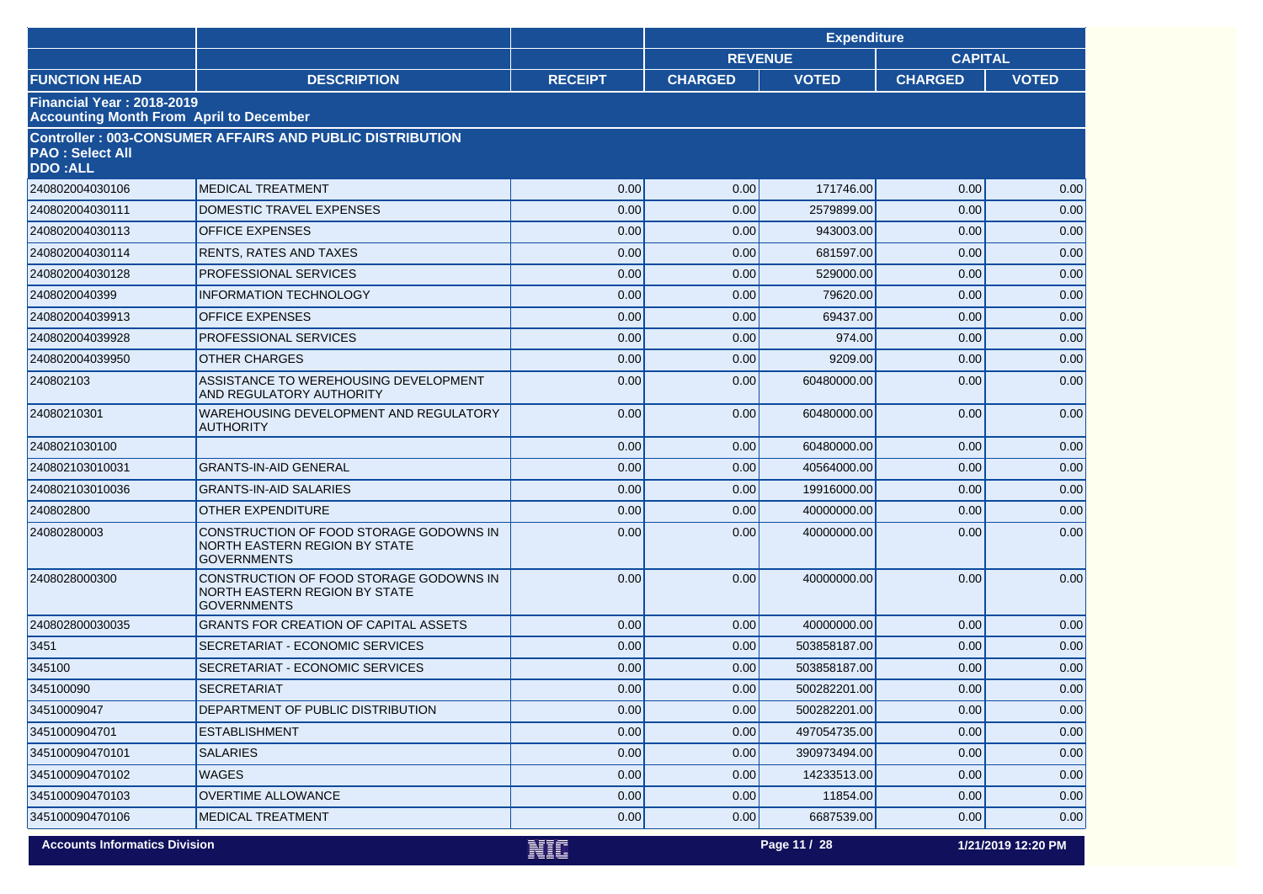|                                                                                    |                                                                                                       |                | <b>Expenditure</b>               |              |                |                    |
|------------------------------------------------------------------------------------|-------------------------------------------------------------------------------------------------------|----------------|----------------------------------|--------------|----------------|--------------------|
|                                                                                    |                                                                                                       |                | <b>REVENUE</b><br><b>CAPITAL</b> |              |                |                    |
| <b>FUNCTION HEAD</b>                                                               | <b>DESCRIPTION</b>                                                                                    | <b>RECEIPT</b> | <b>CHARGED</b>                   | <b>VOTED</b> | <b>CHARGED</b> | <b>VOTED</b>       |
| <b>Financial Year: 2018-2019</b><br><b>Accounting Month From April to December</b> |                                                                                                       |                |                                  |              |                |                    |
| <b>PAO: Select All</b><br><b>DDO:ALL</b>                                           | <b>Controller: 003-CONSUMER AFFAIRS AND PUBLIC DISTRIBUTION</b>                                       |                |                                  |              |                |                    |
| 240802004030106                                                                    | <b>MEDICAL TREATMENT</b>                                                                              | 0.00           | 0.00                             | 171746.00    | 0.00           | 0.00               |
| 240802004030111                                                                    | DOMESTIC TRAVEL EXPENSES                                                                              | 0.00           | 0.00                             | 2579899.00   | 0.00           | 0.00               |
| 240802004030113                                                                    | <b>OFFICE EXPENSES</b>                                                                                | 0.00           | 0.00                             | 943003.00    | 0.00           | 0.00               |
| 240802004030114                                                                    | <b>RENTS, RATES AND TAXES</b>                                                                         | 0.00           | 0.00                             | 681597.00    | 0.00           | 0.00               |
| 240802004030128                                                                    | PROFESSIONAL SERVICES                                                                                 | 0.00           | 0.00                             | 529000.00    | 0.00           | 0.00               |
| 2408020040399                                                                      | <b>INFORMATION TECHNOLOGY</b>                                                                         | 0.00           | 0.00                             | 79620.00     | 0.00           | 0.00               |
| 240802004039913                                                                    | <b>OFFICE EXPENSES</b>                                                                                | 0.00           | 0.00                             | 69437.00     | 0.00           | 0.00               |
| 240802004039928                                                                    | PROFESSIONAL SERVICES                                                                                 | 0.00           | 0.00                             | 974.00       | 0.00           | 0.00               |
| 240802004039950                                                                    | <b>OTHER CHARGES</b>                                                                                  | 0.00           | 0.00                             | 9209.00      | 0.00           | 0.00               |
| 240802103                                                                          | ASSISTANCE TO WEREHOUSING DEVELOPMENT<br><b>AND REGULATORY AUTHORITY</b>                              | 0.00           | 0.00                             | 60480000.00  | 0.00           | 0.00               |
| 24080210301                                                                        | WAREHOUSING DEVELOPMENT AND REGULATORY<br><b>AUTHORITY</b>                                            | 0.00           | 0.00                             | 60480000.00  | 0.00           | 0.00               |
| 2408021030100                                                                      |                                                                                                       | 0.00           | 0.00                             | 60480000.00  | 0.00           | 0.00               |
| 240802103010031                                                                    | <b>GRANTS-IN-AID GENERAL</b>                                                                          | 0.00           | 0.00                             | 40564000.00  | 0.00           | 0.00               |
| 240802103010036                                                                    | <b>GRANTS-IN-AID SALARIES</b>                                                                         | 0.00           | 0.00                             | 19916000.00  | 0.00           | 0.00               |
| 240802800                                                                          | <b>OTHER EXPENDITURE</b>                                                                              | 0.00           | 0.00                             | 40000000.00  | 0.00           | 0.00               |
| 24080280003                                                                        | CONSTRUCTION OF FOOD STORAGE GODOWNS IN<br><b>NORTH EASTERN REGION BY STATE</b><br><b>GOVERNMENTS</b> | 0.00           | 0.00                             | 40000000.00  | 0.00           | 0.00               |
| 2408028000300                                                                      | CONSTRUCTION OF FOOD STORAGE GODOWNS IN<br>NORTH EASTERN REGION BY STATE<br><b>GOVERNMENTS</b>        | 0.00           | 0.00                             | 40000000.00  | 0.00           | 0.00               |
| 240802800030035                                                                    | <b>GRANTS FOR CREATION OF CAPITAL ASSETS</b>                                                          | 0.00           | 0.00                             | 40000000.00  | 0.00           | 0.00               |
| 3451                                                                               | SECRETARIAT - ECONOMIC SERVICES                                                                       | 0.00           | 0.00                             | 503858187.00 | 0.00           | 0.00               |
| 345100                                                                             | SECRETARIAT - ECONOMIC SERVICES                                                                       | 0.00           | 0.00                             | 503858187.00 | 0.00           | 0.00               |
| 345100090                                                                          | <b>SECRETARIAT</b>                                                                                    | 0.00           | 0.00                             | 500282201.00 | 0.00           | 0.00               |
| 34510009047                                                                        | DEPARTMENT OF PUBLIC DISTRIBUTION                                                                     | 0.00           | 0.00                             | 500282201.00 | 0.00           | 0.00               |
| 3451000904701                                                                      | <b>ESTABLISHMENT</b>                                                                                  | 0.00           | 0.00                             | 497054735.00 | 0.00           | 0.00               |
| 345100090470101                                                                    | <b>SALARIES</b>                                                                                       | 0.00           | 0.00                             | 390973494.00 | 0.00           | 0.00               |
| 345100090470102                                                                    | <b>WAGES</b>                                                                                          | 0.00           | 0.00                             | 14233513.00  | 0.00           | 0.00               |
| 345100090470103                                                                    | <b>OVERTIME ALLOWANCE</b>                                                                             | 0.00           | 0.00                             | 11854.00     | 0.00           | 0.00               |
| 345100090470106                                                                    | <b>MEDICAL TREATMENT</b>                                                                              | 0.00           | 0.00                             | 6687539.00   | 0.00           | 0.00               |
| <b>Accounts Informatics Division</b>                                               |                                                                                                       | NIA            |                                  | Page 11 / 28 |                | 1/21/2019 12:20 PM |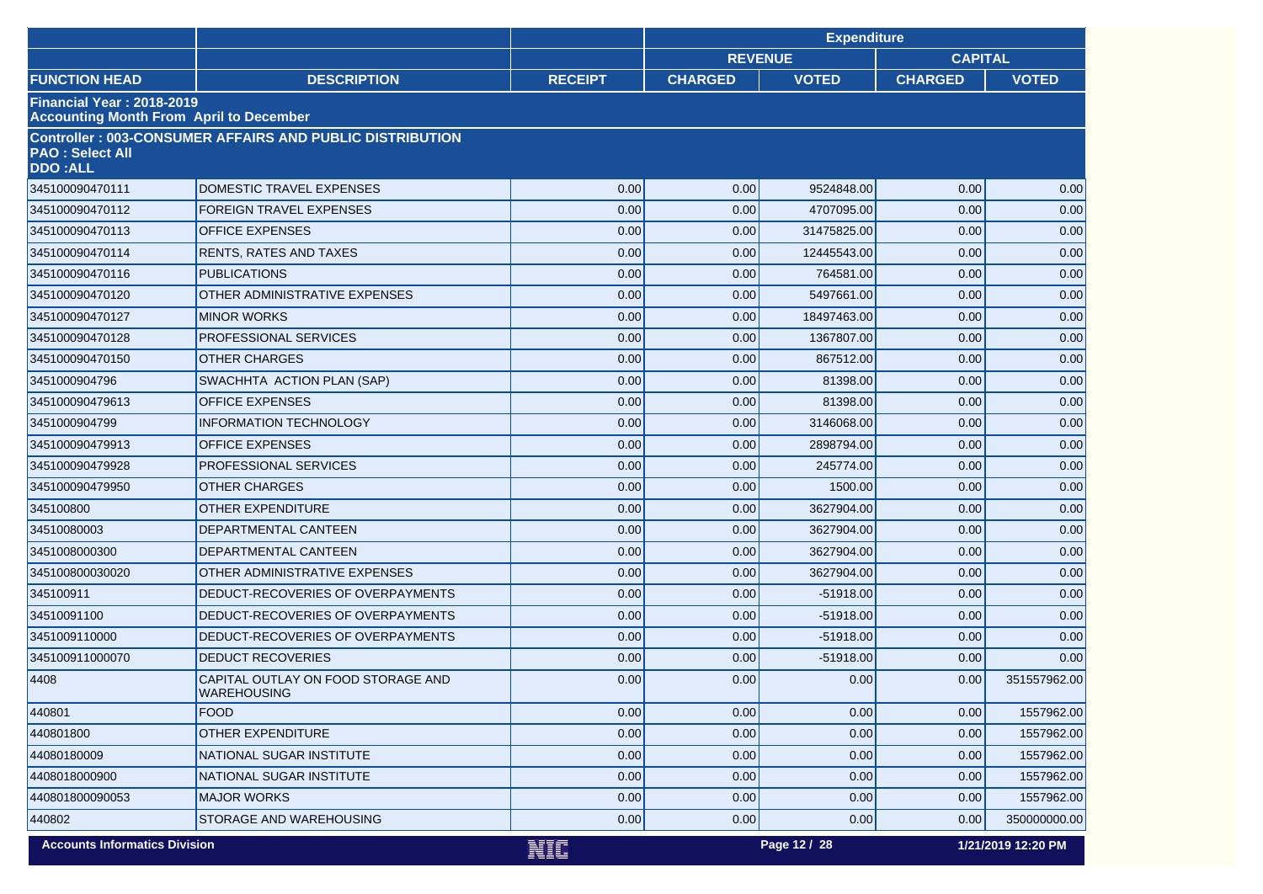|                                          |                                                                 |                | <b>Expenditure</b> |              |                |                    |
|------------------------------------------|-----------------------------------------------------------------|----------------|--------------------|--------------|----------------|--------------------|
|                                          |                                                                 |                | <b>REVENUE</b>     |              | <b>CAPITAL</b> |                    |
| <b>FUNCTION HEAD</b>                     | <b>DESCRIPTION</b>                                              | <b>RECEIPT</b> | <b>CHARGED</b>     | <b>VOTED</b> | <b>CHARGED</b> | <b>VOTED</b>       |
| Financial Year: 2018-2019                | <b>Accounting Month From April to December</b>                  |                |                    |              |                |                    |
| <b>PAO: Select All</b><br><b>DDO:ALL</b> | <b>Controller: 003-CONSUMER AFFAIRS AND PUBLIC DISTRIBUTION</b> |                |                    |              |                |                    |
| 345100090470111                          | DOMESTIC TRAVEL EXPENSES                                        | 0.00           | 0.00               | 9524848.00   | 0.00           | 0.00               |
| 345100090470112                          | <b>FOREIGN TRAVEL EXPENSES</b>                                  | 0.00           | 0.00               | 4707095.00   | 0.00           | 0.00               |
| 345100090470113                          | <b>OFFICE EXPENSES</b>                                          | 0.00           | 0.00               | 31475825.00  | 0.00           | 0.00               |
| 345100090470114                          | <b>RENTS, RATES AND TAXES</b>                                   | 0.00           | 0.00               | 12445543.00  | 0.00           | 0.00               |
| 345100090470116                          | <b>PUBLICATIONS</b>                                             | 0.00           | 0.00               | 764581.00    | 0.00           | 0.00               |
| 345100090470120                          | OTHER ADMINISTRATIVE EXPENSES                                   | 0.00           | 0.00               | 5497661.00   | 0.00           | 0.00               |
| 345100090470127                          | <b>MINOR WORKS</b>                                              | 0.00           | 0.00               | 18497463.00  | 0.00           | 0.00               |
| 345100090470128                          | PROFESSIONAL SERVICES                                           | 0.00           | 0.00               | 1367807.00   | 0.00           | 0.00               |
| 345100090470150                          | <b>OTHER CHARGES</b>                                            | 0.00           | 0.00               | 867512.00    | 0.00           | 0.00               |
| 3451000904796                            | SWACHHTA ACTION PLAN (SAP)                                      | 0.00           | 0.00               | 81398.00     | 0.00           | 0.00               |
| 345100090479613                          | <b>OFFICE EXPENSES</b>                                          | 0.00           | 0.00               | 81398.00     | 0.00           | 0.00               |
| 3451000904799                            | <b>INFORMATION TECHNOLOGY</b>                                   | 0.00           | 0.00               | 3146068.00   | 0.00           | 0.00               |
| 345100090479913                          | <b>OFFICE EXPENSES</b>                                          | 0.00           | 0.00               | 2898794.00   | 0.00           | 0.00               |
| 345100090479928                          | PROFESSIONAL SERVICES                                           | 0.00           | 0.00               | 245774.00    | 0.00           | 0.00               |
| 345100090479950                          | <b>OTHER CHARGES</b>                                            | 0.00           | 0.00               | 1500.00      | 0.00           | 0.00               |
| 345100800                                | <b>OTHER EXPENDITURE</b>                                        | 0.00           | 0.00               | 3627904.00   | 0.00           | 0.00               |
| 34510080003                              | DEPARTMENTAL CANTEEN                                            | 0.00           | 0.00               | 3627904.00   | 0.00           | 0.00               |
| 3451008000300                            | DEPARTMENTAL CANTEEN                                            | 0.00           | 0.00               | 3627904.00   | 0.00           | 0.00               |
| 345100800030020                          | OTHER ADMINISTRATIVE EXPENSES                                   | 0.00           | 0.00               | 3627904.00   | 0.00           | 0.00               |
| 345100911                                | DEDUCT-RECOVERIES OF OVERPAYMENTS                               | 0.00           | 0.00               | $-51918.00$  | 0.00           | 0.00               |
| 34510091100                              | DEDUCT-RECOVERIES OF OVERPAYMENTS                               | 0.00           | 0.00               | $-51918.00$  | 0.00           | 0.00               |
| 3451009110000                            | DEDUCT-RECOVERIES OF OVERPAYMENTS                               | 0.00           | 0.00               | $-51918.00$  | 0.00           | 0.00               |
| 345100911000070                          | <b>DEDUCT RECOVERIES</b>                                        | 0.00           | 0.00               | $-51918.00$  | 0.00           | 0.00               |
| 4408                                     | CAPITAL OUTLAY ON FOOD STORAGE AND<br><b>WAREHOUSING</b>        | 0.00           | 0.00               | 0.00         | 0.00           | 351557962.00       |
| 440801                                   | <b>FOOD</b>                                                     | 0.00           | 0.00               | 0.00         | 0.00           | 1557962.00         |
| 440801800                                | OTHER EXPENDITURE                                               | 0.00           | 0.00               | 0.00         | 0.00           | 1557962.00         |
| 44080180009                              | NATIONAL SUGAR INSTITUTE                                        | 0.00           | 0.00               | 0.00         | 0.00           | 1557962.00         |
| 4408018000900                            | NATIONAL SUGAR INSTITUTE                                        | 0.00           | 0.00               | 0.00         | 0.00           | 1557962.00         |
| 440801800090053                          | <b>MAJOR WORKS</b>                                              | 0.00           | 0.00               | 0.00         | 0.00           | 1557962.00         |
| 440802                                   | <b>STORAGE AND WAREHOUSING</b>                                  | 0.00           | 0.00               | 0.00         | 0.00           | 350000000.00       |
| <b>Accounts Informatics Division</b>     |                                                                 | NIC            |                    | Page 12 / 28 |                | 1/21/2019 12:20 PM |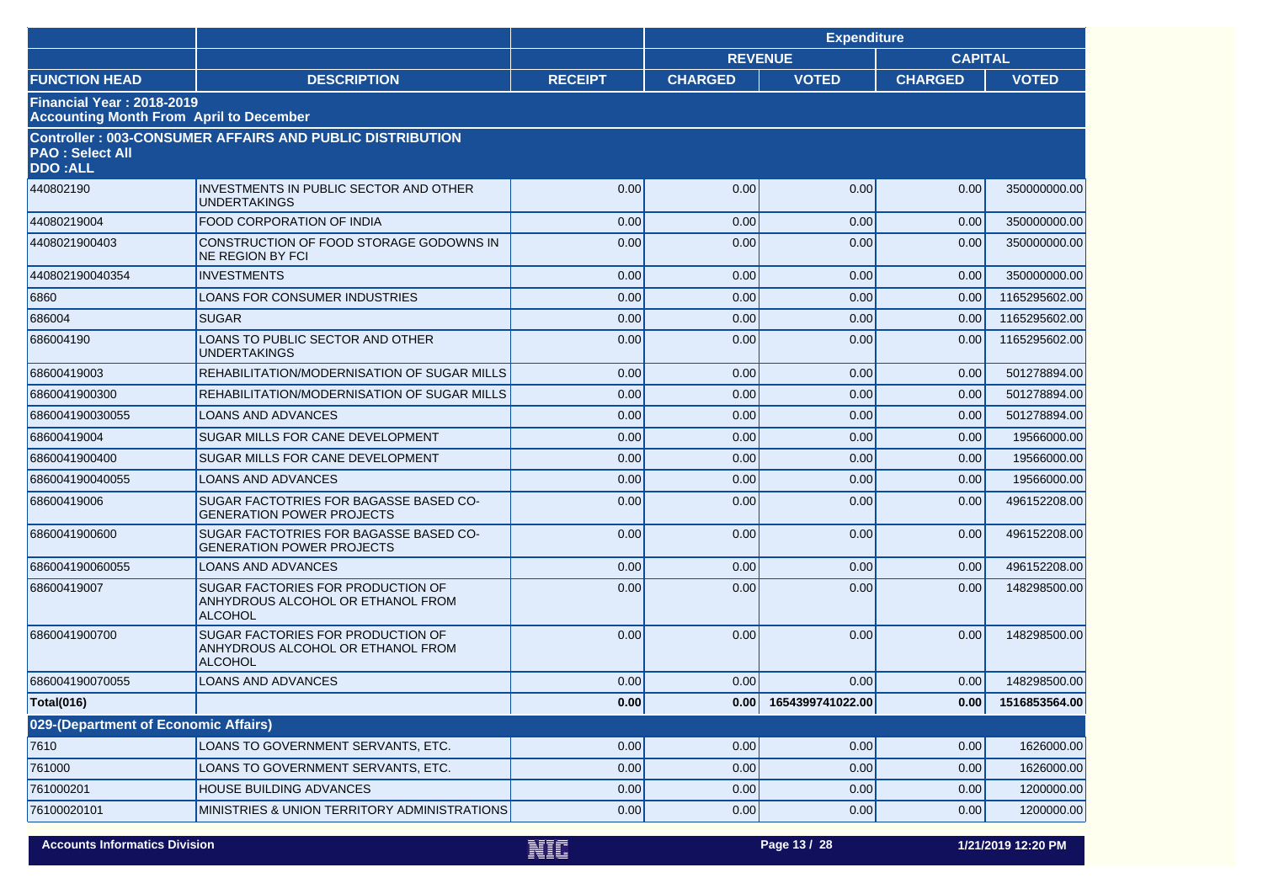|                                          |                                                                                                 |                | <b>Expenditure</b> |                       |                |               |  |
|------------------------------------------|-------------------------------------------------------------------------------------------------|----------------|--------------------|-----------------------|----------------|---------------|--|
|                                          |                                                                                                 |                | <b>REVENUE</b>     |                       | <b>CAPITAL</b> |               |  |
| <b>FUNCTION HEAD</b>                     | <b>DESCRIPTION</b>                                                                              | <b>RECEIPT</b> | <b>CHARGED</b>     | <b>VOTED</b>          | <b>CHARGED</b> | <b>VOTED</b>  |  |
| <b>Financial Year: 2018-2019</b>         | <b>Accounting Month From April to December</b>                                                  |                |                    |                       |                |               |  |
| <b>PAO: Select All</b><br><b>DDO:ALL</b> | <b>Controller: 003-CONSUMER AFFAIRS AND PUBLIC DISTRIBUTION</b>                                 |                |                    |                       |                |               |  |
| 440802190                                | <b>INVESTMENTS IN PUBLIC SECTOR AND OTHER</b><br>UNDERTAKINGS                                   | 0.00           | 0.00               | 0.00                  | 0.00           | 350000000.00  |  |
| 44080219004                              | <b>FOOD CORPORATION OF INDIA</b>                                                                | 0.00           | 0.00               | 0.00                  | 0.00           | 350000000.00  |  |
| 4408021900403                            | CONSTRUCTION OF FOOD STORAGE GODOWNS IN<br><b>NE REGION BY FCI</b>                              | 0.00           | 0.00               | 0.00                  | 0.00           | 350000000.00  |  |
| 440802190040354                          | <b>INVESTMENTS</b>                                                                              | 0.00           | 0.00               | 0.00                  | 0.00           | 350000000.00  |  |
| 6860                                     | LOANS FOR CONSUMER INDUSTRIES                                                                   | 0.00           | 0.00               | 0.00                  | 0.00           | 1165295602.00 |  |
| 686004                                   | <b>SUGAR</b>                                                                                    | 0.00           | 0.00               | 0.00                  | 0.00           | 1165295602.00 |  |
| 686004190                                | LOANS TO PUBLIC SECTOR AND OTHER<br>UNDERTAKINGS                                                | 0.00           | 0.00               | 0.00                  | 0.00           | 1165295602.00 |  |
| 68600419003                              | REHABILITATION/MODERNISATION OF SUGAR MILLS                                                     | 0.00           | 0.00               | 0.00                  | 0.00           | 501278894.00  |  |
| 6860041900300                            | REHABILITATION/MODERNISATION OF SUGAR MILLS                                                     | 0.00           | 0.00               | 0.00                  | 0.00           | 501278894.00  |  |
| 686004190030055                          | <b>LOANS AND ADVANCES</b>                                                                       | 0.00           | 0.00               | 0.00                  | 0.00           | 501278894.00  |  |
| 68600419004                              | SUGAR MILLS FOR CANE DEVELOPMENT                                                                | 0.00           | 0.00               | 0.00                  | 0.00           | 19566000.00   |  |
| 6860041900400                            | SUGAR MILLS FOR CANE DEVELOPMENT                                                                | 0.00           | 0.00               | 0.00                  | 0.00           | 19566000.00   |  |
| 686004190040055                          | LOANS AND ADVANCES                                                                              | 0.00           | 0.00               | 0.00                  | 0.00           | 19566000.00   |  |
| 68600419006                              | <b>SUGAR FACTOTRIES FOR BAGASSE BASED CO-</b><br><b>GENERATION POWER PROJECTS</b>               | 0.00           | 0.00               | 0.00                  | 0.00           | 496152208.00  |  |
| 6860041900600                            | SUGAR FACTOTRIES FOR BAGASSE BASED CO-<br><b>GENERATION POWER PROJECTS</b>                      | 0.00           | 0.00               | 0.00                  | 0.00           | 496152208.00  |  |
| 686004190060055                          | <b>LOANS AND ADVANCES</b>                                                                       | 0.00           | 0.00               | 0.00                  | 0.00           | 496152208.00  |  |
| 68600419007                              | SUGAR FACTORIES FOR PRODUCTION OF<br>ANHYDROUS ALCOHOL OR ETHANOL FROM<br><b>ALCOHOL</b>        | 0.00           | 0.00               | 0.00                  | 0.00           | 148298500.00  |  |
| 6860041900700                            | <b>SUGAR FACTORIES FOR PRODUCTION OF</b><br>ANHYDROUS ALCOHOL OR ETHANOL FROM<br><b>ALCOHOL</b> | 0.00           | 0.00               | 0.00                  | 0.00           | 148298500.00  |  |
| 686004190070055                          | <b>LOANS AND ADVANCES</b>                                                                       | 0.00           | 0.00               | 0.00                  | 0.00           | 148298500.00  |  |
| <b>Total(016)</b>                        |                                                                                                 | 0.00           |                    | 0.00 1654399741022.00 | 0.00           | 1516853564.00 |  |
| 029-(Department of Economic Affairs)     |                                                                                                 |                |                    |                       |                |               |  |
| 7610                                     | LOANS TO GOVERNMENT SERVANTS, ETC.                                                              | 0.00           | 0.00               | 0.00                  | 0.00           | 1626000.00    |  |
| 761000                                   | LOANS TO GOVERNMENT SERVANTS, ETC.                                                              | 0.00           | 0.00               | 0.00                  | 0.00           | 1626000.00    |  |
| 761000201                                | <b>HOUSE BUILDING ADVANCES</b>                                                                  | 0.00           | 0.00               | 0.00                  | 0.00           | 1200000.00    |  |
| 76100020101                              | MINISTRIES & UNION TERRITORY ADMINISTRATIONS                                                    | 0.00           | 0.00               | 0.00                  | 0.00           | 1200000.00    |  |
|                                          |                                                                                                 |                |                    |                       |                |               |  |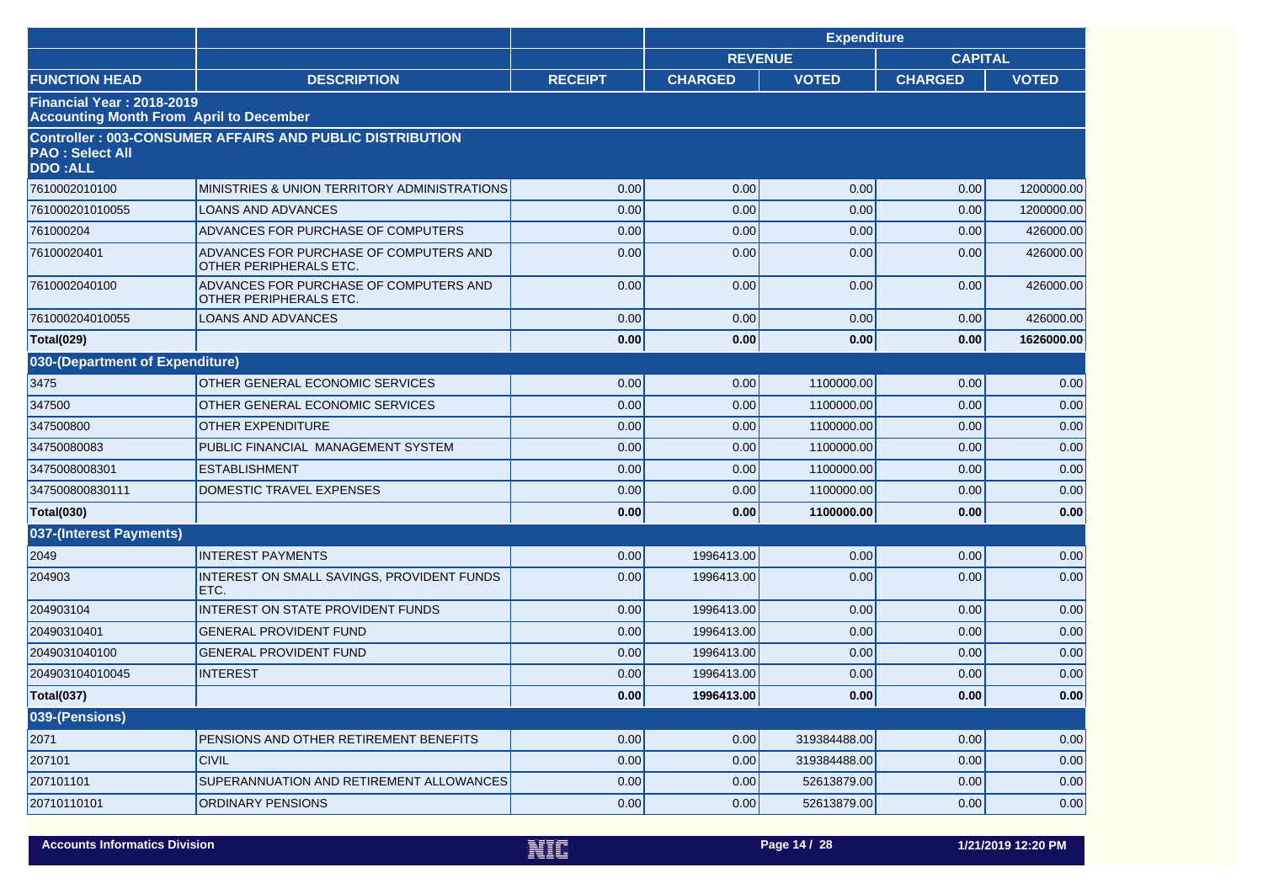|                                                                                    |                                                                  |                |                | <b>Expenditure</b> |                |              |
|------------------------------------------------------------------------------------|------------------------------------------------------------------|----------------|----------------|--------------------|----------------|--------------|
|                                                                                    |                                                                  |                | <b>REVENUE</b> |                    | <b>CAPITAL</b> |              |
| <b>FUNCTION HEAD</b>                                                               | <b>DESCRIPTION</b>                                               | <b>RECEIPT</b> | <b>CHARGED</b> | <b>VOTED</b>       | <b>CHARGED</b> | <b>VOTED</b> |
| <b>Financial Year: 2018-2019</b><br><b>Accounting Month From April to December</b> |                                                                  |                |                |                    |                |              |
| <b>PAO: Select All</b><br><b>DDO:ALL</b>                                           | <b>Controller: 003-CONSUMER AFFAIRS AND PUBLIC DISTRIBUTION</b>  |                |                |                    |                |              |
| 7610002010100                                                                      | MINISTRIES & UNION TERRITORY ADMINISTRATIONS                     | 0.00           | 0.00           | 0.00               | 0.00           | 1200000.00   |
| 761000201010055                                                                    | <b>LOANS AND ADVANCES</b>                                        | 0.00           | 0.00           | 0.00               | 0.00           | 1200000.00   |
| 761000204                                                                          | ADVANCES FOR PURCHASE OF COMPUTERS                               | 0.00           | 0.00           | 0.00               | 0.00           | 426000.00    |
| 76100020401                                                                        | ADVANCES FOR PURCHASE OF COMPUTERS AND<br>OTHER PERIPHERALS ETC. | 0.00           | 0.00           | 0.00               | 0.00           | 426000.00    |
| 7610002040100                                                                      | ADVANCES FOR PURCHASE OF COMPUTERS AND<br>OTHER PERIPHERALS ETC. | 0.00           | 0.00           | 0.00               | 0.00           | 426000.00    |
| 761000204010055                                                                    | <b>LOANS AND ADVANCES</b>                                        | 0.00           | 0.00           | 0.00               | 0.00           | 426000.00    |
| <b>Total(029)</b>                                                                  |                                                                  | 0.00           | 0.00           | 0.00               | 0.00           | 1626000.00   |
| 030-(Department of Expenditure)                                                    |                                                                  |                |                |                    |                |              |
| 3475                                                                               | OTHER GENERAL ECONOMIC SERVICES                                  | 0.00           | 0.00           | 1100000.00         | 0.00           | 0.00         |
| 347500                                                                             | OTHER GENERAL ECONOMIC SERVICES                                  | 0.00           | 0.00           | 1100000.00         | 0.00           | 0.00         |
| 347500800                                                                          | <b>OTHER EXPENDITURE</b>                                         | 0.00           | 0.00           | 1100000.00         | 0.00           | 0.00         |
| 34750080083                                                                        | PUBLIC FINANCIAL MANAGEMENT SYSTEM                               | 0.00           | 0.00           | 1100000.00         | 0.00           | 0.00         |
| 3475008008301                                                                      | <b>ESTABLISHMENT</b>                                             | 0.00           | 0.00           | 1100000.00         | 0.00           | 0.00         |
| 347500800830111                                                                    | DOMESTIC TRAVEL EXPENSES                                         | 0.00           | 0.00           | 1100000.00         | 0.00           | 0.00         |
| <b>Total(030)</b>                                                                  |                                                                  | 0.00           | 0.00           | 1100000.00         | 0.00           | 0.00         |
| 037-(Interest Payments)                                                            |                                                                  |                |                |                    |                |              |
| 2049                                                                               | <b>INTEREST PAYMENTS</b>                                         | 0.00           | 1996413.00     | 0.00               | 0.00           | 0.00         |
| 204903                                                                             | INTEREST ON SMALL SAVINGS, PROVIDENT FUNDS<br>ETC.               | 0.00           | 1996413.00     | 0.00               | 0.00           | 0.00         |
| 204903104                                                                          | <b>INTEREST ON STATE PROVIDENT FUNDS</b>                         | 0.00           | 1996413.00     | 0.00               | 0.00           | 0.00         |
| 20490310401                                                                        | <b>GENERAL PROVIDENT FUND</b>                                    | 0.00           | 1996413.00     | 0.00               | 0.00           | 0.00         |
| 2049031040100                                                                      | <b>GENERAL PROVIDENT FUND</b>                                    | 0.00           | 1996413.00     | 0.00               | 0.00           | 0.00         |
| 204903104010045                                                                    | <b>INTEREST</b>                                                  | 0.00           | 1996413.00     | 0.00               | 0.00           | 0.00         |
| <b>Total(037)</b>                                                                  |                                                                  | 0.00           | 1996413.00     | 0.00               | 0.00           | 0.00         |
| 039-(Pensions)                                                                     |                                                                  |                |                |                    |                |              |
| 2071                                                                               | PENSIONS AND OTHER RETIREMENT BENEFITS                           | 0.00           | 0.00           | 319384488.00       | 0.00           | 0.00         |
| 207101                                                                             | <b>CIVIL</b>                                                     | 0.00           | 0.00           | 319384488.00       | 0.00           | 0.00         |
| 207101101                                                                          | SUPERANNUATION AND RETIREMENT ALLOWANCES                         | 0.00           | 0.00           | 52613879.00        | 0.00           | 0.00         |
| 20710110101                                                                        | ORDINARY PENSIONS                                                | 0.00           | 0.00           | 52613879.00        | 0.00           | 0.00         |
|                                                                                    |                                                                  |                |                |                    |                |              |

|  | <b>Accounts Informatics Division</b> |  |  |  |
|--|--------------------------------------|--|--|--|
|--|--------------------------------------|--|--|--|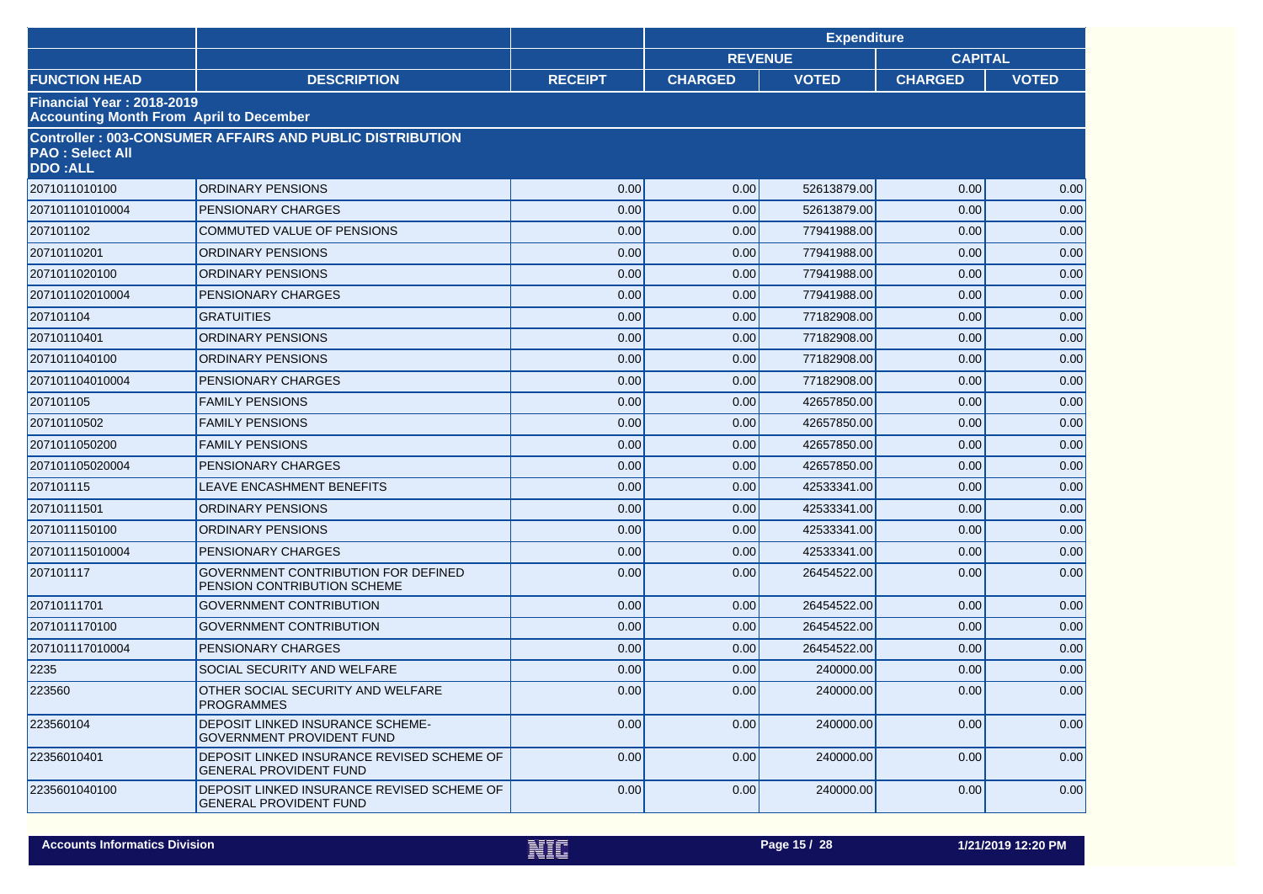|                                                                                    |                                                                             |                |                | <b>Expenditure</b> |                |              |
|------------------------------------------------------------------------------------|-----------------------------------------------------------------------------|----------------|----------------|--------------------|----------------|--------------|
|                                                                                    |                                                                             |                |                | <b>REVENUE</b>     | <b>CAPITAL</b> |              |
| <b>FUNCTION HEAD</b>                                                               | <b>DESCRIPTION</b>                                                          | <b>RECEIPT</b> | <b>CHARGED</b> | <b>VOTED</b>       | <b>CHARGED</b> | <b>VOTED</b> |
| <b>Financial Year: 2018-2019</b><br><b>Accounting Month From April to December</b> |                                                                             |                |                |                    |                |              |
| <b>PAO: Select All</b><br><b>DDO:ALL</b>                                           | <b>Controller: 003-CONSUMER AFFAIRS AND PUBLIC DISTRIBUTION</b>             |                |                |                    |                |              |
| 2071011010100                                                                      | <b>ORDINARY PENSIONS</b>                                                    | 0.00           | 0.00           | 52613879.00        | 0.00           | 0.00         |
| 207101101010004                                                                    | <b>PENSIONARY CHARGES</b>                                                   | 0.00           | 0.00           | 52613879.00        | 0.00           | 0.00         |
| 207101102                                                                          | <b>COMMUTED VALUE OF PENSIONS</b>                                           | 0.00           | 0.00           | 77941988.00        | 0.00           | 0.00         |
| 20710110201                                                                        | <b>ORDINARY PENSIONS</b>                                                    | 0.00           | 0.00           | 77941988.00        | 0.00           | 0.00         |
| 2071011020100                                                                      | <b>ORDINARY PENSIONS</b>                                                    | 0.00           | 0.00           | 77941988.00        | 0.00           | 0.00         |
| 207101102010004                                                                    | <b>PENSIONARY CHARGES</b>                                                   | 0.00           | 0.00           | 77941988.00        | 0.00           | 0.00         |
| 207101104                                                                          | <b>GRATUITIES</b>                                                           | 0.00           | 0.00           | 77182908.00        | 0.00           | 0.00         |
| 20710110401                                                                        | <b>ORDINARY PENSIONS</b>                                                    | 0.00           | 0.00           | 77182908.00        | 0.00           | 0.00         |
| 2071011040100                                                                      | <b>ORDINARY PENSIONS</b>                                                    | 0.00           | 0.00           | 77182908.00        | 0.00           | 0.00         |
| 207101104010004                                                                    | <b>PENSIONARY CHARGES</b>                                                   | 0.00           | 0.00           | 77182908.00        | 0.00           | 0.00         |
| 207101105                                                                          | <b>FAMILY PENSIONS</b>                                                      | 0.00           | 0.00           | 42657850.00        | 0.00           | 0.00         |
| 20710110502                                                                        | <b>FAMILY PENSIONS</b>                                                      | 0.00           | 0.00           | 42657850.00        | 0.00           | 0.00         |
| 2071011050200                                                                      | <b>FAMILY PENSIONS</b>                                                      | 0.00           | 0.00           | 42657850.00        | 0.00           | 0.00         |
| 207101105020004                                                                    | PENSIONARY CHARGES                                                          | 0.00           | 0.00           | 42657850.00        | 0.00           | 0.00         |
| 207101115                                                                          | LEAVE ENCASHMENT BENEFITS                                                   | 0.00           | 0.00           | 42533341.00        | 0.00           | 0.00         |
| 20710111501                                                                        | <b>ORDINARY PENSIONS</b>                                                    | 0.00           | 0.00           | 42533341.00        | 0.00           | 0.00         |
| 2071011150100                                                                      | <b>ORDINARY PENSIONS</b>                                                    | 0.00           | 0.00           | 42533341.00        | 0.00           | 0.00         |
| 207101115010004                                                                    | PENSIONARY CHARGES                                                          | 0.00           | 0.00           | 42533341.00        | 0.00           | 0.00         |
| 207101117                                                                          | <b>GOVERNMENT CONTRIBUTION FOR DEFINED</b><br>PENSION CONTRIBUTION SCHEME   | 0.00           | 0.00           | 26454522.00        | 0.00           | 0.00         |
| 20710111701                                                                        | <b>GOVERNMENT CONTRIBUTION</b>                                              | 0.00           | 0.00           | 26454522.00        | 0.00           | 0.00         |
| 2071011170100                                                                      | <b>GOVERNMENT CONTRIBUTION</b>                                              | 0.00           | 0.00           | 26454522.00        | 0.00           | 0.00         |
| 207101117010004                                                                    | PENSIONARY CHARGES                                                          | 0.00           | 0.00           | 26454522.00        | 0.00           | 0.00         |
| 2235                                                                               | SOCIAL SECURITY AND WELFARE                                                 | 0.00           | 0.00           | 240000.00          | 0.00           | 0.00         |
| 223560                                                                             | OTHER SOCIAL SECURITY AND WELFARE<br><b>PROGRAMMES</b>                      | 0.00           | 0.00           | 240000.00          | 0.00           | 0.00         |
| 223560104                                                                          | DEPOSIT LINKED INSURANCE SCHEME-<br><b>GOVERNMENT PROVIDENT FUND</b>        | 0.00           | 0.00           | 240000.00          | 0.00           | 0.00         |
| 22356010401                                                                        | DEPOSIT LINKED INSURANCE REVISED SCHEME OF<br><b>GENERAL PROVIDENT FUND</b> | 0.00           | 0.00           | 240000.00          | 0.00           | 0.00         |
| 2235601040100                                                                      | DEPOSIT LINKED INSURANCE REVISED SCHEME OF<br><b>GENERAL PROVIDENT FUND</b> | 0.00           | 0.00           | 240000.00          | 0.00           | 0.00         |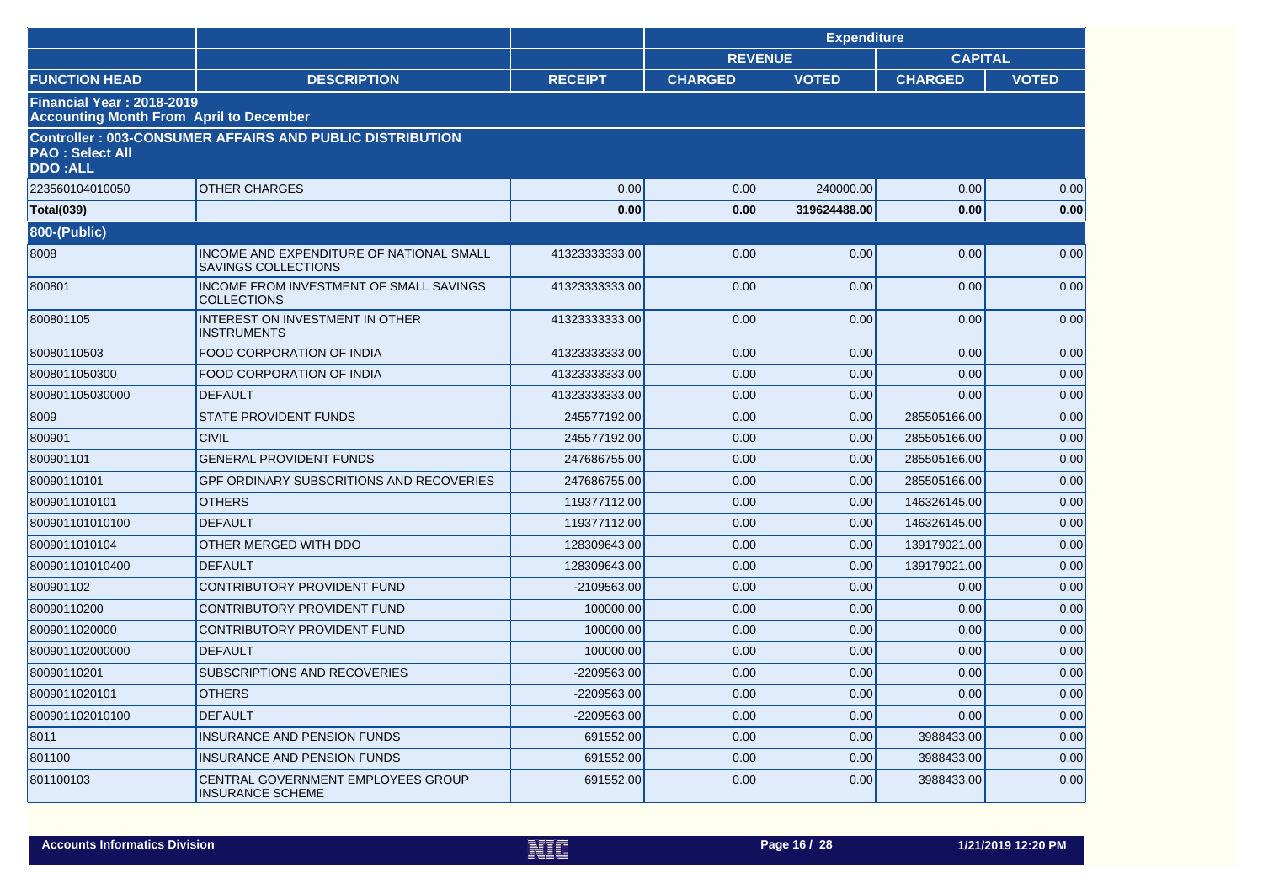|                                                                                    |                                                                        |                |                | <b>Expenditure</b> |                |              |
|------------------------------------------------------------------------------------|------------------------------------------------------------------------|----------------|----------------|--------------------|----------------|--------------|
|                                                                                    |                                                                        |                |                | <b>REVENUE</b>     | <b>CAPITAL</b> |              |
| <b>FUNCTION HEAD</b>                                                               | <b>DESCRIPTION</b>                                                     | <b>RECEIPT</b> | <b>CHARGED</b> | <b>VOTED</b>       | <b>CHARGED</b> | <b>VOTED</b> |
| <b>Financial Year: 2018-2019</b><br><b>Accounting Month From April to December</b> |                                                                        |                |                |                    |                |              |
| <b>PAO: Select All</b><br><b>DDO:ALL</b>                                           | <b>Controller: 003-CONSUMER AFFAIRS AND PUBLIC DISTRIBUTION</b>        |                |                |                    |                |              |
| 223560104010050                                                                    | <b>OTHER CHARGES</b>                                                   | 0.00           | 0.00           | 240000.00          | 0.00           | 0.00         |
| <b>Total(039)</b>                                                                  |                                                                        | 0.00           | 0.00           | 319624488.00       | 0.00           | 0.00         |
| <b>800-(Public)</b>                                                                |                                                                        |                |                |                    |                |              |
| 8008                                                                               | INCOME AND EXPENDITURE OF NATIONAL SMALL<br><b>SAVINGS COLLECTIONS</b> | 41323333333.00 | 0.00           | 0.00               | 0.00           | 0.00         |
| 800801                                                                             | INCOME FROM INVESTMENT OF SMALL SAVINGS<br><b>COLLECTIONS</b>          | 41323333333.00 | 0.00           | 0.00               | 0.00           | 0.00         |
| 800801105                                                                          | INTEREST ON INVESTMENT IN OTHER<br><b>INSTRUMENTS</b>                  | 41323333333.00 | 0.00           | 0.00               | 0.00           | 0.00         |
| 80080110503                                                                        | <b>FOOD CORPORATION OF INDIA</b>                                       | 41323333333.00 | 0.00           | 0.00               | 0.00           | 0.00         |
| 8008011050300                                                                      | FOOD CORPORATION OF INDIA                                              | 41323333333.00 | 0.00           | 0.00               | 0.00           | 0.00         |
| 800801105030000                                                                    | <b>DEFAULT</b>                                                         | 41323333333.00 | 0.00           | 0.00               | 0.00           | 0.00         |
| 8009                                                                               | <b>STATE PROVIDENT FUNDS</b>                                           | 245577192.00   | 0.00           | 0.00               | 285505166.00   | 0.00         |
| 800901                                                                             | <b>CIVIL</b>                                                           | 245577192.00   | 0.00           | 0.00               | 285505166.00   | 0.00         |
| 800901101                                                                          | <b>GENERAL PROVIDENT FUNDS</b>                                         | 247686755.00   | 0.00           | 0.00               | 285505166.00   | 0.00         |
| 80090110101                                                                        | <b>GPF ORDINARY SUBSCRITIONS AND RECOVERIES</b>                        | 247686755.00   | 0.00           | 0.00               | 285505166.00   | 0.00         |
| 8009011010101                                                                      | <b>OTHERS</b>                                                          | 119377112.00   | 0.00           | 0.00               | 146326145.00   | 0.00         |
| 800901101010100                                                                    | <b>DEFAULT</b>                                                         | 119377112.00   | 0.00           | 0.00               | 146326145.00   | 0.00         |
| 8009011010104                                                                      | OTHER MERGED WITH DDO                                                  | 128309643.00   | 0.00           | 0.00               | 139179021.00   | 0.00         |
| 800901101010400                                                                    | <b>DEFAULT</b>                                                         | 128309643.00   | 0.00           | 0.00               | 139179021.00   | 0.00         |
| 800901102                                                                          | CONTRIBUTORY PROVIDENT FUND                                            | -2109563.00    | 0.00           | 0.00               | 0.00           | 0.00         |
| 80090110200                                                                        | CONTRIBUTORY PROVIDENT FUND                                            | 100000.00      | 0.00           | 0.00               | 0.00           | 0.00         |
| 8009011020000                                                                      | CONTRIBUTORY PROVIDENT FUND                                            | 100000.00      | 0.00           | 0.00               | 0.00           | 0.00         |
| 800901102000000                                                                    | <b>DEFAULT</b>                                                         | 100000.00      | 0.00           | 0.00               | 0.00           | 0.00         |
| 80090110201                                                                        | <b>SUBSCRIPTIONS AND RECOVERIES</b>                                    | -2209563.00    | 0.00           | 0.00               | 0.00           | 0.00         |
| 8009011020101                                                                      | <b>OTHERS</b>                                                          | -2209563.00    | 0.00           | 0.00               | 0.00           | 0.00         |
| 800901102010100                                                                    | <b>DEFAULT</b>                                                         | -2209563.00    | 0.00           | 0.00               | 0.00           | 0.00         |
| 8011                                                                               | <b>INSURANCE AND PENSION FUNDS</b>                                     | 691552.00      | 0.00           | 0.00               | 3988433.00     | 0.00         |
| 801100                                                                             | <b>INSURANCE AND PENSION FUNDS</b>                                     | 691552.00      | 0.00           | 0.00               | 3988433.00     | 0.00         |
| 801100103                                                                          | CENTRAL GOVERNMENT EMPLOYEES GROUP<br><b>INSURANCE SCHEME</b>          | 691552.00      | 0.00           | 0.00               | 3988433.00     | 0.00         |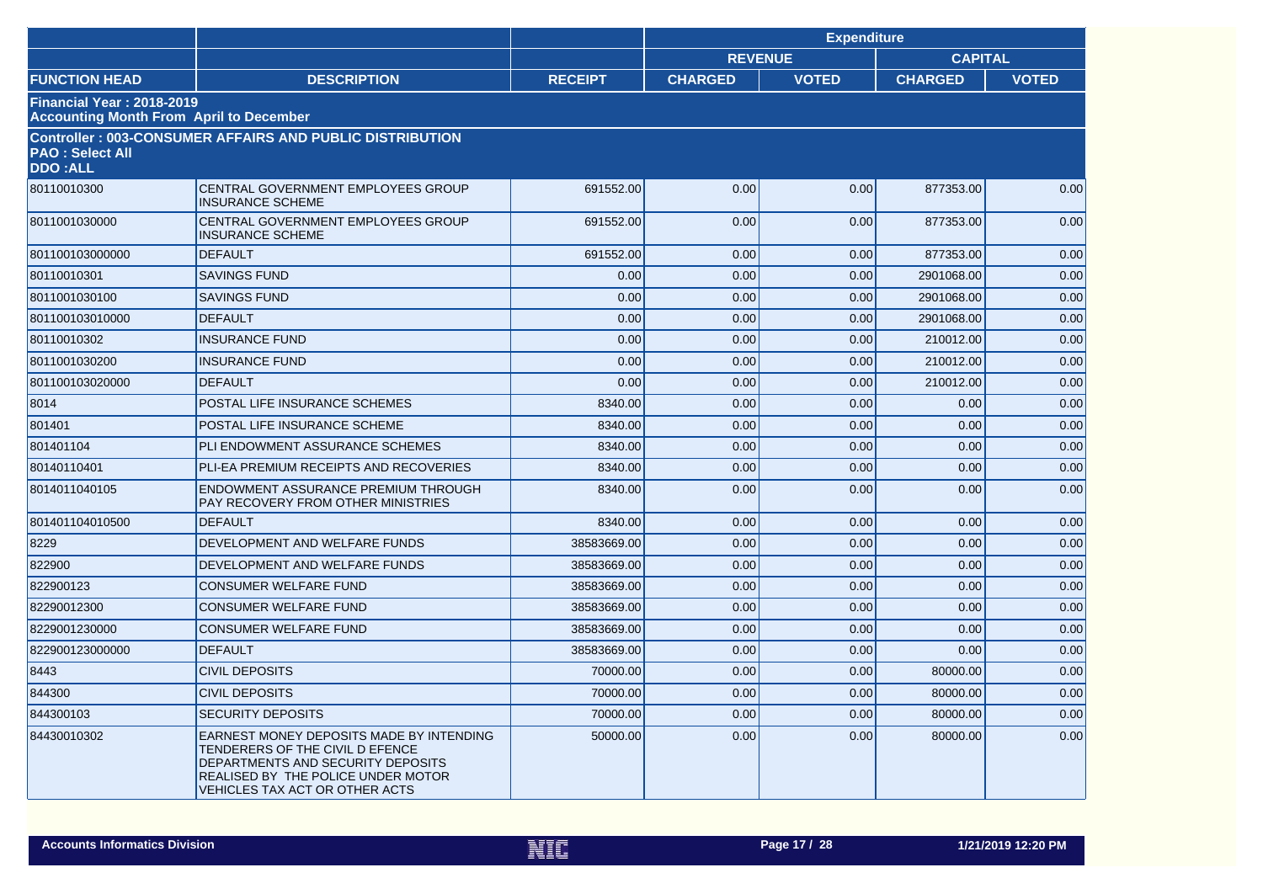|                                                                                    |                                                                                                                                                                                                 |                |                | <b>Expenditure</b> |                |              |
|------------------------------------------------------------------------------------|-------------------------------------------------------------------------------------------------------------------------------------------------------------------------------------------------|----------------|----------------|--------------------|----------------|--------------|
|                                                                                    |                                                                                                                                                                                                 |                |                | <b>REVENUE</b>     | <b>CAPITAL</b> |              |
| <b>FUNCTION HEAD</b>                                                               | <b>DESCRIPTION</b>                                                                                                                                                                              | <b>RECEIPT</b> | <b>CHARGED</b> | <b>VOTED</b>       | <b>CHARGED</b> | <b>VOTED</b> |
| <b>Financial Year: 2018-2019</b><br><b>Accounting Month From April to December</b> |                                                                                                                                                                                                 |                |                |                    |                |              |
| <b>PAO: Select All</b><br><b>DDO:ALL</b>                                           | <b>Controller: 003-CONSUMER AFFAIRS AND PUBLIC DISTRIBUTION</b>                                                                                                                                 |                |                |                    |                |              |
| 80110010300                                                                        | CENTRAL GOVERNMENT EMPLOYEES GROUP<br><b>INSURANCE SCHEME</b>                                                                                                                                   | 691552.00      | 0.00           | 0.00               | 877353.00      | 0.00         |
| 8011001030000                                                                      | CENTRAL GOVERNMENT EMPLOYEES GROUP<br><b>INSURANCE SCHEME</b>                                                                                                                                   | 691552.00      | 0.00           | 0.00               | 877353.00      | 0.00         |
| 801100103000000                                                                    | <b>DEFAULT</b>                                                                                                                                                                                  | 691552.00      | 0.00           | 0.00               | 877353.00      | 0.00         |
| 80110010301                                                                        | <b>SAVINGS FUND</b>                                                                                                                                                                             | 0.00           | 0.00           | 0.00               | 2901068.00     | 0.00         |
| 8011001030100                                                                      | <b>SAVINGS FUND</b>                                                                                                                                                                             | 0.00           | 0.00           | 0.00               | 2901068.00     | 0.00         |
| 801100103010000                                                                    | <b>DEFAULT</b>                                                                                                                                                                                  | 0.00           | 0.00           | 0.00               | 2901068.00     | 0.00         |
| 80110010302                                                                        | <b>INSURANCE FUND</b>                                                                                                                                                                           | 0.00           | 0.00           | 0.00               | 210012.00      | 0.00         |
| 8011001030200                                                                      | <b>INSURANCE FUND</b>                                                                                                                                                                           | 0.00           | 0.00           | 0.00               | 210012.00      | 0.00         |
| 801100103020000                                                                    | <b>DEFAULT</b>                                                                                                                                                                                  | 0.00           | 0.00           | 0.00               | 210012.00      | 0.00         |
| 8014                                                                               | POSTAL LIFE INSURANCE SCHEMES                                                                                                                                                                   | 8340.00        | 0.00           | 0.00               | 0.00           | 0.00         |
| 801401                                                                             | POSTAL LIFE INSURANCE SCHEME                                                                                                                                                                    | 8340.00        | 0.00           | 0.00               | 0.00           | 0.00         |
| 801401104                                                                          | PLI ENDOWMENT ASSURANCE SCHEMES                                                                                                                                                                 | 8340.00        | 0.00           | 0.00               | 0.00           | 0.00         |
| 80140110401                                                                        | PLI-EA PREMIUM RECEIPTS AND RECOVERIES                                                                                                                                                          | 8340.00        | 0.00           | 0.00               | 0.00           | 0.00         |
| 8014011040105                                                                      | ENDOWMENT ASSURANCE PREMIUM THROUGH<br>PAY RECOVERY FROM OTHER MINISTRIES                                                                                                                       | 8340.00        | 0.00           | 0.00               | 0.00           | 0.00         |
| 801401104010500                                                                    | <b>DEFAULT</b>                                                                                                                                                                                  | 8340.00        | 0.00           | 0.00               | 0.00           | 0.00         |
| 8229                                                                               | DEVELOPMENT AND WELFARE FUNDS                                                                                                                                                                   | 38583669.00    | 0.00           | 0.00               | 0.00           | 0.00         |
| 822900                                                                             | DEVELOPMENT AND WELFARE FUNDS                                                                                                                                                                   | 38583669.00    | 0.00           | 0.00               | 0.00           | 0.00         |
| 822900123                                                                          | <b>CONSUMER WELFARE FUND</b>                                                                                                                                                                    | 38583669.00    | 0.00           | 0.00               | 0.00           | 0.00         |
| 82290012300                                                                        | <b>CONSUMER WELFARE FUND</b>                                                                                                                                                                    | 38583669.00    | 0.00           | 0.00               | 0.00           | 0.00         |
| 8229001230000                                                                      | <b>CONSUMER WELFARE FUND</b>                                                                                                                                                                    | 38583669.00    | 0.00           | 0.00               | 0.00           | 0.00         |
| 822900123000000                                                                    | <b>DEFAULT</b>                                                                                                                                                                                  | 38583669.00    | 0.00           | 0.00               | 0.00           | 0.00         |
| 8443                                                                               | <b>CIVIL DEPOSITS</b>                                                                                                                                                                           | 70000.00       | 0.00           | 0.00               | 80000.00       | 0.00         |
| 844300                                                                             | <b>CIVIL DEPOSITS</b>                                                                                                                                                                           | 70000.00       | 0.00           | 0.00               | 80000.00       | 0.00         |
| 844300103                                                                          | <b>SECURITY DEPOSITS</b>                                                                                                                                                                        | 70000.00       | 0.00           | 0.00               | 80000.00       | 0.00         |
| 84430010302                                                                        | EARNEST MONEY DEPOSITS MADE BY INTENDING<br>TENDERERS OF THE CIVIL D EFENCE<br>DEPARTMENTS AND SECURITY DEPOSITS<br>REALISED BY THE POLICE UNDER MOTOR<br><b>VEHICLES TAX ACT OR OTHER ACTS</b> | 50000.00       | 0.00           | 0.00               | 80000.00       | 0.00         |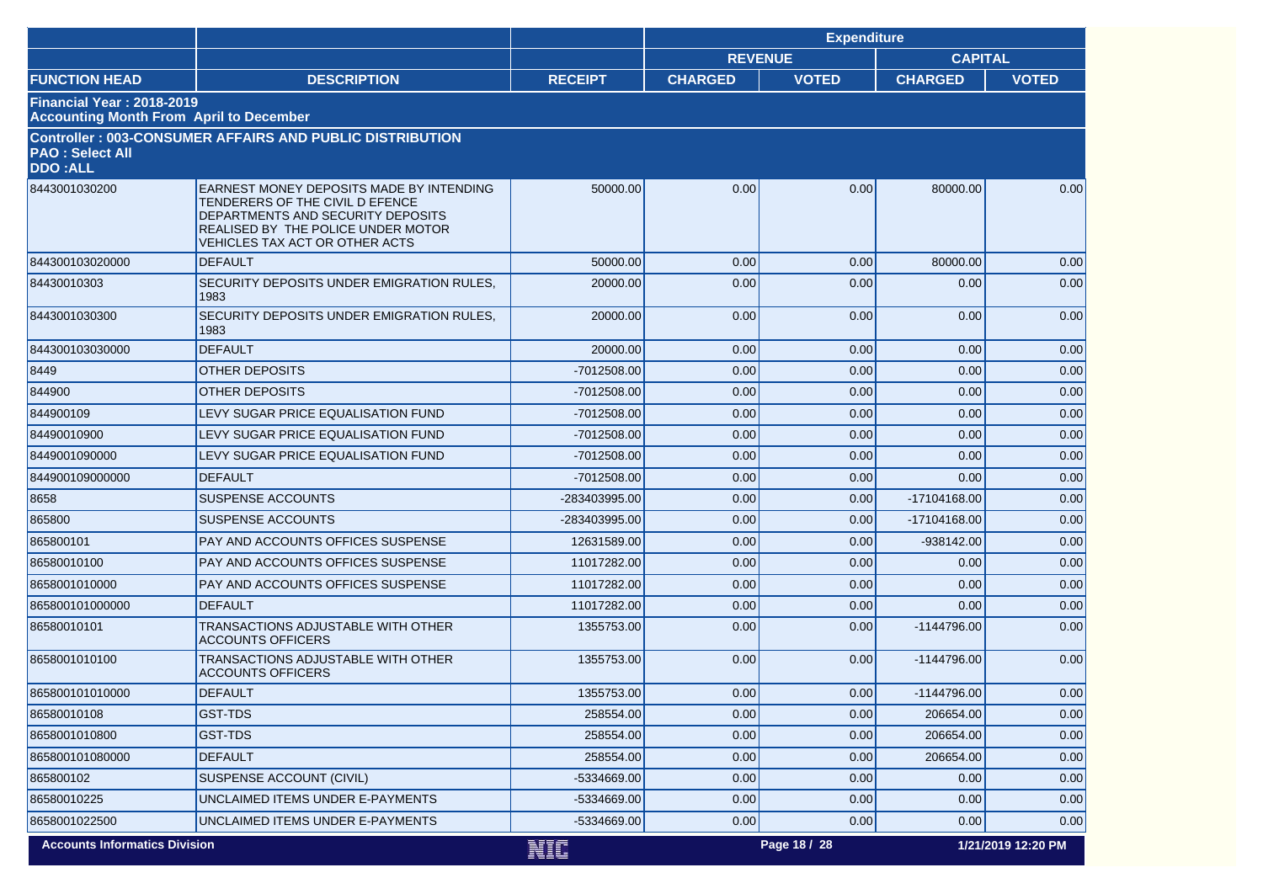|                                                                                    |                                                                                                                                                                                          |                |                | <b>Expenditure</b> |                |                    |
|------------------------------------------------------------------------------------|------------------------------------------------------------------------------------------------------------------------------------------------------------------------------------------|----------------|----------------|--------------------|----------------|--------------------|
|                                                                                    |                                                                                                                                                                                          |                | <b>REVENUE</b> |                    | <b>CAPITAL</b> |                    |
| <b>FUNCTION HEAD</b>                                                               | <b>DESCRIPTION</b>                                                                                                                                                                       | <b>RECEIPT</b> | <b>CHARGED</b> | <b>VOTED</b>       | <b>CHARGED</b> | <b>VOTED</b>       |
| <b>Financial Year: 2018-2019</b><br><b>Accounting Month From April to December</b> |                                                                                                                                                                                          |                |                |                    |                |                    |
| <b>PAO : Select All</b><br><b>DDO:ALL</b>                                          | <b>Controller: 003-CONSUMER AFFAIRS AND PUBLIC DISTRIBUTION</b>                                                                                                                          |                |                |                    |                |                    |
| 8443001030200                                                                      | EARNEST MONEY DEPOSITS MADE BY INTENDING<br>TENDERERS OF THE CIVIL D EFENCE<br>DEPARTMENTS AND SECURITY DEPOSITS<br>REALISED BY THE POLICE UNDER MOTOR<br>VEHICLES TAX ACT OR OTHER ACTS | 50000.00       | 0.00           | 0.00               | 80000.00       | 0.00               |
| 844300103020000                                                                    | <b>DEFAULT</b>                                                                                                                                                                           | 50000.00       | 0.00           | 0.00               | 80000.00       | 0.00               |
| 84430010303                                                                        | SECURITY DEPOSITS UNDER EMIGRATION RULES.<br>1983                                                                                                                                        | 20000.00       | 0.00           | 0.00               | 0.00           | 0.00               |
| 8443001030300                                                                      | SECURITY DEPOSITS UNDER EMIGRATION RULES.<br>1983                                                                                                                                        | 20000.00       | 0.00           | 0.00               | 0.00           | 0.00               |
| 844300103030000                                                                    | <b>DEFAULT</b>                                                                                                                                                                           | 20000.00       | 0.00           | 0.00               | 0.00           | 0.00               |
| 8449                                                                               | <b>OTHER DEPOSITS</b>                                                                                                                                                                    | -7012508.00    | 0.00           | 0.00               | 0.00           | 0.00               |
| 844900                                                                             | <b>OTHER DEPOSITS</b>                                                                                                                                                                    | $-7012508.00$  | 0.00           | 0.00               | 0.00           | 0.00               |
| 844900109                                                                          | LEVY SUGAR PRICE EQUALISATION FUND                                                                                                                                                       | -7012508.00    | 0.00           | 0.00               | 0.00           | 0.00               |
| 84490010900                                                                        | LEVY SUGAR PRICE EQUALISATION FUND                                                                                                                                                       | -7012508.00    | 0.00           | 0.00               | 0.00           | 0.00               |
| 8449001090000                                                                      | LEVY SUGAR PRICE EQUALISATION FUND                                                                                                                                                       | -7012508.00    | 0.00           | 0.00               | 0.00           | 0.00               |
| 844900109000000                                                                    | <b>DEFAULT</b>                                                                                                                                                                           | -7012508.00    | 0.00           | 0.00               | 0.00           | 0.00               |
| 8658                                                                               | <b>SUSPENSE ACCOUNTS</b>                                                                                                                                                                 | -283403995.00  | 0.00           | 0.00               | -17104168.00   | 0.00               |
| 865800                                                                             | <b>SUSPENSE ACCOUNTS</b>                                                                                                                                                                 | -283403995.00  | 0.00           | 0.00               | -17104168.00   | 0.00               |
| 865800101                                                                          | <b>PAY AND ACCOUNTS OFFICES SUSPENSE</b>                                                                                                                                                 | 12631589.00    | 0.00           | 0.00               | -938142.00     | 0.00               |
| 86580010100                                                                        | PAY AND ACCOUNTS OFFICES SUSPENSE                                                                                                                                                        | 11017282.00    | 0.00           | 0.00               | 0.00           | 0.00               |
| 8658001010000                                                                      | PAY AND ACCOUNTS OFFICES SUSPENSE                                                                                                                                                        | 11017282.00    | 0.00           | 0.00               | 0.00           | 0.00               |
| 865800101000000                                                                    | <b>DEFAULT</b>                                                                                                                                                                           | 11017282.00    | 0.00           | 0.00               | 0.00           | 0.00               |
| 86580010101                                                                        | TRANSACTIONS ADJUSTABLE WITH OTHER<br><b>ACCOUNTS OFFICERS</b>                                                                                                                           | 1355753.00     | 0.00           | 0.00               | -1144796.00    | 0.00               |
| 8658001010100                                                                      | TRANSACTIONS ADJUSTABLE WITH OTHER<br><b>ACCOUNTS OFFICERS</b>                                                                                                                           | 1355753.00     | 0.00           | 0.00               | -1144796.00    | 0.00               |
| 865800101010000                                                                    | <b>DEFAULT</b>                                                                                                                                                                           | 1355753.00     | 0.00           | 0.00               | $-1144796.00$  | 0.00               |
| 86580010108                                                                        | <b>GST-TDS</b>                                                                                                                                                                           | 258554.00      | 0.00           | 0.00               | 206654.00      | 0.00               |
| 8658001010800                                                                      | GST-TDS                                                                                                                                                                                  | 258554.00      | 0.00           | 0.00               | 206654.00      | 0.00               |
| 865800101080000                                                                    | <b>DEFAULT</b>                                                                                                                                                                           | 258554.00      | 0.00           | 0.00               | 206654.00      | 0.00               |
| 865800102                                                                          | SUSPENSE ACCOUNT (CIVIL)                                                                                                                                                                 | -5334669.00    | 0.00           | 0.00               | 0.00           | 0.00               |
| 86580010225                                                                        | UNCLAIMED ITEMS UNDER E-PAYMENTS                                                                                                                                                         | -5334669.00    | 0.00           | 0.00               | 0.00           | 0.00               |
| 8658001022500                                                                      | UNCLAIMED ITEMS UNDER E-PAYMENTS                                                                                                                                                         | -5334669.00    | 0.00           | 0.00               | 0.00           | 0.00               |
| <b>Accounts Informatics Division</b>                                               |                                                                                                                                                                                          | NIC            |                | Page 18 / 28       |                | 1/21/2019 12:20 PM |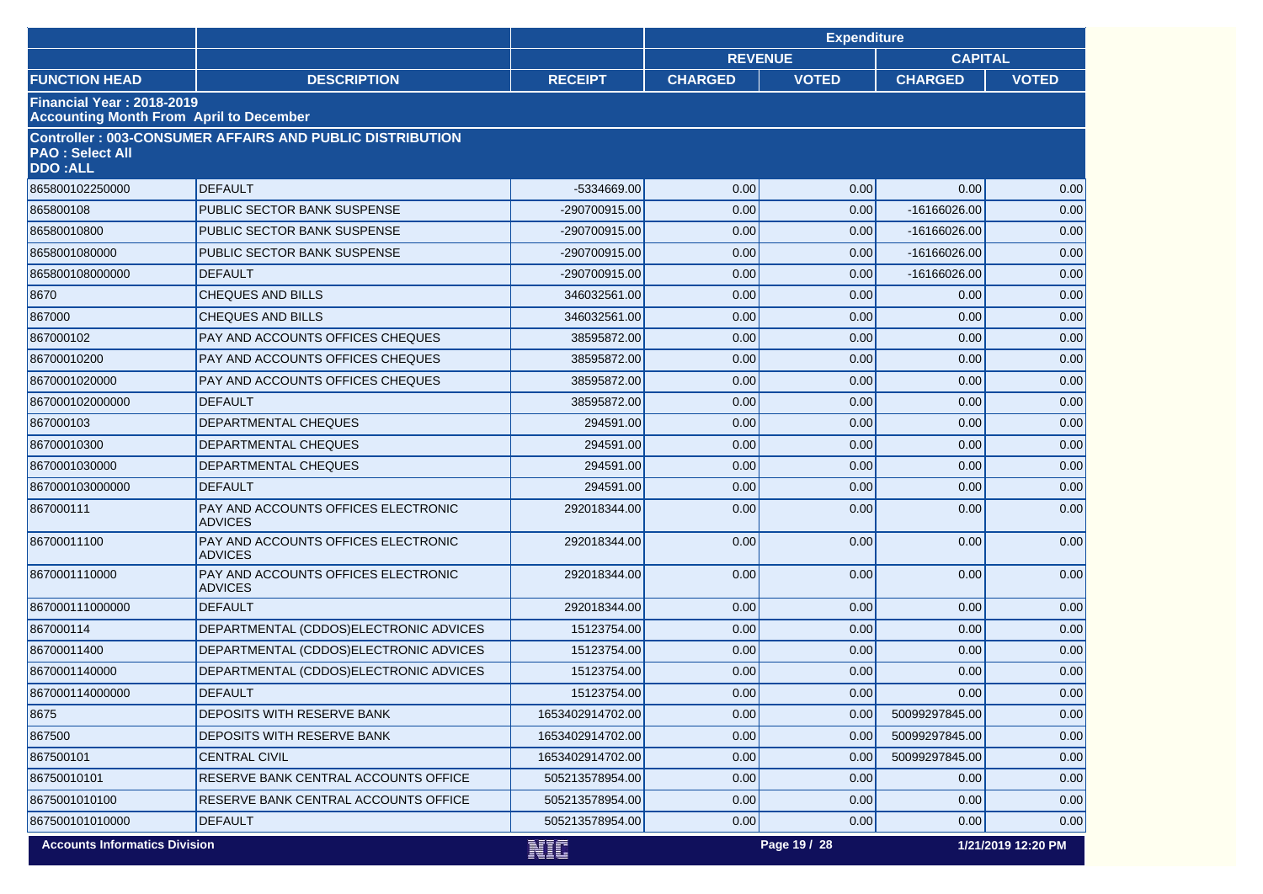|                                                                             |                                                                 |                  |                | <b>Expenditure</b> |                |                    |
|-----------------------------------------------------------------------------|-----------------------------------------------------------------|------------------|----------------|--------------------|----------------|--------------------|
|                                                                             |                                                                 |                  | <b>REVENUE</b> |                    | <b>CAPITAL</b> |                    |
| <b>FUNCTION HEAD</b>                                                        | <b>DESCRIPTION</b>                                              | <b>RECEIPT</b>   | <b>CHARGED</b> | <b>VOTED</b>       | <b>CHARGED</b> | <b>VOTED</b>       |
| Financial Year: 2018-2019<br><b>Accounting Month From April to December</b> |                                                                 |                  |                |                    |                |                    |
| <b>PAO: Select All</b><br><b>DDO:ALL</b>                                    | <b>Controller: 003-CONSUMER AFFAIRS AND PUBLIC DISTRIBUTION</b> |                  |                |                    |                |                    |
| 865800102250000                                                             | <b>DEFAULT</b>                                                  | -5334669.00      | 0.00           | 0.00               | 0.00           | 0.00               |
| 865800108                                                                   | PUBLIC SECTOR BANK SUSPENSE                                     | -290700915.00    | 0.00           | 0.00               | -16166026.00   | 0.00               |
| 86580010800                                                                 | PUBLIC SECTOR BANK SUSPENSE                                     | -290700915.00    | 0.00           | 0.00               | -16166026.00   | 0.00               |
| 8658001080000                                                               | PUBLIC SECTOR BANK SUSPENSE                                     | -290700915.00    | 0.00           | 0.00               | -16166026.00   | 0.00               |
| 865800108000000                                                             | <b>DEFAULT</b>                                                  | -290700915.00    | 0.00           | 0.00               | -16166026.00   | 0.00               |
| 8670                                                                        | <b>CHEQUES AND BILLS</b>                                        | 346032561.00     | 0.00           | 0.00               | 0.00           | 0.00               |
| 867000                                                                      | <b>CHEQUES AND BILLS</b>                                        | 346032561.00     | 0.00           | 0.00               | 0.00           | 0.00               |
| 867000102                                                                   | PAY AND ACCOUNTS OFFICES CHEQUES                                | 38595872.00      | 0.00           | 0.00               | 0.00           | 0.00               |
| 86700010200                                                                 | PAY AND ACCOUNTS OFFICES CHEQUES                                | 38595872.00      | 0.00           | 0.00               | 0.00           | 0.00               |
| 8670001020000                                                               | PAY AND ACCOUNTS OFFICES CHEQUES                                | 38595872.00      | 0.00           | 0.00               | 0.00           | 0.00               |
| 867000102000000                                                             | <b>DEFAULT</b>                                                  | 38595872.00      | 0.00           | 0.00               | 0.00           | 0.00               |
| 867000103                                                                   | <b>DEPARTMENTAL CHEQUES</b>                                     | 294591.00        | 0.00           | 0.00               | 0.00           | 0.00               |
| 86700010300                                                                 | <b>DEPARTMENTAL CHEQUES</b>                                     | 294591.00        | 0.00           | 0.00               | 0.00           | 0.00               |
| 8670001030000                                                               | DEPARTMENTAL CHEQUES                                            | 294591.00        | 0.00           | 0.00               | 0.00           | 0.00               |
| 867000103000000                                                             | <b>DEFAULT</b>                                                  | 294591.00        | 0.00           | 0.00               | 0.00           | 0.00               |
| 867000111                                                                   | PAY AND ACCOUNTS OFFICES ELECTRONIC<br><b>ADVICES</b>           | 292018344.00     | 0.00           | 0.00               | 0.00           | 0.00               |
| 86700011100                                                                 | PAY AND ACCOUNTS OFFICES ELECTRONIC<br><b>ADVICES</b>           | 292018344.00     | 0.00           | 0.00               | 0.00           | 0.00               |
| 8670001110000                                                               | PAY AND ACCOUNTS OFFICES ELECTRONIC<br><b>ADVICES</b>           | 292018344.00     | 0.00           | 0.00               | 0.00           | 0.00               |
| 867000111000000                                                             | <b>DEFAULT</b>                                                  | 292018344.00     | 0.00           | 0.00               | 0.00           | 0.00               |
| 867000114                                                                   | DEPARTMENTAL (CDDOS)ELECTRONIC ADVICES                          | 15123754.00      | 0.00           | 0.00               | 0.00           | 0.00               |
| 86700011400                                                                 | DEPARTMENTAL (CDDOS)ELECTRONIC ADVICES                          | 15123754.00      | 0.00           | 0.00               | 0.00           | 0.00               |
| 8670001140000                                                               | DEPARTMENTAL (CDDOS)ELECTRONIC ADVICES                          | 15123754.00      | 0.00           | 0.00               | 0.00           | 0.00               |
| 867000114000000                                                             | <b>DEFAULT</b>                                                  | 15123754.00      | 0.00           | 0.00               | 0.00           | 0.00               |
| 8675                                                                        | DEPOSITS WITH RESERVE BANK                                      | 1653402914702.00 | 0.00           | 0.00               | 50099297845.00 | 0.00               |
| 867500                                                                      | DEPOSITS WITH RESERVE BANK                                      | 1653402914702.00 | 0.00           | 0.00               | 50099297845.00 | 0.00               |
| 867500101                                                                   | <b>CENTRAL CIVIL</b>                                            | 1653402914702.00 | 0.00           | 0.00               | 50099297845.00 | 0.00               |
| 86750010101                                                                 | RESERVE BANK CENTRAL ACCOUNTS OFFICE                            | 505213578954.00  | 0.00           | 0.00               | 0.00           | 0.00               |
| 8675001010100                                                               | RESERVE BANK CENTRAL ACCOUNTS OFFICE                            | 505213578954.00  | 0.00           | 0.00               | 0.00           | 0.00               |
| 867500101010000                                                             | <b>DEFAULT</b>                                                  | 505213578954.00  | 0.00           | 0.00               | 0.00           | 0.00               |
| <b>Accounts Informatics Division</b>                                        |                                                                 | NIC              |                | Page 19 / 28       |                | 1/21/2019 12:20 PM |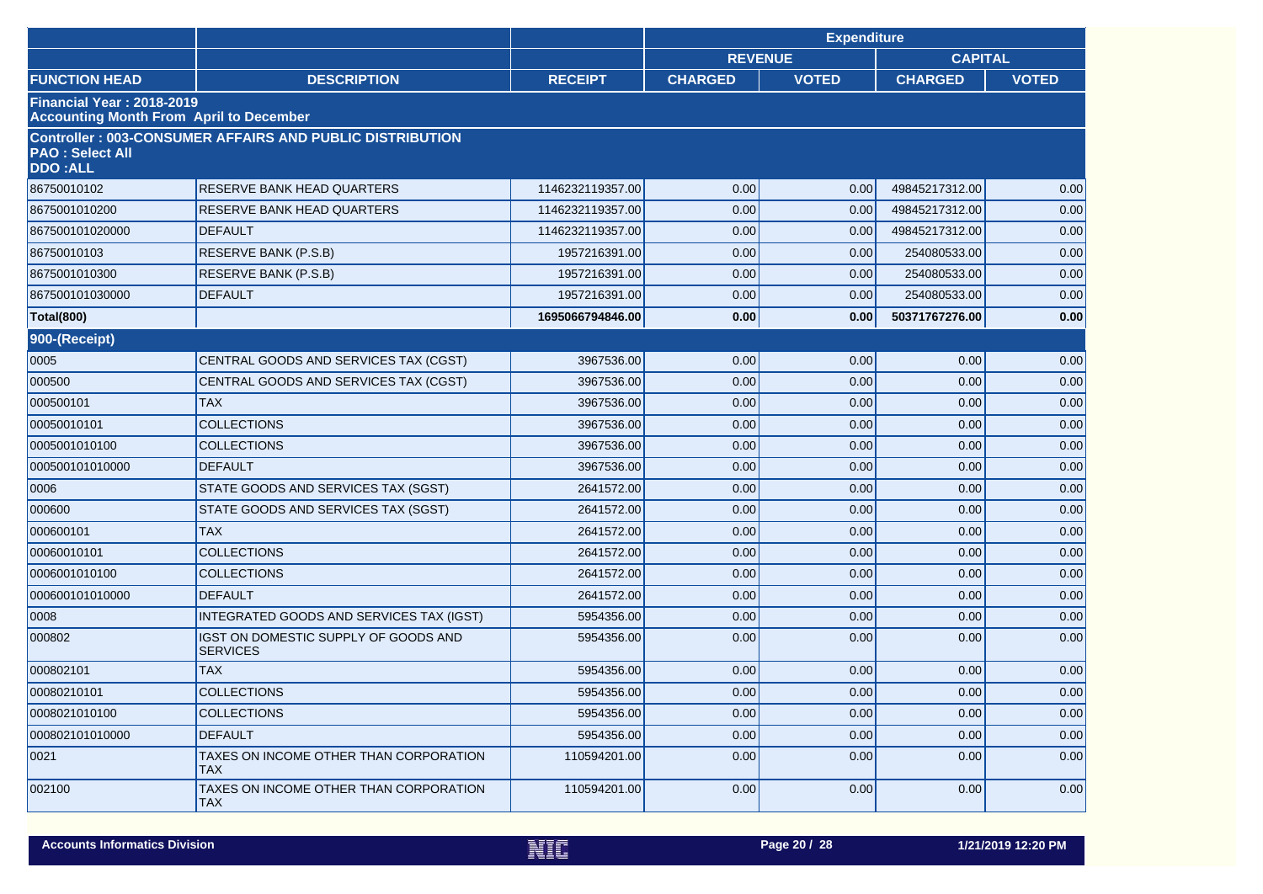|                                                                                    |                                                                 |                  |                | <b>Expenditure</b> |                |              |
|------------------------------------------------------------------------------------|-----------------------------------------------------------------|------------------|----------------|--------------------|----------------|--------------|
|                                                                                    |                                                                 |                  | <b>REVENUE</b> |                    | <b>CAPITAL</b> |              |
| <b>FUNCTION HEAD</b>                                                               | <b>DESCRIPTION</b>                                              | <b>RECEIPT</b>   | <b>CHARGED</b> | <b>VOTED</b>       | <b>CHARGED</b> | <b>VOTED</b> |
| <b>Financial Year: 2018-2019</b><br><b>Accounting Month From April to December</b> |                                                                 |                  |                |                    |                |              |
| <b>PAO: Select All</b><br><b>DDO:ALL</b>                                           | <b>Controller: 003-CONSUMER AFFAIRS AND PUBLIC DISTRIBUTION</b> |                  |                |                    |                |              |
| 86750010102                                                                        | <b>RESERVE BANK HEAD QUARTERS</b>                               | 1146232119357.00 | 0.00           | 0.00               | 49845217312.00 | 0.00         |
| 8675001010200                                                                      | RESERVE BANK HEAD QUARTERS                                      | 1146232119357.00 | 0.00           | 0.00               | 49845217312.00 | 0.00         |
| 867500101020000                                                                    | <b>DEFAULT</b>                                                  | 1146232119357.00 | 0.00           | 0.00               | 49845217312.00 | 0.00         |
| 86750010103                                                                        | <b>RESERVE BANK (P.S.B)</b>                                     | 1957216391.00    | 0.00           | 0.00               | 254080533.00   | 0.00         |
| 8675001010300                                                                      | RESERVE BANK (P.S.B)                                            | 1957216391.00    | 0.00           | 0.00               | 254080533.00   | 0.00         |
| 867500101030000                                                                    | <b>DEFAULT</b>                                                  | 1957216391.00    | 0.00           | 0.00               | 254080533.00   | 0.00         |
| <b>Total(800)</b>                                                                  |                                                                 | 1695066794846.00 | 0.00           | 0.00               | 50371767276.00 | 0.00         |
| 900-(Receipt)                                                                      |                                                                 |                  |                |                    |                |              |
| 0005                                                                               | CENTRAL GOODS AND SERVICES TAX (CGST)                           | 3967536.00       | 0.00           | 0.00               | 0.00           | 0.00         |
| 000500                                                                             | CENTRAL GOODS AND SERVICES TAX (CGST)                           | 3967536.00       | 0.00           | 0.00               | 0.00           | 0.00         |
| 000500101                                                                          | <b>TAX</b>                                                      | 3967536.00       | 0.00           | 0.00               | 0.00           | 0.00         |
| 00050010101                                                                        | <b>COLLECTIONS</b>                                              | 3967536.00       | 0.00           | 0.00               | 0.00           | 0.00         |
| 0005001010100                                                                      | <b>COLLECTIONS</b>                                              | 3967536.00       | 0.00           | 0.00               | 0.00           | 0.00         |
| 000500101010000                                                                    | <b>DEFAULT</b>                                                  | 3967536.00       | 0.00           | 0.00               | 0.00           | 0.00         |
| 0006                                                                               | STATE GOODS AND SERVICES TAX (SGST)                             | 2641572.00       | 0.00           | 0.00               | 0.00           | 0.00         |
| 000600                                                                             | STATE GOODS AND SERVICES TAX (SGST)                             | 2641572.00       | 0.00           | 0.00               | 0.00           | 0.00         |
| 000600101                                                                          | <b>TAX</b>                                                      | 2641572.00       | 0.00           | 0.00               | 0.00           | 0.00         |
| 00060010101                                                                        | <b>COLLECTIONS</b>                                              | 2641572.00       | 0.00           | 0.00               | 0.00           | 0.00         |
| 0006001010100                                                                      | <b>COLLECTIONS</b>                                              | 2641572.00       | 0.00           | 0.00               | 0.00           | 0.00         |
| 000600101010000                                                                    | <b>DEFAULT</b>                                                  | 2641572.00       | 0.00           | 0.00               | 0.00           | 0.00         |
| 0008                                                                               | INTEGRATED GOODS AND SERVICES TAX (IGST)                        | 5954356.00       | 0.00           | 0.00               | 0.00           | 0.00         |
| 000802                                                                             | IGST ON DOMESTIC SUPPLY OF GOODS AND<br><b>SERVICES</b>         | 5954356.00       | 0.00           | 0.00               | 0.00           | 0.00         |
| 000802101                                                                          | <b>TAX</b>                                                      | 5954356.00       | 0.00           | 0.00               | 0.00           | 0.00         |
| 00080210101                                                                        | <b>COLLECTIONS</b>                                              | 5954356.00       | 0.00           | 0.00               | 0.00           | 0.00         |
| 0008021010100                                                                      | <b>COLLECTIONS</b>                                              | 5954356.00       | 0.00           | 0.00               | 0.00           | 0.00         |
| 000802101010000                                                                    | <b>DEFAULT</b>                                                  | 5954356.00       | 0.00           | 0.00               | 0.00           | 0.00         |
| 0021                                                                               | <b>TAXES ON INCOME OTHER THAN CORPORATION</b><br><b>TAX</b>     | 110594201.00     | 0.00           | 0.00               | 0.00           | 0.00         |
| 002100                                                                             | <b>TAXES ON INCOME OTHER THAN CORPORATION</b><br><b>TAX</b>     | 110594201.00     | 0.00           | 0.00               | 0.00           | 0.00         |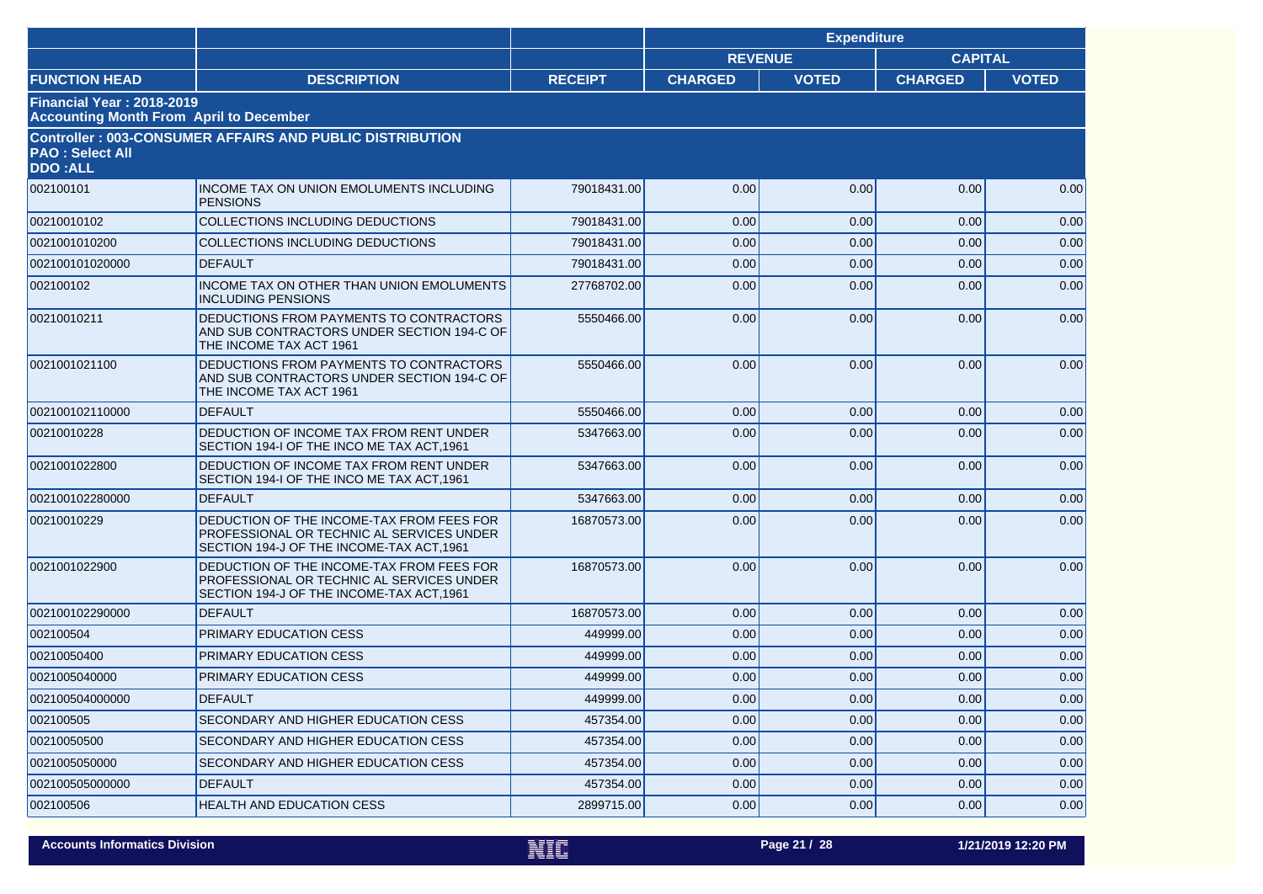|                                                                             |                                                                                                                                     |                |                | <b>Expenditure</b> |                |              |
|-----------------------------------------------------------------------------|-------------------------------------------------------------------------------------------------------------------------------------|----------------|----------------|--------------------|----------------|--------------|
|                                                                             |                                                                                                                                     |                | <b>REVENUE</b> |                    | <b>CAPITAL</b> |              |
| <b>FUNCTION HEAD</b>                                                        | <b>DESCRIPTION</b>                                                                                                                  | <b>RECEIPT</b> | <b>CHARGED</b> | <b>VOTED</b>       | <b>CHARGED</b> | <b>VOTED</b> |
| Financial Year: 2018-2019<br><b>Accounting Month From April to December</b> |                                                                                                                                     |                |                |                    |                |              |
| <b>PAO : Select All</b><br><b>DDO:ALL</b>                                   | <b>Controller: 003-CONSUMER AFFAIRS AND PUBLIC DISTRIBUTION</b>                                                                     |                |                |                    |                |              |
| 002100101                                                                   | INCOME TAX ON UNION EMOLUMENTS INCLUDING<br><b>PENSIONS</b>                                                                         | 79018431.00    | 0.00           | 0.00               | 0.00           | 0.00         |
| 00210010102                                                                 | COLLECTIONS INCLUDING DEDUCTIONS                                                                                                    | 79018431.00    | 0.00           | 0.00               | 0.00           | 0.00         |
| 0021001010200                                                               | <b>COLLECTIONS INCLUDING DEDUCTIONS</b>                                                                                             | 79018431.00    | 0.00           | 0.00               | 0.00           | 0.00         |
| 002100101020000                                                             | <b>DEFAULT</b>                                                                                                                      | 79018431.00    | 0.00           | 0.00               | 0.00           | 0.00         |
| 002100102                                                                   | INCOME TAX ON OTHER THAN UNION EMOLUMENTS<br><b>INCLUDING PENSIONS</b>                                                              | 27768702.00    | 0.00           | 0.00               | 0.00           | 0.00         |
| 00210010211                                                                 | DEDUCTIONS FROM PAYMENTS TO CONTRACTORS<br>AND SUB CONTRACTORS UNDER SECTION 194-C OF<br>THE INCOME TAX ACT 1961                    | 5550466.00     | 0.00           | 0.00               | 0.00           | 0.00         |
| 0021001021100                                                               | DEDUCTIONS FROM PAYMENTS TO CONTRACTORS<br>AND SUB CONTRACTORS UNDER SECTION 194-C OF<br>THE INCOME TAX ACT 1961                    | 5550466.00     | 0.00           | 0.00               | 0.00           | 0.00         |
| 002100102110000                                                             | <b>DEFAULT</b>                                                                                                                      | 5550466.00     | 0.00           | 0.00               | 0.00           | 0.00         |
| 00210010228                                                                 | DEDUCTION OF INCOME TAX FROM RENT UNDER<br>SECTION 194-I OF THE INCO ME TAX ACT, 1961                                               | 5347663.00     | 0.00           | 0.00               | 0.00           | 0.00         |
| 0021001022800                                                               | DEDUCTION OF INCOME TAX FROM RENT UNDER<br>SECTION 194-I OF THE INCO ME TAX ACT, 1961                                               | 5347663.00     | 0.00           | 0.00               | 0.00           | 0.00         |
| 002100102280000                                                             | <b>DEFAULT</b>                                                                                                                      | 5347663.00     | 0.00           | 0.00               | 0.00           | 0.00         |
| 00210010229                                                                 | DEDUCTION OF THE INCOME-TAX FROM FEES FOR<br>PROFESSIONAL OR TECHNIC AL SERVICES UNDER<br>SECTION 194-J OF THE INCOME-TAX ACT, 1961 | 16870573.00    | 0.00           | 0.00               | 0.00           | 0.00         |
| 0021001022900                                                               | DEDUCTION OF THE INCOME-TAX FROM FEES FOR<br>PROFESSIONAL OR TECHNIC AL SERVICES UNDER<br>SECTION 194-J OF THE INCOME-TAX ACT, 1961 | 16870573.00    | 0.00           | 0.00               | 0.00           | 0.00         |
| 002100102290000                                                             | <b>DEFAULT</b>                                                                                                                      | 16870573.00    | 0.00           | 0.00               | 0.00           | 0.00         |
| 002100504                                                                   | PRIMARY EDUCATION CESS                                                                                                              | 449999.00      | 0.00           | 0.00               | 0.00           | 0.00         |
| 00210050400                                                                 | PRIMARY EDUCATION CESS                                                                                                              | 449999.00      | 0.00           | 0.00               | 0.00           | 0.00         |
| 0021005040000                                                               | PRIMARY EDUCATION CESS                                                                                                              | 449999.00      | 0.00           | 0.00               | 0.00           | 0.00         |
| 002100504000000                                                             | DEFAULT                                                                                                                             | 449999.00      | 0.00           | 0.00               | 0.00           | 0.00         |
| 002100505                                                                   | SECONDARY AND HIGHER EDUCATION CESS                                                                                                 | 457354.00      | 0.00           | 0.00               | 0.00           | 0.00         |
| 00210050500                                                                 | SECONDARY AND HIGHER EDUCATION CESS                                                                                                 | 457354.00      | 0.00           | 0.00               | 0.00           | 0.00         |
| 0021005050000                                                               | SECONDARY AND HIGHER EDUCATION CESS                                                                                                 | 457354.00      | 0.00           | 0.00               | 0.00           | 0.00         |
| 002100505000000                                                             | <b>DEFAULT</b>                                                                                                                      | 457354.00      | 0.00           | 0.00               | 0.00           | 0.00         |
| 002100506                                                                   | HEALTH AND EDUCATION CESS                                                                                                           | 2899715.00     | 0.00           | 0.00               | 0.00           | 0.00         |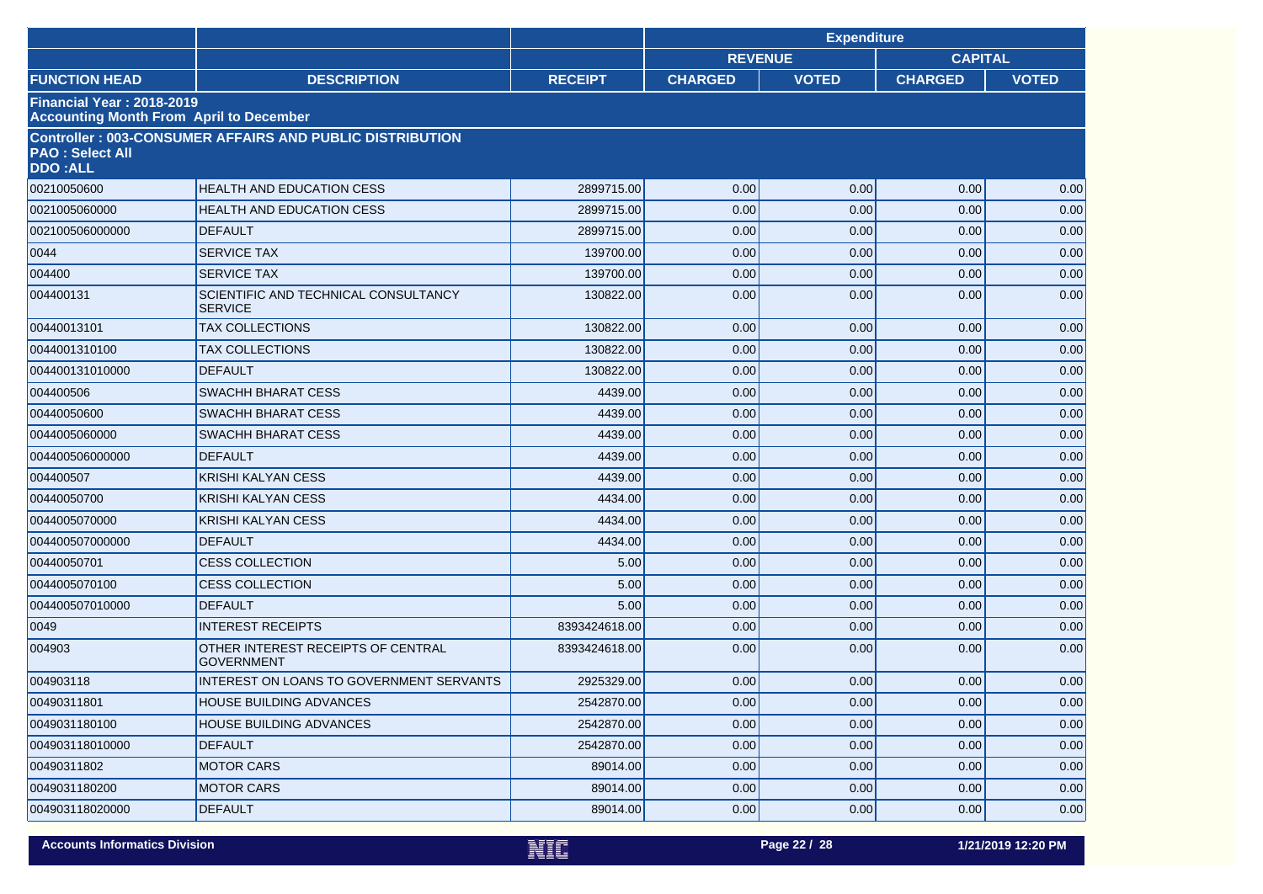|                                                                                    |                                                                 |                |                | <b>Expenditure</b> |                |              |
|------------------------------------------------------------------------------------|-----------------------------------------------------------------|----------------|----------------|--------------------|----------------|--------------|
|                                                                                    |                                                                 |                | <b>REVENUE</b> |                    | <b>CAPITAL</b> |              |
| <b>FUNCTION HEAD</b>                                                               | <b>DESCRIPTION</b>                                              | <b>RECEIPT</b> | <b>CHARGED</b> | <b>VOTED</b>       | <b>CHARGED</b> | <b>VOTED</b> |
| <b>Financial Year: 2018-2019</b><br><b>Accounting Month From April to December</b> |                                                                 |                |                |                    |                |              |
| <b>PAO: Select All</b><br><b>DDO:ALL</b>                                           | <b>Controller: 003-CONSUMER AFFAIRS AND PUBLIC DISTRIBUTION</b> |                |                |                    |                |              |
| 00210050600                                                                        | <b>HEALTH AND EDUCATION CESS</b>                                | 2899715.00     | 0.00           | 0.00               | 0.00           | 0.00         |
| 0021005060000                                                                      | HEALTH AND EDUCATION CESS                                       | 2899715.00     | 0.00           | 0.00               | 0.00           | 0.00         |
| 002100506000000                                                                    | <b>DEFAULT</b>                                                  | 2899715.00     | 0.00           | 0.00               | 0.00           | 0.00         |
| 0044                                                                               | <b>SERVICE TAX</b>                                              | 139700.00      | 0.00           | 0.00               | 0.00           | 0.00         |
| 004400                                                                             | <b>SERVICE TAX</b>                                              | 139700.00      | 0.00           | 0.00               | 0.00           | 0.00         |
| 004400131                                                                          | SCIENTIFIC AND TECHNICAL CONSULTANCY<br><b>SERVICE</b>          | 130822.00      | 0.00           | 0.00               | 0.00           | 0.00         |
| 00440013101                                                                        | <b>TAX COLLECTIONS</b>                                          | 130822.00      | 0.00           | 0.00               | 0.00           | 0.00         |
| 0044001310100                                                                      | <b>TAX COLLECTIONS</b>                                          | 130822.00      | 0.00           | 0.00               | 0.00           | 0.00         |
| 004400131010000                                                                    | <b>DEFAULT</b>                                                  | 130822.00      | 0.00           | 0.00               | 0.00           | 0.00         |
| 004400506                                                                          | <b>SWACHH BHARAT CESS</b>                                       | 4439.00        | 0.00           | 0.00               | 0.00           | 0.00         |
| 00440050600                                                                        | <b>SWACHH BHARAT CESS</b>                                       | 4439.00        | 0.00           | 0.00               | 0.00           | 0.00         |
| 0044005060000                                                                      | SWACHH BHARAT CESS                                              | 4439.00        | 0.00           | 0.00               | 0.00           | 0.00         |
| 004400506000000                                                                    | <b>DEFAULT</b>                                                  | 4439.00        | 0.00           | 0.00               | 0.00           | 0.00         |
| 004400507                                                                          | <b>KRISHI KALYAN CESS</b>                                       | 4439.00        | 0.00           | 0.00               | 0.00           | 0.00         |
| 00440050700                                                                        | <b>KRISHI KALYAN CESS</b>                                       | 4434.00        | 0.00           | 0.00               | 0.00           | 0.00         |
| 0044005070000                                                                      | <b>KRISHI KALYAN CESS</b>                                       | 4434.00        | 0.00           | 0.00               | 0.00           | 0.00         |
| 004400507000000                                                                    | <b>DEFAULT</b>                                                  | 4434.00        | 0.00           | 0.00               | 0.00           | 0.00         |
| 00440050701                                                                        | <b>CESS COLLECTION</b>                                          | 5.00           | 0.00           | 0.00               | 0.00           | 0.00         |
| 0044005070100                                                                      | <b>CESS COLLECTION</b>                                          | 5.00           | 0.00           | 0.00               | 0.00           | 0.00         |
| 004400507010000                                                                    | <b>DEFAULT</b>                                                  | 5.00           | 0.00           | 0.00               | 0.00           | 0.00         |
| 0049                                                                               | <b>INTEREST RECEIPTS</b>                                        | 8393424618.00  | 0.00           | 0.00               | 0.00           | 0.00         |
| 004903                                                                             | OTHER INTEREST RECEIPTS OF CENTRAL<br><b>GOVERNMENT</b>         | 8393424618.00  | 0.00           | 0.00               | 0.00           | 0.00         |
| 004903118                                                                          | INTEREST ON LOANS TO GOVERNMENT SERVANTS                        | 2925329.00     | 0.00           | 0.00               | 0.00           | 0.00         |
| 00490311801                                                                        | <b>HOUSE BUILDING ADVANCES</b>                                  | 2542870.00     | 0.00           | 0.00               | 0.00           | 0.00         |
| 0049031180100                                                                      | <b>HOUSE BUILDING ADVANCES</b>                                  | 2542870.00     | 0.00           | 0.00               | 0.00           | 0.00         |
| 004903118010000                                                                    | <b>DEFAULT</b>                                                  | 2542870.00     | 0.00           | 0.00               | 0.00           | 0.00         |
| 00490311802                                                                        | <b>MOTOR CARS</b>                                               | 89014.00       | 0.00           | 0.00               | 0.00           | 0.00         |
| 0049031180200                                                                      | <b>MOTOR CARS</b>                                               | 89014.00       | 0.00           | 0.00               | 0.00           | 0.00         |
| 004903118020000                                                                    | <b>DEFAULT</b>                                                  | 89014.00       | 0.00           | 0.00               | 0.00           | 0.00         |

**Accounts Informatics Division Page 22 / 28 1/21/2019 12:20 PM**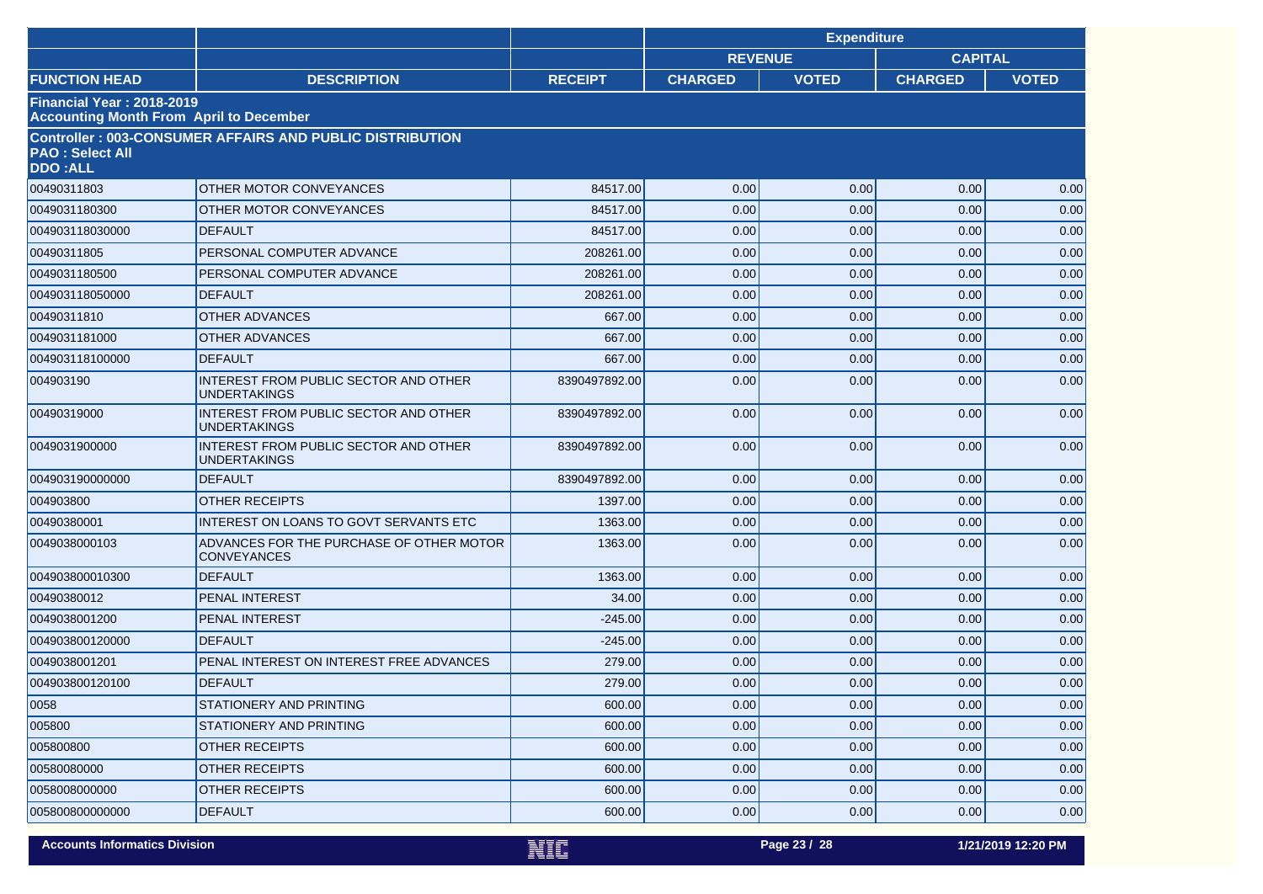|                                                                                    |                                                                 |                | <b>Expenditure</b> |              |                |              |
|------------------------------------------------------------------------------------|-----------------------------------------------------------------|----------------|--------------------|--------------|----------------|--------------|
|                                                                                    |                                                                 |                | <b>REVENUE</b>     |              | <b>CAPITAL</b> |              |
| <b>FUNCTION HEAD</b>                                                               | <b>DESCRIPTION</b>                                              | <b>RECEIPT</b> | <b>CHARGED</b>     | <b>VOTED</b> | <b>CHARGED</b> | <b>VOTED</b> |
| <b>Financial Year: 2018-2019</b><br><b>Accounting Month From April to December</b> |                                                                 |                |                    |              |                |              |
| <b>PAO: Select All</b><br><b>DDO:ALL</b>                                           | <b>Controller: 003-CONSUMER AFFAIRS AND PUBLIC DISTRIBUTION</b> |                |                    |              |                |              |
| 00490311803                                                                        | <b>OTHER MOTOR CONVEYANCES</b>                                  | 84517.00       | 0.00               | 0.00         | 0.00           | 0.00         |
| 0049031180300                                                                      | OTHER MOTOR CONVEYANCES                                         | 84517.00       | 0.00               | 0.00         | 0.00           | 0.00         |
| 004903118030000                                                                    | <b>DEFAULT</b>                                                  | 84517.00       | 0.00               | 0.00         | 0.00           | 0.00         |
| 00490311805                                                                        | PERSONAL COMPUTER ADVANCE                                       | 208261.00      | 0.00               | 0.00         | 0.00           | 0.00         |
| 0049031180500                                                                      | PERSONAL COMPUTER ADVANCE                                       | 208261.00      | 0.00               | 0.00         | 0.00           | 0.00         |
| 004903118050000                                                                    | <b>DEFAULT</b>                                                  | 208261.00      | 0.00               | 0.00         | 0.00           | 0.00         |
| 00490311810                                                                        | <b>OTHER ADVANCES</b>                                           | 667.00         | 0.00               | 0.00         | 0.00           | 0.00         |
| 0049031181000                                                                      | <b>OTHER ADVANCES</b>                                           | 667.00         | 0.00               | 0.00         | 0.00           | 0.00         |
| 004903118100000                                                                    | <b>DEFAULT</b>                                                  | 667.00         | 0.00               | 0.00         | 0.00           | 0.00         |
| 004903190                                                                          | INTEREST FROM PUBLIC SECTOR AND OTHER<br><b>UNDERTAKINGS</b>    | 8390497892.00  | 0.00               | 0.00         | 0.00           | 0.00         |
| 00490319000                                                                        | INTEREST FROM PUBLIC SECTOR AND OTHER<br><b>UNDERTAKINGS</b>    | 8390497892.00  | 0.00               | 0.00         | 0.00           | 0.00         |
| 0049031900000                                                                      | INTEREST FROM PUBLIC SECTOR AND OTHER<br>UNDERTAKINGS           | 8390497892.00  | 0.00               | 0.00         | 0.00           | 0.00         |
| 004903190000000                                                                    | <b>DEFAULT</b>                                                  | 8390497892.00  | 0.00               | 0.00         | 0.00           | 0.00         |
| 004903800                                                                          | <b>OTHER RECEIPTS</b>                                           | 1397.00        | 0.00               | 0.00         | 0.00           | 0.00         |
| 00490380001                                                                        | INTEREST ON LOANS TO GOVT SERVANTS ETC                          | 1363.00        | 0.00               | 0.00         | 0.00           | 0.00         |
| 0049038000103                                                                      | ADVANCES FOR THE PURCHASE OF OTHER MOTOR<br><b>CONVEYANCES</b>  | 1363.00        | 0.00               | 0.00         | 0.00           | 0.00         |
| 004903800010300                                                                    | <b>DEFAULT</b>                                                  | 1363.00        | 0.00               | 0.00         | 0.00           | 0.00         |
| 00490380012                                                                        | <b>PENAL INTEREST</b>                                           | 34.00          | 0.00               | 0.00         | 0.00           | 0.00         |
| 0049038001200                                                                      | <b>PENAL INTEREST</b>                                           | $-245.00$      | 0.00               | 0.00         | 0.00           | 0.00         |
| 004903800120000                                                                    | <b>DEFAULT</b>                                                  | $-245.00$      | 0.00               | 0.00         | 0.00           | 0.00         |
| 0049038001201                                                                      | PENAL INTEREST ON INTEREST FREE ADVANCES                        | 279.00         | 0.00               | 0.00         | 0.00           | 0.00         |
| 004903800120100                                                                    | <b>DEFAULT</b>                                                  | 279.00         | 0.00               | 0.00         | 0.00           | 0.00         |
| 0058                                                                               | STATIONERY AND PRINTING                                         | 600.00         | 0.00               | 0.00         | 0.00           | 0.00         |
| 005800                                                                             | <b>STATIONERY AND PRINTING</b>                                  | 600.00         | 0.00               | 0.00         | 0.00           | 0.00         |
| 005800800                                                                          | <b>OTHER RECEIPTS</b>                                           | 600.00         | 0.00               | 0.00         | 0.00           | 0.00         |
| 00580080000                                                                        | <b>OTHER RECEIPTS</b>                                           | 600.00         | 0.00               | 0.00         | 0.00           | 0.00         |
| 0058008000000                                                                      | <b>OTHER RECEIPTS</b>                                           | 600.00         | 0.00               | 0.00         | 0.00           | 0.00         |
| 005800800000000                                                                    | <b>DEFAULT</b>                                                  | 600.00         | 0.00               | 0.00         | 0.00           | 0.00         |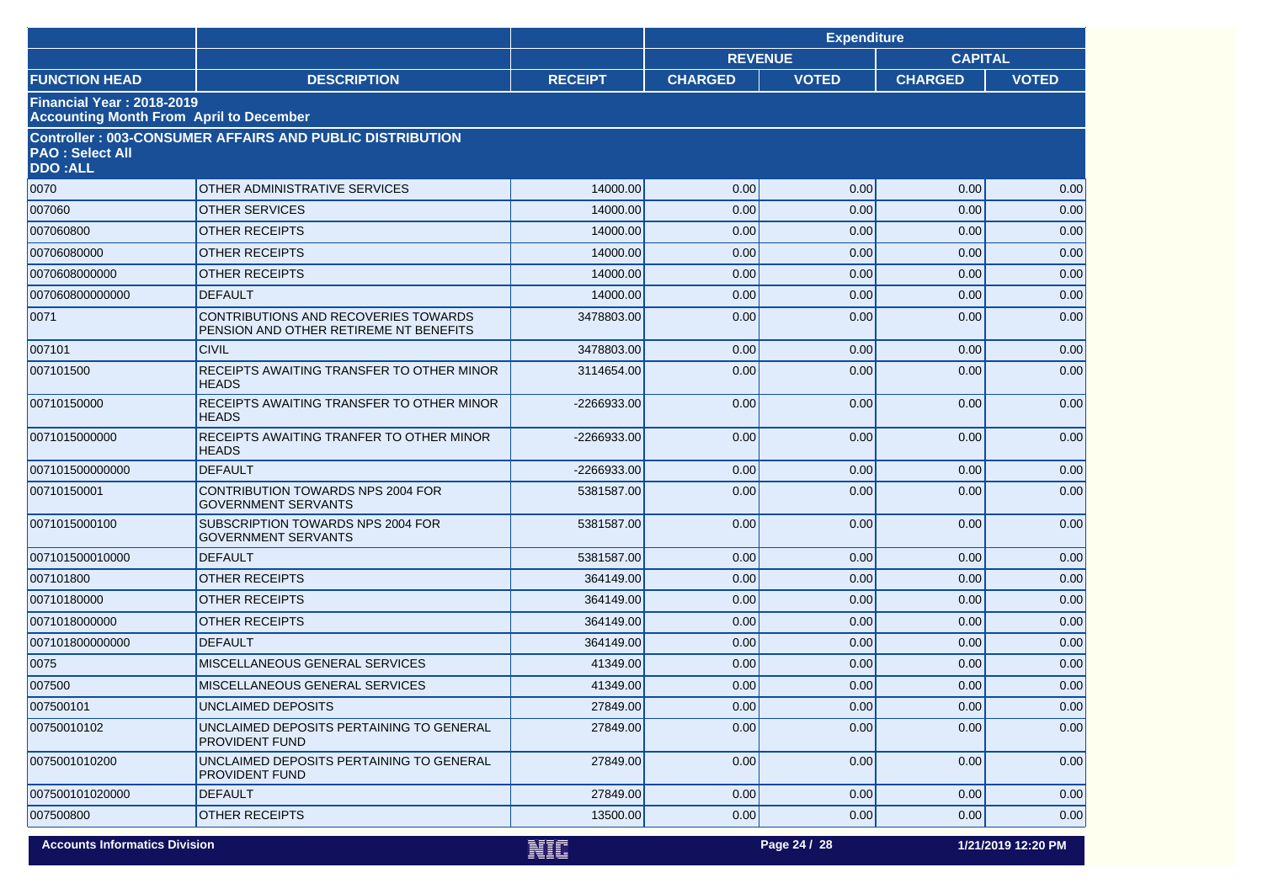|                                          |                                                                                |                | <b>Expenditure</b> |              |                |                    |
|------------------------------------------|--------------------------------------------------------------------------------|----------------|--------------------|--------------|----------------|--------------------|
|                                          |                                                                                |                | <b>REVENUE</b>     |              | <b>CAPITAL</b> |                    |
| <b>FUNCTION HEAD</b>                     | <b>DESCRIPTION</b>                                                             | <b>RECEIPT</b> | <b>CHARGED</b>     | <b>VOTED</b> | <b>CHARGED</b> | <b>VOTED</b>       |
| Financial Year: 2018-2019                | <b>Accounting Month From April to December</b>                                 |                |                    |              |                |                    |
| <b>PAO: Select All</b><br><b>DDO:ALL</b> | <b>Controller: 003-CONSUMER AFFAIRS AND PUBLIC DISTRIBUTION</b>                |                |                    |              |                |                    |
| 0070                                     | OTHER ADMINISTRATIVE SERVICES                                                  | 14000.00       | 0.00               | 0.00         | 0.00           | 0.00               |
| 007060                                   | <b>OTHER SERVICES</b>                                                          | 14000.00       | 0.00               | 0.00         | 0.00           | 0.00               |
| 007060800                                | <b>OTHER RECEIPTS</b>                                                          | 14000.00       | 0.00               | 0.00         | 0.00           | 0.00               |
| 00706080000                              | <b>OTHER RECEIPTS</b>                                                          | 14000.00       | 0.00               | 0.00         | 0.00           | 0.00               |
| 0070608000000                            | <b>OTHER RECEIPTS</b>                                                          | 14000.00       | 0.00               | 0.00         | 0.00           | 0.00               |
| 007060800000000                          | <b>DEFAULT</b>                                                                 | 14000.00       | 0.00               | 0.00         | 0.00           | 0.00               |
| 0071                                     | CONTRIBUTIONS AND RECOVERIES TOWARDS<br>PENSION AND OTHER RETIREME NT BENEFITS | 3478803.00     | 0.00               | 0.00         | 0.00           | 0.00               |
| 007101                                   | <b>CIVIL</b>                                                                   | 3478803.00     | 0.00               | 0.00         | 0.00           | 0.00               |
| 007101500                                | <b>RECEIPTS AWAITING TRANSFER TO OTHER MINOR</b><br><b>HEADS</b>               | 3114654.00     | 0.00               | 0.00         | 0.00           | 0.00               |
| 00710150000                              | RECEIPTS AWAITING TRANSFER TO OTHER MINOR<br><b>HEADS</b>                      | -2266933.00    | 0.00               | 0.00         | 0.00           | 0.00               |
| 0071015000000                            | RECEIPTS AWAITING TRANFER TO OTHER MINOR<br><b>HEADS</b>                       | -2266933.00    | 0.00               | 0.00         | 0.00           | 0.00               |
| 007101500000000                          | <b>DEFAULT</b>                                                                 | -2266933.00    | 0.00               | 0.00         | 0.00           | 0.00               |
| 00710150001                              | CONTRIBUTION TOWARDS NPS 2004 FOR<br><b>GOVERNMENT SERVANTS</b>                | 5381587.00     | 0.00               | 0.00         | 0.00           | 0.00               |
| 0071015000100                            | SUBSCRIPTION TOWARDS NPS 2004 FOR<br><b>GOVERNMENT SERVANTS</b>                | 5381587.00     | 0.00               | 0.00         | 0.00           | 0.00               |
| 007101500010000                          | <b>DEFAULT</b>                                                                 | 5381587.00     | 0.00               | 0.00         | 0.00           | 0.00               |
| 007101800                                | <b>OTHER RECEIPTS</b>                                                          | 364149.00      | 0.00               | 0.00         | 0.00           | 0.00               |
| 00710180000                              | <b>OTHER RECEIPTS</b>                                                          | 364149.00      | 0.00               | 0.00         | 0.00           | 0.00               |
| 0071018000000                            | <b>OTHER RECEIPTS</b>                                                          | 364149.00      | 0.00               | 0.00         | 0.00           | 0.00               |
| 007101800000000                          | <b>DEFAULT</b>                                                                 | 364149.00      | 0.00               | 0.00         | 0.00           | 0.00               |
| 0075                                     | <b>MISCELLANEOUS GENERAL SERVICES</b>                                          | 41349.00       | 0.00               | 0.00         | 0.00           | 0.00               |
| 007500                                   | MISCELLANEOUS GENERAL SERVICES                                                 | 41349.00       | 0.00               | 0.00         | 0.00           | 0.00               |
| 007500101                                | <b>UNCLAIMED DEPOSITS</b>                                                      | 27849.00       | 0.00               | 0.00         | 0.00           | 0.00               |
| 00750010102                              | UNCLAIMED DEPOSITS PERTAINING TO GENERAL<br>PROVIDENT FUND                     | 27849.00       | 0.00               | 0.00         | 0.00           | 0.00               |
| 0075001010200                            | UNCLAIMED DEPOSITS PERTAINING TO GENERAL<br>PROVIDENT FUND                     | 27849.00       | 0.00               | 0.00         | 0.00           | 0.00               |
| 007500101020000                          | <b>DEFAULT</b>                                                                 | 27849.00       | 0.00               | 0.00         | 0.00           | 0.00               |
| 007500800                                | OTHER RECEIPTS                                                                 | 13500.00       | 0.00               | 0.00         | 0.00           | 0.00               |
| <b>Accounts Informatics Division</b>     |                                                                                | NIF            |                    | Page 24 / 28 |                | 1/21/2019 12:20 PM |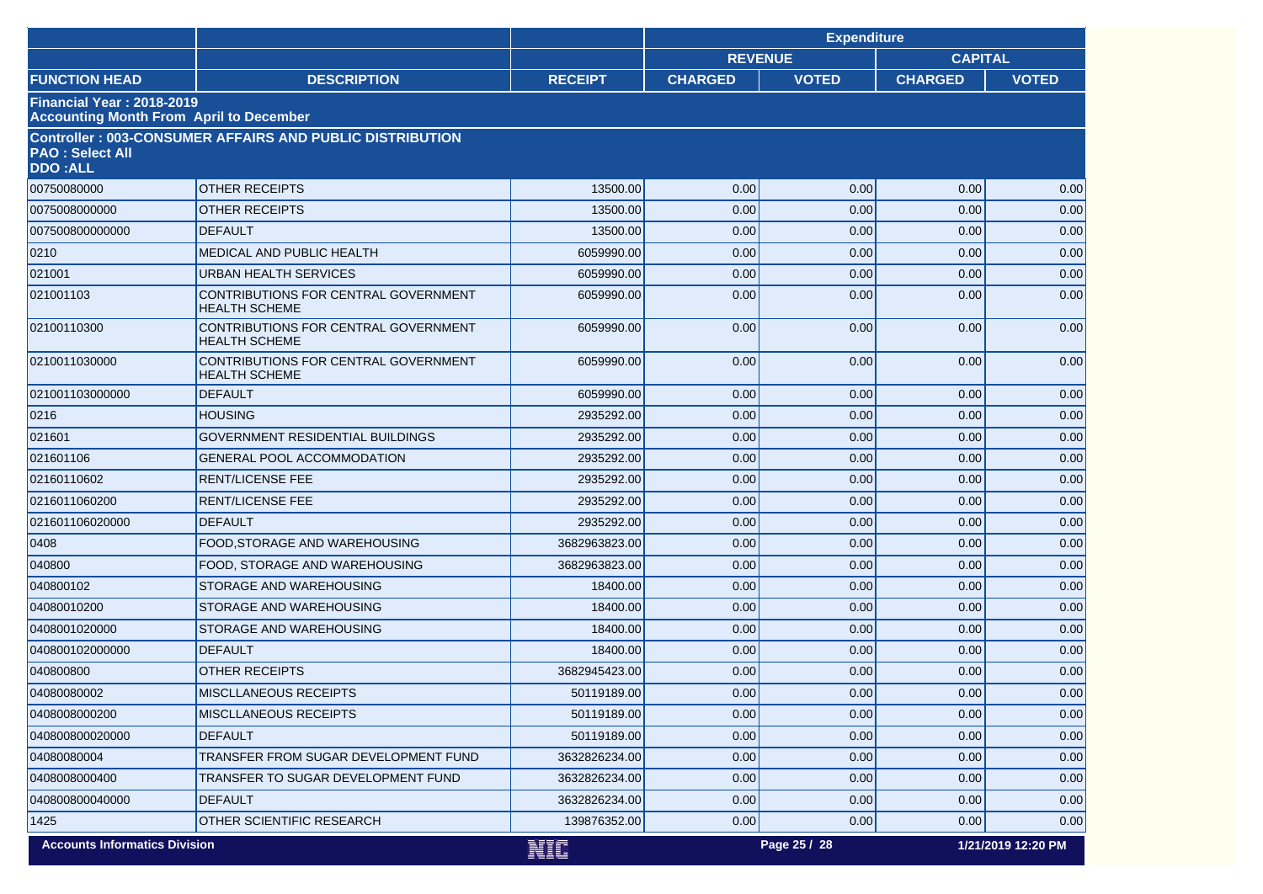|                                                                             |                                                                 |                | <b>Expenditure</b> |              |                    |              |
|-----------------------------------------------------------------------------|-----------------------------------------------------------------|----------------|--------------------|--------------|--------------------|--------------|
|                                                                             |                                                                 |                | <b>REVENUE</b>     |              | <b>CAPITAL</b>     |              |
| <b>FUNCTION HEAD</b>                                                        | <b>DESCRIPTION</b>                                              | <b>RECEIPT</b> | <b>CHARGED</b>     | <b>VOTED</b> | <b>CHARGED</b>     | <b>VOTED</b> |
| Financial Year: 2018-2019<br><b>Accounting Month From April to December</b> |                                                                 |                |                    |              |                    |              |
| <b>PAO: Select All</b><br><b>DDO:ALL</b>                                    | <b>Controller: 003-CONSUMER AFFAIRS AND PUBLIC DISTRIBUTION</b> |                |                    |              |                    |              |
| 00750080000                                                                 | <b>OTHER RECEIPTS</b>                                           | 13500.00       | 0.00               | 0.00         | 0.00               | 0.00         |
| 0075008000000                                                               | <b>OTHER RECEIPTS</b>                                           | 13500.00       | 0.00               | 0.00         | 0.00               | 0.00         |
| 007500800000000                                                             | <b>DEFAULT</b>                                                  | 13500.00       | 0.00               | 0.00         | 0.00               | 0.00         |
| 0210                                                                        | MEDICAL AND PUBLIC HEALTH                                       | 6059990.00     | 0.00               | 0.00         | 0.00               | 0.00         |
| 021001                                                                      | URBAN HEALTH SERVICES                                           | 6059990.00     | 0.00               | 0.00         | 0.00               | 0.00         |
| 021001103                                                                   | CONTRIBUTIONS FOR CENTRAL GOVERNMENT<br><b>HEALTH SCHEME</b>    | 6059990.00     | 0.00               | 0.00         | 0.00               | 0.00         |
| 02100110300                                                                 | CONTRIBUTIONS FOR CENTRAL GOVERNMENT<br><b>HEALTH SCHEME</b>    | 6059990.00     | 0.00               | 0.00         | 0.00               | 0.00         |
| 0210011030000                                                               | CONTRIBUTIONS FOR CENTRAL GOVERNMENT<br><b>HEALTH SCHEME</b>    | 6059990.00     | 0.00               | 0.00         | 0.00               | 0.00         |
| 021001103000000                                                             | <b>DEFAULT</b>                                                  | 6059990.00     | 0.00               | 0.00         | 0.00               | 0.00         |
| 0216                                                                        | <b>HOUSING</b>                                                  | 2935292.00     | 0.00               | 0.00         | 0.00               | 0.00         |
| 021601                                                                      | GOVERNMENT RESIDENTIAL BUILDINGS                                | 2935292.00     | 0.00               | 0.00         | 0.00               | 0.00         |
| 021601106                                                                   | <b>GENERAL POOL ACCOMMODATION</b>                               | 2935292.00     | 0.00               | 0.00         | 0.00               | 0.00         |
| 02160110602                                                                 | <b>RENT/LICENSE FEE</b>                                         | 2935292.00     | 0.00               | 0.00         | 0.00               | 0.00         |
| 0216011060200                                                               | <b>RENT/LICENSE FEE</b>                                         | 2935292.00     | 0.00               | 0.00         | 0.00               | 0.00         |
| 021601106020000                                                             | <b>DEFAULT</b>                                                  | 2935292.00     | 0.00               | 0.00         | 0.00               | 0.00         |
| 0408                                                                        | FOOD, STORAGE AND WAREHOUSING                                   | 3682963823.00  | 0.00               | 0.00         | 0.00               | 0.00         |
| 040800                                                                      | FOOD, STORAGE AND WAREHOUSING                                   | 3682963823.00  | 0.00               | 0.00         | 0.00               | 0.00         |
| 040800102                                                                   | STORAGE AND WAREHOUSING                                         | 18400.00       | 0.00               | 0.00         | 0.00               | 0.00         |
| 04080010200                                                                 | STORAGE AND WAREHOUSING                                         | 18400.00       | 0.00               | 0.00         | 0.00               | 0.00         |
| 0408001020000                                                               | STORAGE AND WAREHOUSING                                         | 18400.00       | 0.00               | 0.00         | 0.00               | 0.00         |
| 040800102000000                                                             | <b>DEFAULT</b>                                                  | 18400.00       | 0.00               | 0.00         | 0.00               | 0.00         |
| 040800800                                                                   | <b>OTHER RECEIPTS</b>                                           | 3682945423.00  | 0.00               | 0.00         | 0.00               | 0.00         |
| 04080080002                                                                 | <b>MISCLLANEOUS RECEIPTS</b>                                    | 50119189.00    | 0.00               | 0.00         | 0.00               | 0.00         |
| 0408008000200                                                               | <b>MISCLLANEOUS RECEIPTS</b>                                    | 50119189.00    | 0.00               | 0.00         | 0.00               | 0.00         |
| 040800800020000                                                             | <b>DEFAULT</b>                                                  | 50119189.00    | 0.00               | 0.00         | 0.00               | 0.00         |
| 04080080004                                                                 | TRANSFER FROM SUGAR DEVELOPMENT FUND                            | 3632826234.00  | 0.00               | 0.00         | 0.00               | 0.00         |
| 0408008000400                                                               | TRANSFER TO SUGAR DEVELOPMENT FUND                              | 3632826234.00  | 0.00               | 0.00         | 0.00               | 0.00         |
| 040800800040000                                                             | <b>DEFAULT</b>                                                  | 3632826234.00  | 0.00               | 0.00         | 0.00               | 0.00         |
| 1425                                                                        | OTHER SCIENTIFIC RESEARCH                                       | 139876352.00   | 0.00               | 0.00         | 0.00               | 0.00         |
| <b>Accounts Informatics Division</b>                                        | NIC                                                             |                | Page 25 / 28       |              | 1/21/2019 12:20 PM |              |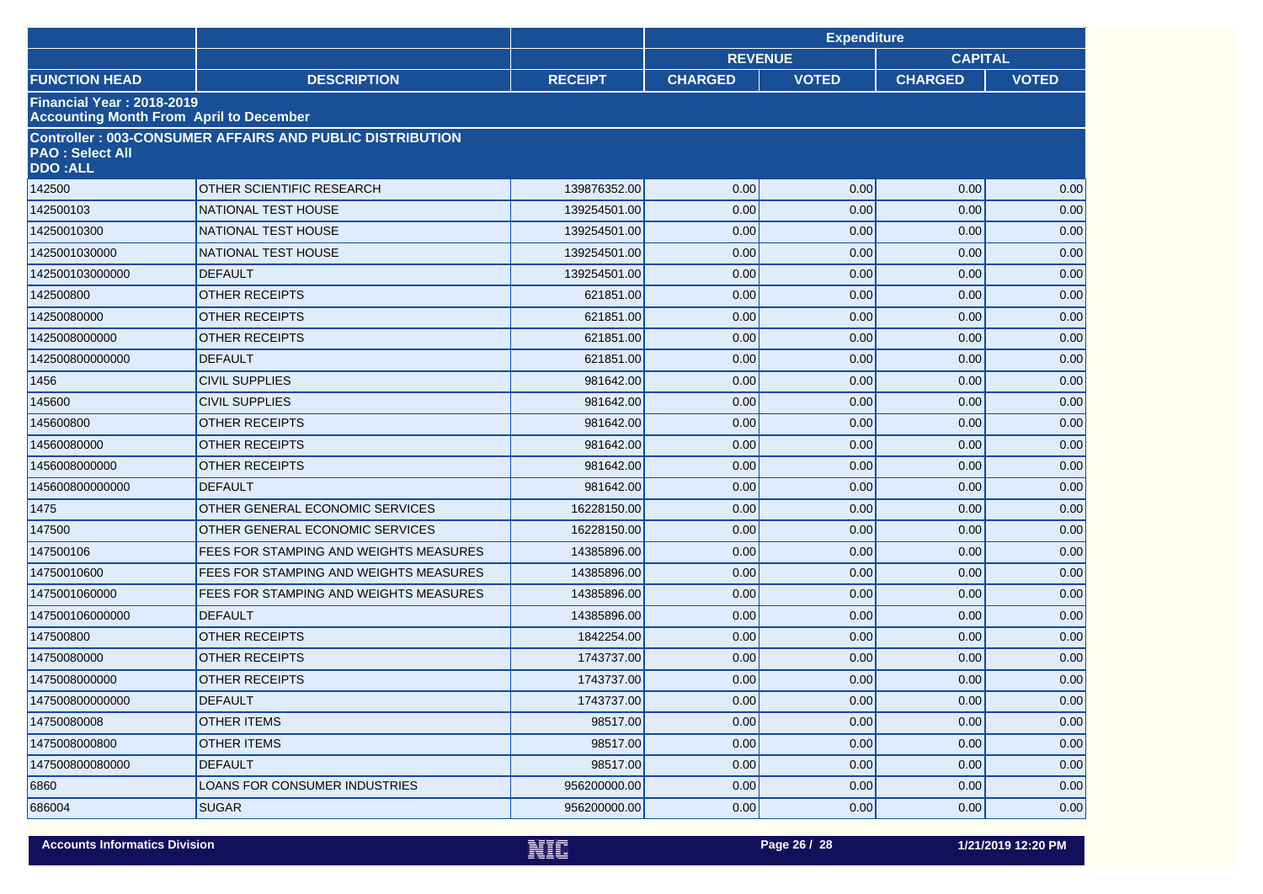|                                                                                    |                                                                 | <b>Expenditure</b> |                |              |                |              |
|------------------------------------------------------------------------------------|-----------------------------------------------------------------|--------------------|----------------|--------------|----------------|--------------|
|                                                                                    |                                                                 |                    | <b>REVENUE</b> |              | <b>CAPITAL</b> |              |
| <b>FUNCTION HEAD</b>                                                               | <b>DESCRIPTION</b>                                              | <b>RECEIPT</b>     | <b>CHARGED</b> | <b>VOTED</b> | <b>CHARGED</b> | <b>VOTED</b> |
| <b>Financial Year: 2018-2019</b><br><b>Accounting Month From April to December</b> |                                                                 |                    |                |              |                |              |
| <b>PAO: Select All</b><br><b>DDO:ALL</b>                                           | <b>Controller: 003-CONSUMER AFFAIRS AND PUBLIC DISTRIBUTION</b> |                    |                |              |                |              |
| 142500                                                                             | OTHER SCIENTIFIC RESEARCH                                       | 139876352.00       | 0.00           | 0.00         | 0.00           | 0.00         |
| 142500103                                                                          | <b>NATIONAL TEST HOUSE</b>                                      | 139254501.00       | 0.00           | 0.00         | 0.00           | 0.00         |
| 14250010300                                                                        | NATIONAL TEST HOUSE                                             | 139254501.00       | 0.00           | 0.00         | 0.00           | 0.00         |
| 1425001030000                                                                      | <b>NATIONAL TEST HOUSE</b>                                      | 139254501.00       | 0.00           | 0.00         | 0.00           | 0.00         |
| 142500103000000                                                                    | <b>DEFAULT</b>                                                  | 139254501.00       | 0.00           | 0.00         | 0.00           | 0.00         |
| 142500800                                                                          | <b>OTHER RECEIPTS</b>                                           | 621851.00          | 0.00           | 0.00         | 0.00           | 0.00         |
| 14250080000                                                                        | <b>OTHER RECEIPTS</b>                                           | 621851.00          | 0.00           | 0.00         | 0.00           | 0.00         |
| 1425008000000                                                                      | <b>OTHER RECEIPTS</b>                                           | 621851.00          | 0.00           | 0.00         | 0.00           | 0.00         |
| 142500800000000                                                                    | <b>DEFAULT</b>                                                  | 621851.00          | 0.00           | 0.00         | 0.00           | 0.00         |
| 1456                                                                               | <b>CIVIL SUPPLIES</b>                                           | 981642.00          | 0.00           | 0.00         | 0.00           | 0.00         |
| 145600                                                                             | <b>CIVIL SUPPLIES</b>                                           | 981642.00          | 0.00           | 0.00         | 0.00           | 0.00         |
| 145600800                                                                          | <b>OTHER RECEIPTS</b>                                           | 981642.00          | 0.00           | 0.00         | 0.00           | 0.00         |
| 14560080000                                                                        | <b>OTHER RECEIPTS</b>                                           | 981642.00          | 0.00           | 0.00         | 0.00           | 0.00         |
| 1456008000000                                                                      | <b>OTHER RECEIPTS</b>                                           | 981642.00          | 0.00           | 0.00         | 0.00           | 0.00         |
| 145600800000000                                                                    | <b>DEFAULT</b>                                                  | 981642.00          | 0.00           | 0.00         | 0.00           | 0.00         |
| 1475                                                                               | OTHER GENERAL ECONOMIC SERVICES                                 | 16228150.00        | 0.00           | 0.00         | 0.00           | 0.00         |
| 147500                                                                             | OTHER GENERAL ECONOMIC SERVICES                                 | 16228150.00        | 0.00           | 0.00         | 0.00           | 0.00         |
| 147500106                                                                          | FEES FOR STAMPING AND WEIGHTS MEASURES                          | 14385896.00        | 0.00           | 0.00         | 0.00           | 0.00         |
| 14750010600                                                                        | FEES FOR STAMPING AND WEIGHTS MEASURES                          | 14385896.00        | 0.00           | 0.00         | 0.00           | 0.00         |
| 1475001060000                                                                      | FEES FOR STAMPING AND WEIGHTS MEASURES                          | 14385896.00        | 0.00           | 0.00         | 0.00           | 0.00         |
| 147500106000000                                                                    | <b>DEFAULT</b>                                                  | 14385896.00        | 0.00           | 0.00         | 0.00           | 0.00         |
| 147500800                                                                          | OTHER RECEIPTS                                                  | 1842254.00         | 0.00           | 0.00         | 0.00           | 0.00         |
| 14750080000                                                                        | <b>OTHER RECEIPTS</b>                                           | 1743737.00         | 0.00           | 0.00         | 0.00           | 0.00         |
| 1475008000000                                                                      | <b>OTHER RECEIPTS</b>                                           | 1743737.00         | 0.00           | 0.00         | 0.00           | 0.00         |
| 147500800000000                                                                    | <b>DEFAULT</b>                                                  | 1743737.00         | 0.00           | 0.00         | $0.00\,$       | 0.00         |
| 14750080008                                                                        | OTHER ITEMS                                                     | 98517.00           | 0.00           | 0.00         | 0.00           | 0.00         |
| 1475008000800                                                                      | <b>OTHER ITEMS</b>                                              | 98517.00           | 0.00           | 0.00         | 0.00           | 0.00         |
| 147500800080000                                                                    | <b>DEFAULT</b>                                                  | 98517.00           | 0.00           | 0.00         | 0.00           | 0.00         |
| 6860                                                                               | <b>LOANS FOR CONSUMER INDUSTRIES</b>                            | 956200000.00       | 0.00           | 0.00         | 0.00           | 0.00         |
| 686004                                                                             | <b>SUGAR</b>                                                    | 956200000.00       | 0.00           | 0.00         | 0.00           | 0.00         |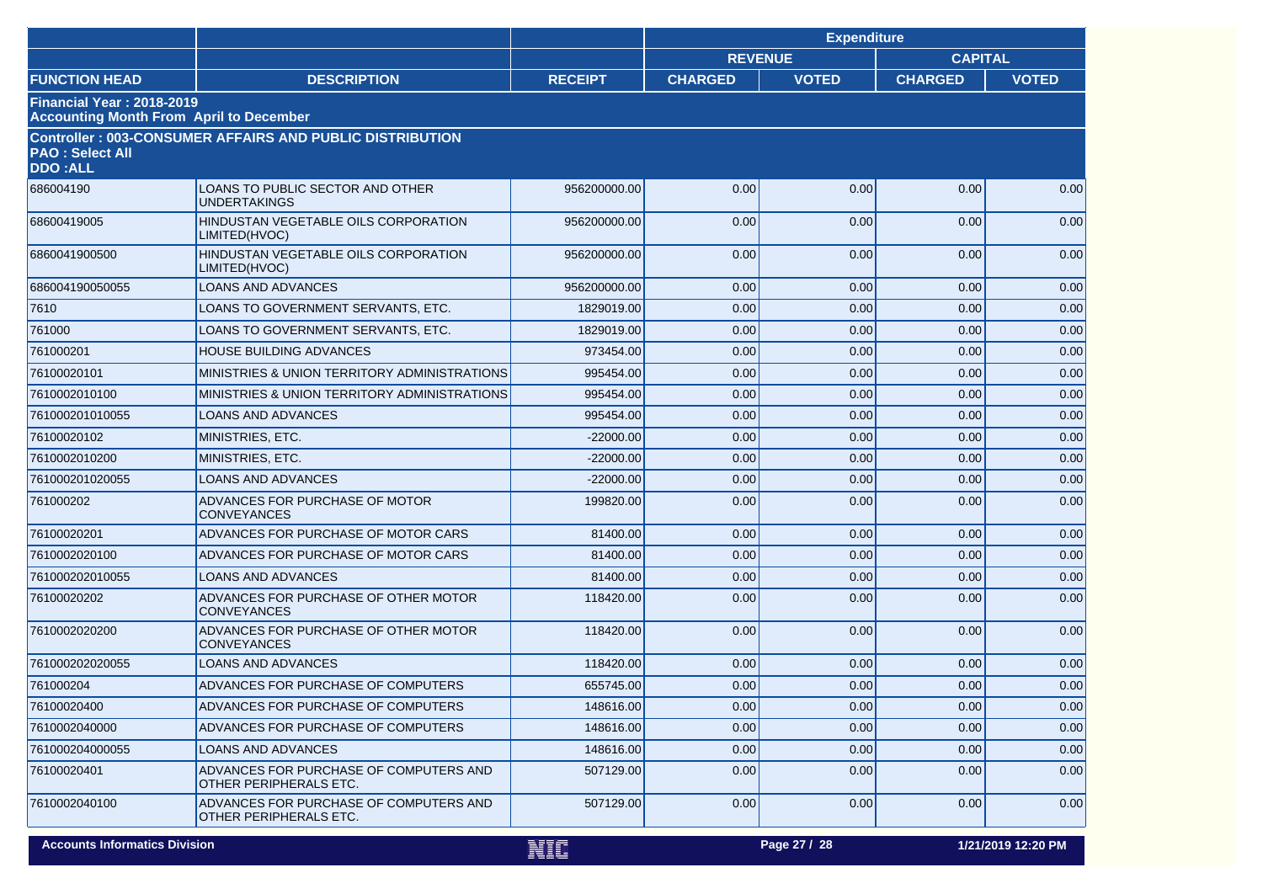|                                                                                    |                                                                  |                | <b>Expenditure</b> |              |                |                    |
|------------------------------------------------------------------------------------|------------------------------------------------------------------|----------------|--------------------|--------------|----------------|--------------------|
|                                                                                    |                                                                  |                | <b>REVENUE</b>     |              | <b>CAPITAL</b> |                    |
| <b>FUNCTION HEAD</b>                                                               | <b>DESCRIPTION</b>                                               | <b>RECEIPT</b> | <b>CHARGED</b>     | <b>VOTED</b> | <b>CHARGED</b> | <b>VOTED</b>       |
| <b>Financial Year: 2018-2019</b><br><b>Accounting Month From April to December</b> |                                                                  |                |                    |              |                |                    |
| <b>PAO: Select All</b>                                                             | <b>Controller: 003-CONSUMER AFFAIRS AND PUBLIC DISTRIBUTION</b>  |                |                    |              |                |                    |
| <b>DDO:ALL</b>                                                                     |                                                                  |                |                    |              |                |                    |
| 686004190                                                                          | LOANS TO PUBLIC SECTOR AND OTHER<br><b>UNDERTAKINGS</b>          | 956200000.00   | 0.00               | 0.00         | 0.00           | 0.00               |
| 68600419005                                                                        | HINDUSTAN VEGETABLE OILS CORPORATION<br>LIMITED(HVOC)            | 956200000.00   | 0.00               | 0.00         | 0.00           | 0.00               |
| 6860041900500                                                                      | HINDUSTAN VEGETABLE OILS CORPORATION<br>LIMITED(HVOC)            | 956200000.00   | 0.00               | 0.00         | 0.00           | 0.00               |
| 686004190050055                                                                    | <b>LOANS AND ADVANCES</b>                                        | 956200000.00   | 0.00               | 0.00         | 0.00           | 0.00               |
| 7610                                                                               | LOANS TO GOVERNMENT SERVANTS, ETC.                               | 1829019.00     | 0.00               | 0.00         | 0.00           | 0.00               |
| 761000                                                                             | LOANS TO GOVERNMENT SERVANTS, ETC.                               | 1829019.00     | 0.00               | 0.00         | 0.00           | 0.00               |
| 761000201                                                                          | <b>HOUSE BUILDING ADVANCES</b>                                   | 973454.00      | 0.00               | 0.00         | 0.00           | 0.00               |
| 76100020101                                                                        | MINISTRIES & UNION TERRITORY ADMINISTRATIONS                     | 995454.00      | 0.00               | 0.00         | 0.00           | 0.00               |
| 7610002010100                                                                      | MINISTRIES & UNION TERRITORY ADMINISTRATIONS                     | 995454.00      | 0.00               | 0.00         | 0.00           | 0.00               |
| 761000201010055                                                                    | <b>LOANS AND ADVANCES</b>                                        | 995454.00      | 0.00               | 0.00         | 0.00           | 0.00               |
| 76100020102                                                                        | MINISTRIES, ETC.                                                 | $-22000.00$    | 0.00               | 0.00         | 0.00           | 0.00               |
| 7610002010200                                                                      | MINISTRIES, ETC.                                                 | $-22000.00$    | 0.00               | 0.00         | 0.00           | 0.00               |
| 761000201020055                                                                    | <b>LOANS AND ADVANCES</b>                                        | $-22000.00$    | 0.00               | 0.00         | 0.00           | 0.00               |
| 761000202                                                                          | ADVANCES FOR PURCHASE OF MOTOR<br><b>CONVEYANCES</b>             | 199820.00      | 0.00               | 0.00         | 0.00           | 0.00               |
| 76100020201                                                                        | ADVANCES FOR PURCHASE OF MOTOR CARS                              | 81400.00       | 0.00               | 0.00         | 0.00           | 0.00               |
| 7610002020100                                                                      | ADVANCES FOR PURCHASE OF MOTOR CARS                              | 81400.00       | 0.00               | 0.00         | 0.00           | 0.00               |
| 761000202010055                                                                    | <b>LOANS AND ADVANCES</b>                                        | 81400.00       | 0.00               | 0.00         | 0.00           | 0.00               |
| 76100020202                                                                        | ADVANCES FOR PURCHASE OF OTHER MOTOR<br><b>CONVEYANCES</b>       | 118420.00      | 0.00               | 0.00         | 0.00           | 0.00               |
| 7610002020200                                                                      | ADVANCES FOR PURCHASE OF OTHER MOTOR<br><b>CONVEYANCES</b>       | 118420.00      | 0.00               | 0.00         | 0.00           | 0.00               |
| 761000202020055                                                                    | <b>LOANS AND ADVANCES</b>                                        | 118420.00      | 0.00               | 0.00         | 0.00           | 0.00               |
| 761000204                                                                          | ADVANCES FOR PURCHASE OF COMPUTERS                               | 655745.00      | 0.00               | 0.00         | 0.00           | 0.00               |
| 76100020400                                                                        | ADVANCES FOR PURCHASE OF COMPUTERS                               | 148616.00      | 0.00               | 0.00         | 0.00           | 0.00               |
| 7610002040000                                                                      | ADVANCES FOR PURCHASE OF COMPUTERS                               | 148616.00      | 0.00               | 0.00         | 0.00           | 0.00               |
| 761000204000055                                                                    | LOANS AND ADVANCES                                               | 148616.00      | 0.00               | 0.00         | 0.00           | 0.00               |
| 76100020401                                                                        | ADVANCES FOR PURCHASE OF COMPUTERS AND<br>OTHER PERIPHERALS ETC. | 507129.00      | 0.00               | 0.00         | 0.00           | 0.00               |
| 7610002040100                                                                      | ADVANCES FOR PURCHASE OF COMPUTERS AND<br>OTHER PERIPHERALS ETC. | 507129.00      | 0.00               | 0.00         | 0.00           | 0.00               |
| <b>Accounts Informatics Division</b>                                               |                                                                  | NIC            |                    | Page 27 / 28 |                | 1/21/2019 12:20 PM |